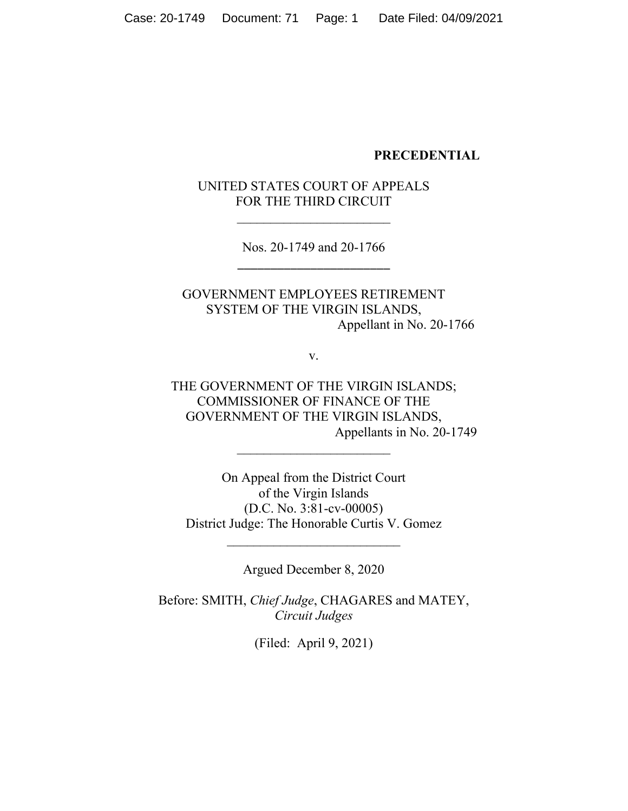#### **PRECEDENTIAL**

# UNITED STATES COURT OF APPEALS FOR THE THIRD CIRCUIT

Nos. 20-1749 and 20-1766 \_\_\_\_\_\_\_\_\_\_\_\_\_\_\_\_\_\_\_\_\_\_\_

# GOVERNMENT EMPLOYEES RETIREMENT SYSTEM OF THE VIRGIN ISLANDS, Appellant in No. 20-1766

v.

THE GOVERNMENT OF THE VIRGIN ISLANDS; COMMISSIONER OF FINANCE OF THE GOVERNMENT OF THE VIRGIN ISLANDS, Appellants in No. 20-1749

On Appeal from the District Court of the Virgin Islands (D.C. No. 3:81-cv-00005) District Judge: The Honorable Curtis V. Gomez

Argued December 8, 2020

Before: SMITH, *Chief Judge*, CHAGARES and MATEY, *Circuit Judges*

(Filed: April 9, 2021)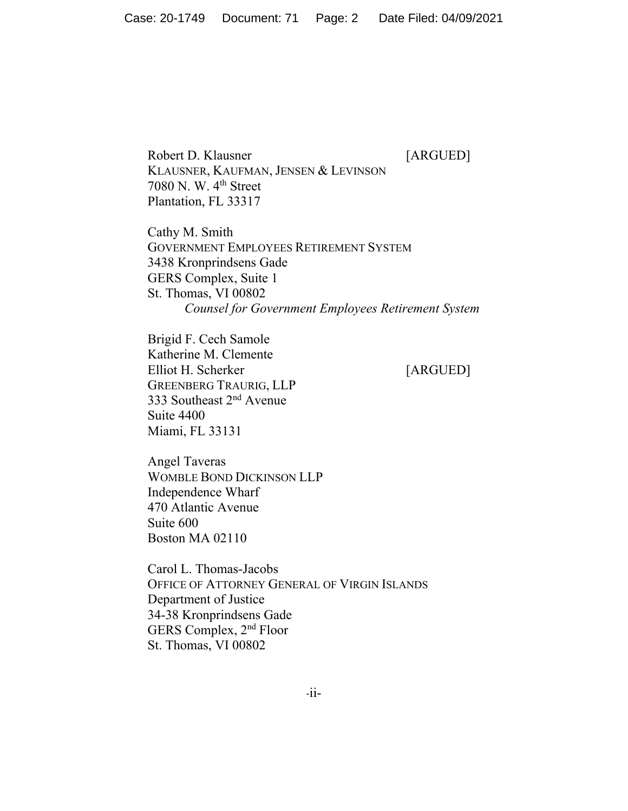Robert D. Klausner [ARGUED] KLAUSNER, KAUFMAN, JENSEN & LEVINSON 7080 N. W. 4th Street Plantation, FL 33317

Cathy M. Smith GOVERNMENT EMPLOYEES RETIREMENT SYSTEM 3438 Kronprindsens Gade GERS Complex, Suite 1 St. Thomas, VI 00802 *Counsel for Government Employees Retirement System* 

Brigid F. Cech Samole Katherine M. Clemente Elliot H. Scherker [ARGUED] GREENBERG TRAURIG, LLP 333 Southeast 2nd Avenue Suite 4400 Miami, FL 33131

Angel Taveras WOMBLE BOND DICKINSON LLP Independence Wharf 470 Atlantic Avenue Suite 600 Boston MA 02110

Carol L. Thomas-Jacobs OFFICE OF ATTORNEY GENERAL OF VIRGIN ISLANDS Department of Justice 34-38 Kronprindsens Gade GERS Complex, 2nd Floor St. Thomas, VI 00802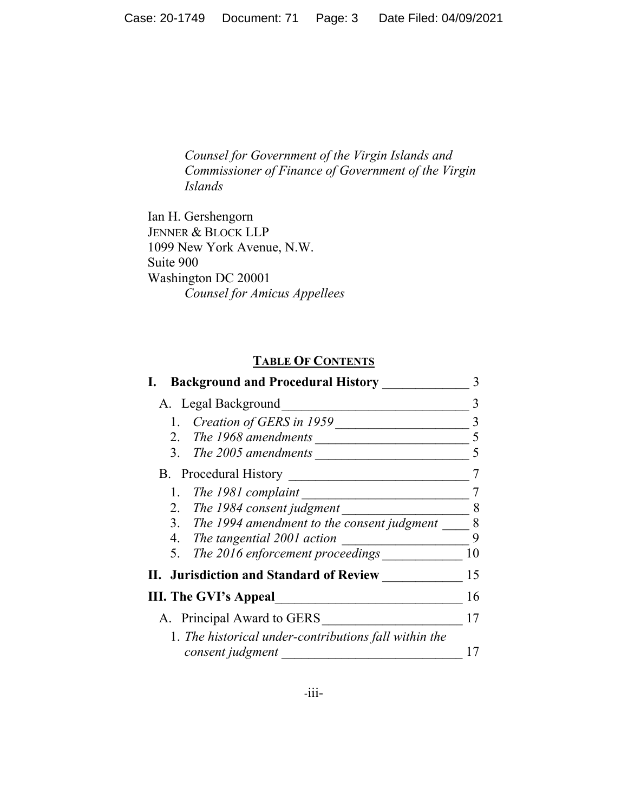*Counsel for Government of the Virgin Islands and Commissioner of Finance of Government of the Virgin Islands* 

Ian H. Gershengorn JENNER & BLOCK LLP 1099 New York Avenue, N.W. Suite 900 Washington DC 20001 *Counsel for Amicus Appellees* 

# **TABLE OF CONTENTS**

| <b>Background and Procedural History</b>                                  |    |
|---------------------------------------------------------------------------|----|
| A. Legal Background                                                       |    |
| Creation of GERS in 1959                                                  |    |
| 2. The 1968 amendments                                                    |    |
| The 2005 amendments<br>3.                                                 |    |
| <b>B.</b> Procedural History                                              |    |
| The 1981 complaint                                                        |    |
| 2. The 1984 consent judgment                                              | 8  |
| 3. The 1994 amendment to the consent judgment                             | 8  |
| 4. The tangential 2001 action                                             | 9  |
| The 2016 enforcement proceedings<br>5.                                    | 10 |
| II. Jurisdiction and Standard of Review                                   | 15 |
| <b>III. The GVI's Appeal</b>                                              | 16 |
| A. Principal Award to GERS                                                | 17 |
| 1. The historical under-contributions fall within the<br>consent judgment |    |
|                                                                           |    |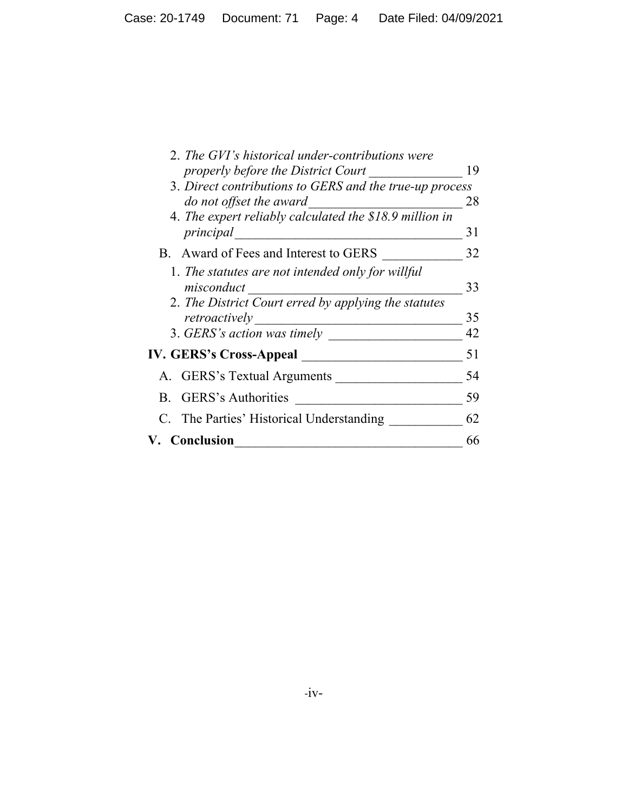| 2. The GVI's historical under-contributions were        |    |
|---------------------------------------------------------|----|
| properly before the District Court                      | 19 |
| 3. Direct contributions to GERS and the true-up process |    |
| do not offset the award                                 | 28 |
| 4. The expert reliably calculated the \$18.9 million in |    |
| principal                                               | 31 |
| B. Award of Fees and Interest to GERS                   | 32 |
| 1. The statutes are not intended only for willful       |    |
| misconduct                                              | 33 |
| 2. The District Court erred by applying the statutes    |    |
| retroactively                                           | 35 |
| 3. GERS's action was timely                             | 42 |
| <b>IV. GERS's Cross-Appeal</b>                          | 51 |
| A. GERS's Textual Arguments                             | 54 |
| <b>GERS's Authorities</b><br>$\mathbf{B}$               | 59 |
| C. The Parties' Historical Understanding                | 62 |
| <b>V.</b> Conclusion                                    | 66 |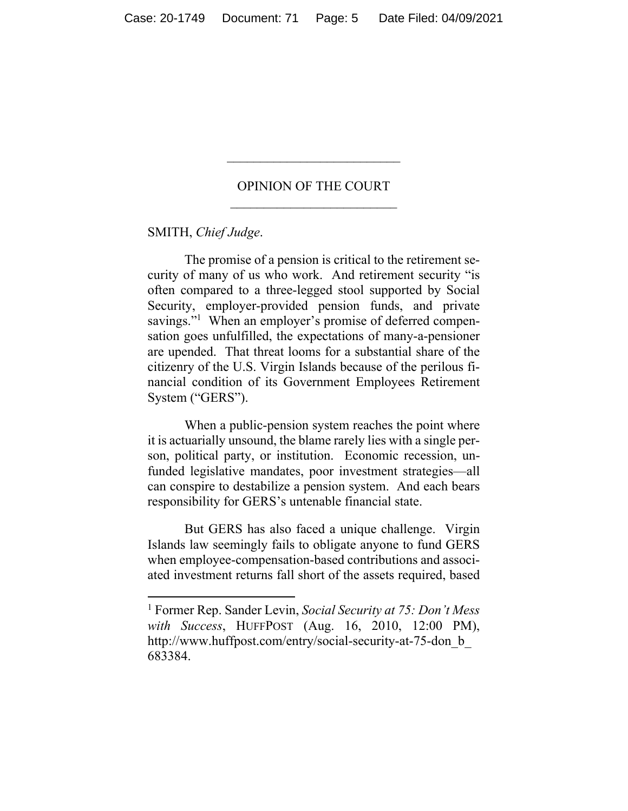## OPINION OF THE COURT

 $\overline{\phantom{a}}$  , where  $\overline{\phantom{a}}$ 

SMITH, *Chief Judge*.

The promise of a pension is critical to the retirement security of many of us who work. And retirement security "is often compared to a three-legged stool supported by Social Security, employer-provided pension funds, and private savings."<sup>1</sup> When an employer's promise of deferred compensation goes unfulfilled, the expectations of many-a-pensioner are upended. That threat looms for a substantial share of the citizenry of the U.S. Virgin Islands because of the perilous financial condition of its Government Employees Retirement System ("GERS").

When a public-pension system reaches the point where it is actuarially unsound, the blame rarely lies with a single person, political party, or institution. Economic recession, unfunded legislative mandates, poor investment strategies—all can conspire to destabilize a pension system. And each bears responsibility for GERS's untenable financial state.

But GERS has also faced a unique challenge. Virgin Islands law seemingly fails to obligate anyone to fund GERS when employee-compensation-based contributions and associated investment returns fall short of the assets required, based

<sup>1</sup> Former Rep. Sander Levin, *Social Security at 75: Don't Mess with Success*, HUFFPOST (Aug. 16, 2010, 12:00 PM), http://www.huffpost.com/entry/social-security-at-75-don\_b\_ 683384.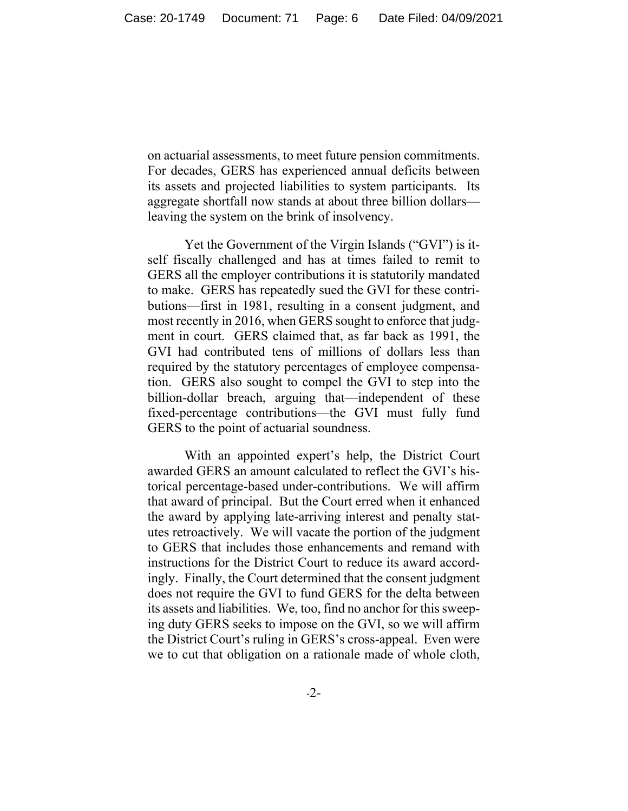on actuarial assessments, to meet future pension commitments. For decades, GERS has experienced annual deficits between its assets and projected liabilities to system participants. Its aggregate shortfall now stands at about three billion dollars leaving the system on the brink of insolvency.

 Yet the Government of the Virgin Islands ("GVI") is itself fiscally challenged and has at times failed to remit to GERS all the employer contributions it is statutorily mandated to make. GERS has repeatedly sued the GVI for these contributions—first in 1981, resulting in a consent judgment, and most recently in 2016, when GERS sought to enforce that judgment in court. GERS claimed that, as far back as 1991, the GVI had contributed tens of millions of dollars less than required by the statutory percentages of employee compensation. GERS also sought to compel the GVI to step into the billion-dollar breach, arguing that—independent of these fixed-percentage contributions—the GVI must fully fund GERS to the point of actuarial soundness.

With an appointed expert's help, the District Court awarded GERS an amount calculated to reflect the GVI's historical percentage-based under-contributions. We will affirm that award of principal. But the Court erred when it enhanced the award by applying late-arriving interest and penalty statutes retroactively. We will vacate the portion of the judgment to GERS that includes those enhancements and remand with instructions for the District Court to reduce its award accordingly. Finally, the Court determined that the consent judgment does not require the GVI to fund GERS for the delta between its assets and liabilities. We, too, find no anchor for this sweeping duty GERS seeks to impose on the GVI, so we will affirm the District Court's ruling in GERS's cross-appeal. Even were we to cut that obligation on a rationale made of whole cloth,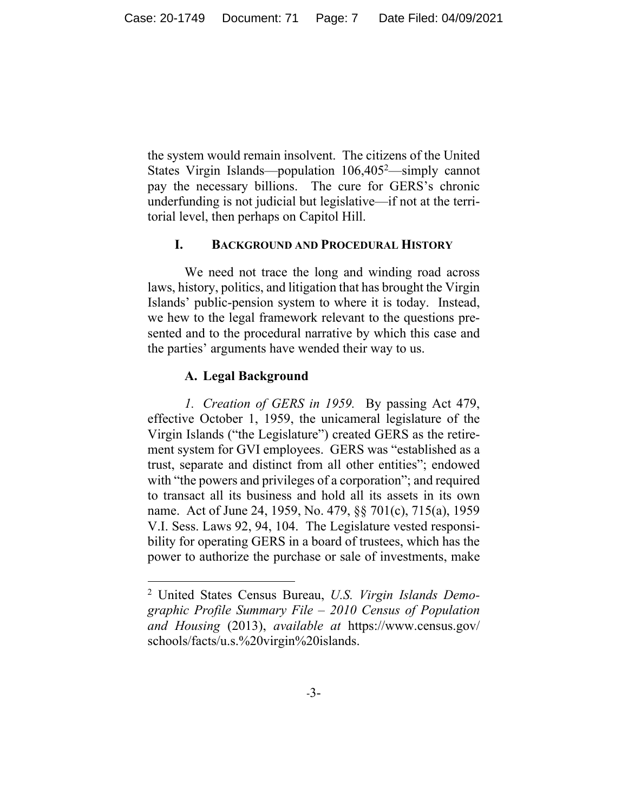the system would remain insolvent. The citizens of the United States Virgin Islands—population 106,405<sup>2</sup>—simply cannot pay the necessary billions. The cure for GERS's chronic underfunding is not judicial but legislative—if not at the territorial level, then perhaps on Capitol Hill.

## **I. BACKGROUND AND PROCEDURAL HISTORY**

We need not trace the long and winding road across laws, history, politics, and litigation that has brought the Virgin Islands' public-pension system to where it is today. Instead, we hew to the legal framework relevant to the questions presented and to the procedural narrative by which this case and the parties' arguments have wended their way to us.

#### **A. Legal Background**

*1. Creation of GERS in 1959.* By passing Act 479, effective October 1, 1959, the unicameral legislature of the Virgin Islands ("the Legislature") created GERS as the retirement system for GVI employees. GERS was "established as a trust, separate and distinct from all other entities"; endowed with "the powers and privileges of a corporation"; and required to transact all its business and hold all its assets in its own name. Act of June 24, 1959, No. 479, §§ 701(c), 715(a), 1959 V.I. Sess. Laws 92, 94, 104. The Legislature vested responsibility for operating GERS in a board of trustees, which has the power to authorize the purchase or sale of investments, make

<sup>2</sup> United States Census Bureau, *U.S. Virgin Islands Demographic Profile Summary File – 2010 Census of Population and Housing* (2013), *available at* https://www.census.gov/ schools/facts/u.s.%20virgin%20islands.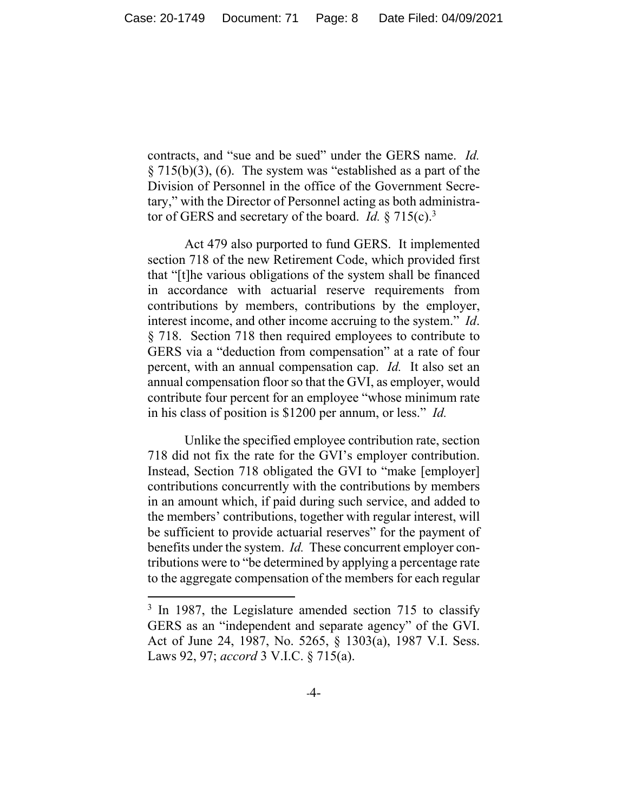contracts, and "sue and be sued" under the GERS name. *Id.*  § 715(b)(3), (6). The system was "established as a part of the Division of Personnel in the office of the Government Secretary," with the Director of Personnel acting as both administrator of GERS and secretary of the board. *Id.* § 715(c).3

Act 479 also purported to fund GERS. It implemented section 718 of the new Retirement Code, which provided first that "[t]he various obligations of the system shall be financed in accordance with actuarial reserve requirements from contributions by members, contributions by the employer, interest income, and other income accruing to the system." *Id*. § 718. Section 718 then required employees to contribute to GERS via a "deduction from compensation" at a rate of four percent, with an annual compensation cap. *Id.* It also set an annual compensation floor so that the GVI, as employer, would contribute four percent for an employee "whose minimum rate in his class of position is \$1200 per annum, or less." *Id.* 

Unlike the specified employee contribution rate, section 718 did not fix the rate for the GVI's employer contribution. Instead, Section 718 obligated the GVI to "make [employer] contributions concurrently with the contributions by members in an amount which, if paid during such service, and added to the members' contributions, together with regular interest, will be sufficient to provide actuarial reserves" for the payment of benefits under the system. *Id.* These concurrent employer contributions were to "be determined by applying a percentage rate to the aggregate compensation of the members for each regular

<sup>&</sup>lt;sup>3</sup> In 1987, the Legislature amended section 715 to classify GERS as an "independent and separate agency" of the GVI. Act of June 24, 1987, No. 5265, § 1303(a), 1987 V.I. Sess. Laws 92, 97; *accord* 3 V.I.C. § 715(a).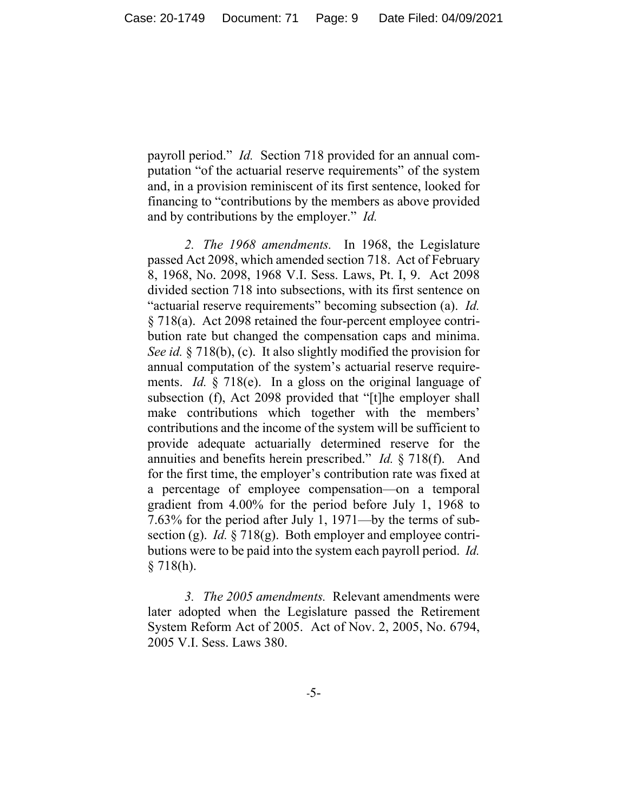payroll period." *Id.* Section 718 provided for an annual computation "of the actuarial reserve requirements" of the system and, in a provision reminiscent of its first sentence, looked for financing to "contributions by the members as above provided and by contributions by the employer." *Id.* 

*2. The 1968 amendments.* In 1968, the Legislature passed Act 2098, which amended section 718. Act of February 8, 1968, No. 2098, 1968 V.I. Sess. Laws, Pt. I, 9. Act 2098 divided section 718 into subsections, with its first sentence on "actuarial reserve requirements" becoming subsection (a). *Id.*  § 718(a). Act 2098 retained the four-percent employee contribution rate but changed the compensation caps and minima. *See id.* § 718(b), (c). It also slightly modified the provision for annual computation of the system's actuarial reserve requirements. *Id.* § 718(e). In a gloss on the original language of subsection (f), Act 2098 provided that "[t]he employer shall make contributions which together with the members' contributions and the income of the system will be sufficient to provide adequate actuarially determined reserve for the annuities and benefits herein prescribed." *Id.* § 718(f). And for the first time, the employer's contribution rate was fixed at a percentage of employee compensation—on a temporal gradient from 4.00% for the period before July 1, 1968 to 7.63% for the period after July 1, 1971—by the terms of subsection (g). *Id.* § 718(g). Both employer and employee contributions were to be paid into the system each payroll period. *Id.*   $§ 718(h).$ 

*3. The 2005 amendments.* Relevant amendments were later adopted when the Legislature passed the Retirement System Reform Act of 2005. Act of Nov. 2, 2005, No. 6794, 2005 V.I. Sess. Laws 380.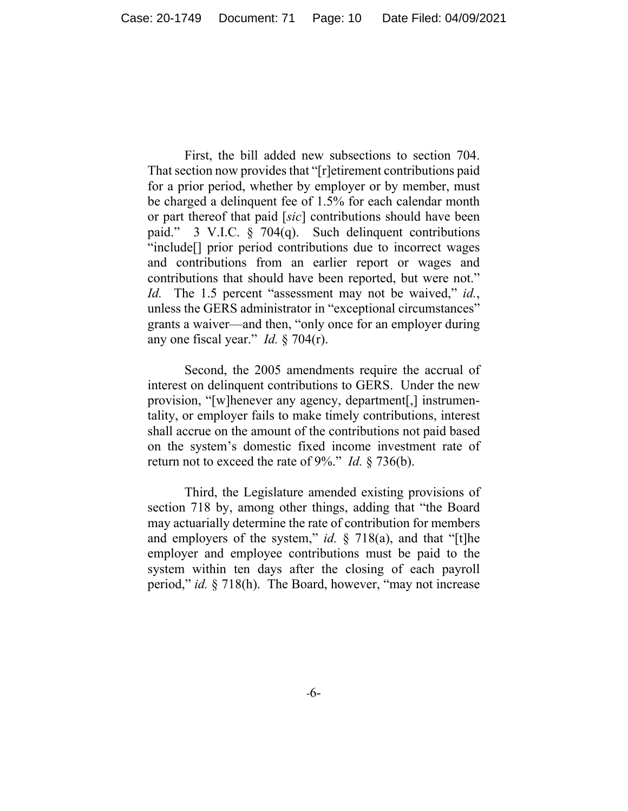First, the bill added new subsections to section 704. That section now provides that "[r]etirement contributions paid for a prior period, whether by employer or by member, must be charged a delinquent fee of 1.5% for each calendar month or part thereof that paid [*sic*] contributions should have been paid." 3 V.I.C. § 704(q). Such delinquent contributions "include[] prior period contributions due to incorrect wages and contributions from an earlier report or wages and contributions that should have been reported, but were not." *Id.* The 1.5 percent "assessment may not be waived," *id.*, unless the GERS administrator in "exceptional circumstances" grants a waiver—and then, "only once for an employer during any one fiscal year." *Id.* § 704(r).

Second, the 2005 amendments require the accrual of interest on delinquent contributions to GERS. Under the new provision, "[w]henever any agency, department[,] instrumentality, or employer fails to make timely contributions, interest shall accrue on the amount of the contributions not paid based on the system's domestic fixed income investment rate of return not to exceed the rate of 9%." *Id.* § 736(b).

Third, the Legislature amended existing provisions of section 718 by, among other things, adding that "the Board may actuarially determine the rate of contribution for members and employers of the system," *id.* § 718(a), and that "[t]he employer and employee contributions must be paid to the system within ten days after the closing of each payroll period," *id.* § 718(h). The Board, however, "may not increase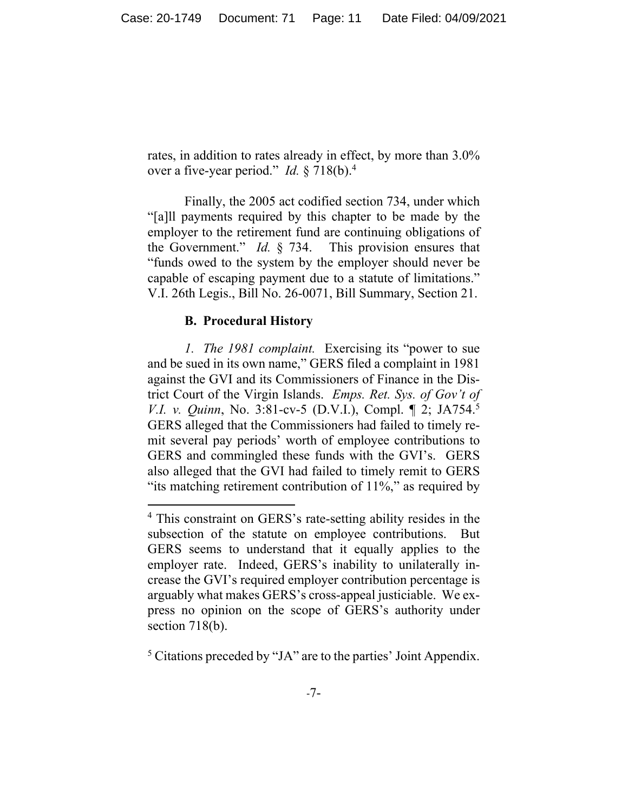rates, in addition to rates already in effect, by more than 3.0% over a five-year period." *Id.* § 718(b).4

Finally, the 2005 act codified section 734, under which "[a]ll payments required by this chapter to be made by the employer to the retirement fund are continuing obligations of the Government." *Id.* § 734. This provision ensures that "funds owed to the system by the employer should never be capable of escaping payment due to a statute of limitations." V.I. 26th Legis., Bill No. 26-0071, Bill Summary, Section 21.

#### **B. Procedural History**

*1. The 1981 complaint.* Exercising its "power to sue and be sued in its own name," GERS filed a complaint in 1981 against the GVI and its Commissioners of Finance in the District Court of the Virgin Islands. *Emps. Ret. Sys. of Gov't of V.I. v. Quinn*, No. 3:81-cv-5 (D.V.I.), Compl. 1 2; JA754.<sup>5</sup> GERS alleged that the Commissioners had failed to timely remit several pay periods' worth of employee contributions to GERS and commingled these funds with the GVI's. GERS also alleged that the GVI had failed to timely remit to GERS "its matching retirement contribution of 11%," as required by

<sup>&</sup>lt;sup>4</sup> This constraint on GERS's rate-setting ability resides in the subsection of the statute on employee contributions. But GERS seems to understand that it equally applies to the employer rate. Indeed, GERS's inability to unilaterally increase the GVI's required employer contribution percentage is arguably what makes GERS's cross-appeal justiciable. We express no opinion on the scope of GERS's authority under section 718(b).

<sup>&</sup>lt;sup>5</sup> Citations preceded by "JA" are to the parties' Joint Appendix.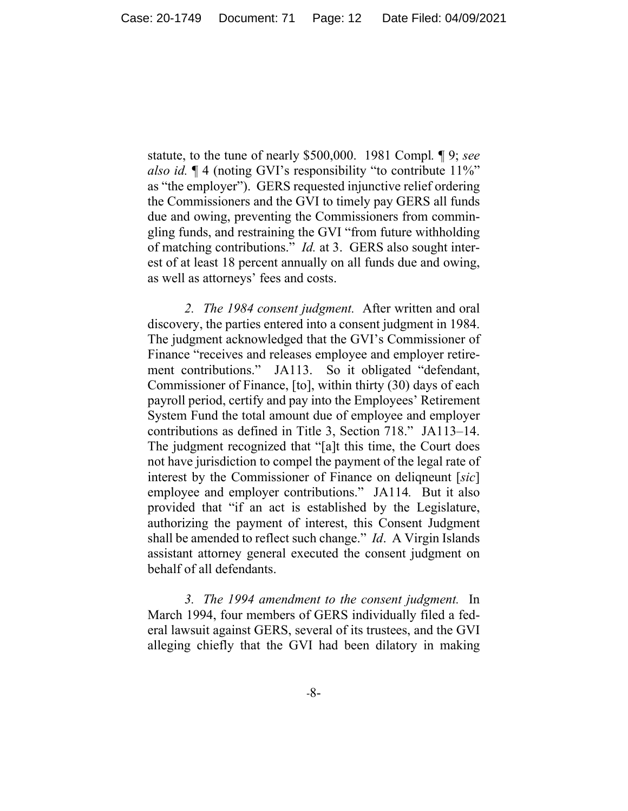statute, to the tune of nearly \$500,000. 1981 Compl*.* ¶ 9; *see also id.* ¶ 4 (noting GVI's responsibility "to contribute 11%" as "the employer"). GERS requested injunctive relief ordering the Commissioners and the GVI to timely pay GERS all funds due and owing, preventing the Commissioners from commingling funds, and restraining the GVI "from future withholding of matching contributions." *Id.* at 3. GERS also sought interest of at least 18 percent annually on all funds due and owing, as well as attorneys' fees and costs.

*2. The 1984 consent judgment.* After written and oral discovery, the parties entered into a consent judgment in 1984. The judgment acknowledged that the GVI's Commissioner of Finance "receives and releases employee and employer retirement contributions." JA113. So it obligated "defendant, Commissioner of Finance, [to], within thirty (30) days of each payroll period, certify and pay into the Employees' Retirement System Fund the total amount due of employee and employer contributions as defined in Title 3, Section 718." JA113–14. The judgment recognized that "[a]t this time, the Court does not have jurisdiction to compel the payment of the legal rate of interest by the Commissioner of Finance on deliqneunt [*sic*] employee and employer contributions." JA114*.* But it also provided that "if an act is established by the Legislature, authorizing the payment of interest, this Consent Judgment shall be amended to reflect such change." *Id*. A Virgin Islands assistant attorney general executed the consent judgment on behalf of all defendants.

*3. The 1994 amendment to the consent judgment.* In March 1994, four members of GERS individually filed a federal lawsuit against GERS, several of its trustees, and the GVI alleging chiefly that the GVI had been dilatory in making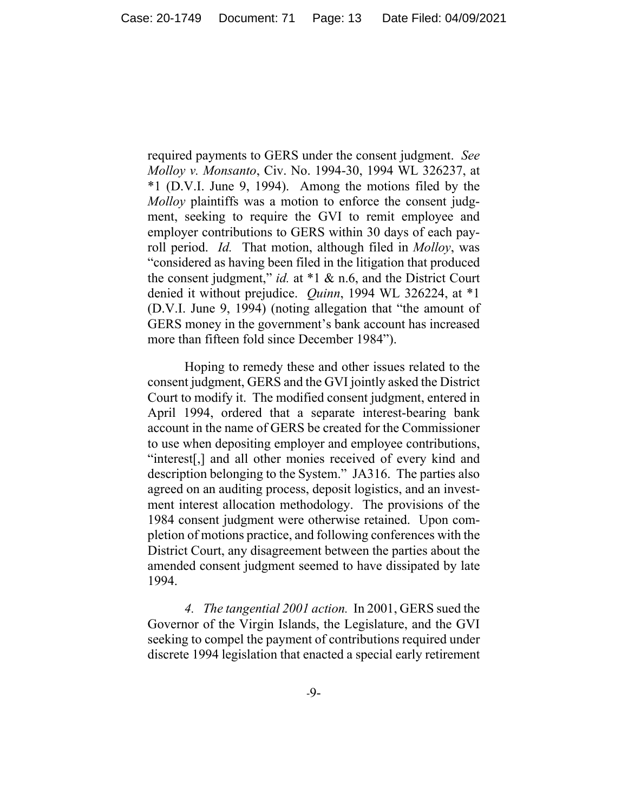required payments to GERS under the consent judgment. *See Molloy v. Monsanto*, Civ. No. 1994-30, 1994 WL 326237, at \*1 (D.V.I. June 9, 1994). Among the motions filed by the *Molloy* plaintiffs was a motion to enforce the consent judgment, seeking to require the GVI to remit employee and employer contributions to GERS within 30 days of each payroll period. *Id.* That motion, although filed in *Molloy*, was "considered as having been filed in the litigation that produced the consent judgment," *id.* at \*1 & n.6, and the District Court denied it without prejudice. *Quinn*, 1994 WL 326224, at \*1 (D.V.I. June 9, 1994) (noting allegation that "the amount of GERS money in the government's bank account has increased more than fifteen fold since December 1984").

Hoping to remedy these and other issues related to the consent judgment, GERS and the GVI jointly asked the District Court to modify it. The modified consent judgment, entered in April 1994, ordered that a separate interest-bearing bank account in the name of GERS be created for the Commissioner to use when depositing employer and employee contributions, "interest[,] and all other monies received of every kind and description belonging to the System." JA316. The parties also agreed on an auditing process, deposit logistics, and an investment interest allocation methodology. The provisions of the 1984 consent judgment were otherwise retained. Upon completion of motions practice, and following conferences with the District Court, any disagreement between the parties about the amended consent judgment seemed to have dissipated by late 1994.

*4. The tangential 2001 action.* In 2001, GERS sued the Governor of the Virgin Islands, the Legislature, and the GVI seeking to compel the payment of contributions required under discrete 1994 legislation that enacted a special early retirement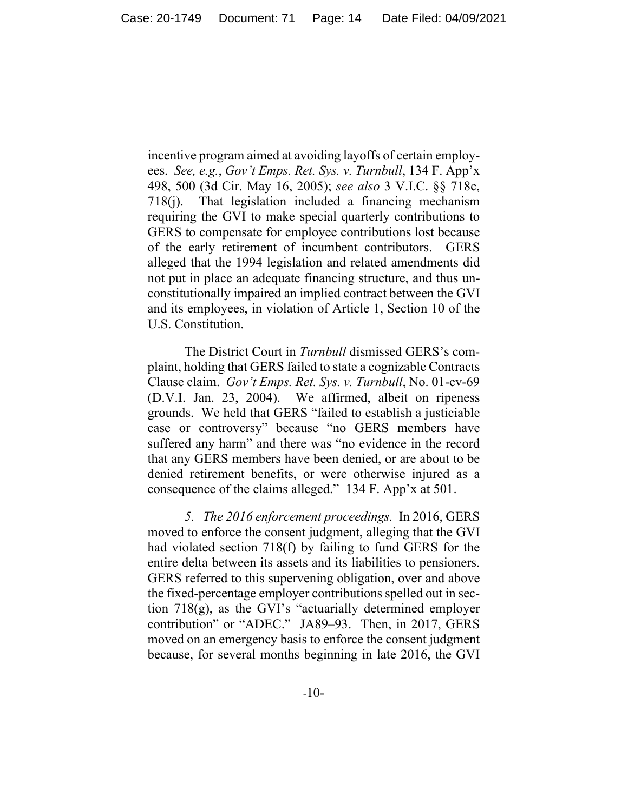incentive program aimed at avoiding layoffs of certain employees. *See, e.g.*, *Gov't Emps. Ret. Sys. v. Turnbull*, 134 F. App'x 498, 500 (3d Cir. May 16, 2005); *see also* 3 V.I.C. §§ 718c, 718(j). That legislation included a financing mechanism requiring the GVI to make special quarterly contributions to GERS to compensate for employee contributions lost because of the early retirement of incumbent contributors. GERS alleged that the 1994 legislation and related amendments did not put in place an adequate financing structure, and thus unconstitutionally impaired an implied contract between the GVI and its employees, in violation of Article 1, Section 10 of the U.S. Constitution.

The District Court in *Turnbull* dismissed GERS's complaint, holding that GERS failed to state a cognizable Contracts Clause claim. *Gov't Emps. Ret. Sys. v. Turnbull*, No. 01-cv-69 (D.V.I. Jan. 23, 2004). We affirmed, albeit on ripeness grounds. We held that GERS "failed to establish a justiciable case or controversy" because "no GERS members have suffered any harm" and there was "no evidence in the record that any GERS members have been denied, or are about to be denied retirement benefits, or were otherwise injured as a consequence of the claims alleged." 134 F. App'x at 501.

*5. The 2016 enforcement proceedings.* In 2016, GERS moved to enforce the consent judgment, alleging that the GVI had violated section 718(f) by failing to fund GERS for the entire delta between its assets and its liabilities to pensioners. GERS referred to this supervening obligation, over and above the fixed-percentage employer contributions spelled out in section 718(g), as the GVI's "actuarially determined employer contribution" or "ADEC." JA89–93. Then, in 2017, GERS moved on an emergency basis to enforce the consent judgment because, for several months beginning in late 2016, the GVI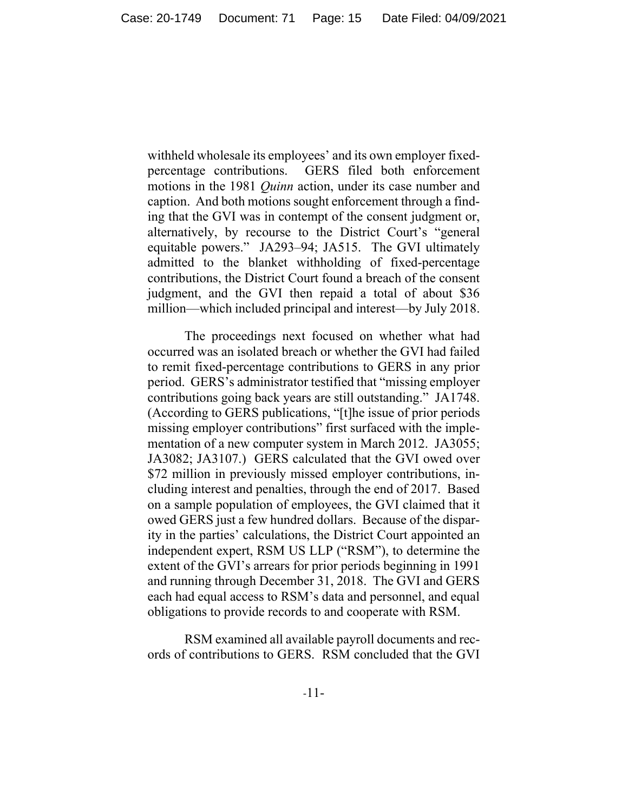withheld wholesale its employees' and its own employer fixedpercentage contributions. GERS filed both enforcement motions in the 1981 *Quinn* action, under its case number and caption. And both motions sought enforcement through a finding that the GVI was in contempt of the consent judgment or, alternatively, by recourse to the District Court's "general equitable powers." JA293–94; JA515.The GVI ultimately admitted to the blanket withholding of fixed-percentage contributions, the District Court found a breach of the consent judgment, and the GVI then repaid a total of about \$36 million—which included principal and interest—by July 2018.

 The proceedings next focused on whether what had occurred was an isolated breach or whether the GVI had failed to remit fixed-percentage contributions to GERS in any prior period. GERS's administrator testified that "missing employer contributions going back years are still outstanding." JA1748. (According to GERS publications, "[t]he issue of prior periods missing employer contributions" first surfaced with the implementation of a new computer system in March 2012. JA3055; JA3082; JA3107.) GERS calculated that the GVI owed over \$72 million in previously missed employer contributions, including interest and penalties, through the end of 2017. Based on a sample population of employees, the GVI claimed that it owed GERS just a few hundred dollars. Because of the disparity in the parties' calculations, the District Court appointed an independent expert, RSM US LLP ("RSM"), to determine the extent of the GVI's arrears for prior periods beginning in 1991 and running through December 31, 2018. The GVI and GERS each had equal access to RSM's data and personnel, and equal obligations to provide records to and cooperate with RSM.

RSM examined all available payroll documents and records of contributions to GERS. RSM concluded that the GVI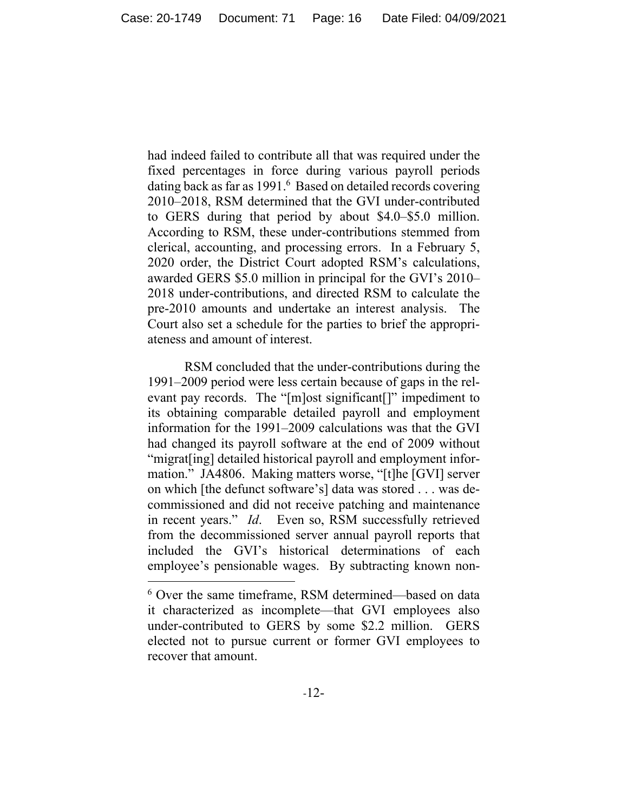had indeed failed to contribute all that was required under the fixed percentages in force during various payroll periods dating back as far as 1991.<sup>6</sup> Based on detailed records covering 2010–2018, RSM determined that the GVI under-contributed to GERS during that period by about \$4.0–\$5.0 million. According to RSM, these under-contributions stemmed from clerical, accounting, and processing errors. In a February 5, 2020 order, the District Court adopted RSM's calculations, awarded GERS \$5.0 million in principal for the GVI's 2010– 2018 under-contributions, and directed RSM to calculate the pre-2010 amounts and undertake an interest analysis. The Court also set a schedule for the parties to brief the appropriateness and amount of interest.

 RSM concluded that the under-contributions during the 1991–2009 period were less certain because of gaps in the relevant pay records. The "[m]ost significant[]" impediment to its obtaining comparable detailed payroll and employment information for the 1991–2009 calculations was that the GVI had changed its payroll software at the end of 2009 without "migrat[ing] detailed historical payroll and employment information." JA4806. Making matters worse, "[t]he [GVI] server on which [the defunct software's] data was stored . . . was decommissioned and did not receive patching and maintenance in recent years." *Id*. Even so, RSM successfully retrieved from the decommissioned server annual payroll reports that included the GVI's historical determinations of each employee's pensionable wages. By subtracting known non-

<sup>6</sup> Over the same timeframe, RSM determined—based on data it characterized as incomplete—that GVI employees also under-contributed to GERS by some \$2.2 million.GERS elected not to pursue current or former GVI employees to recover that amount.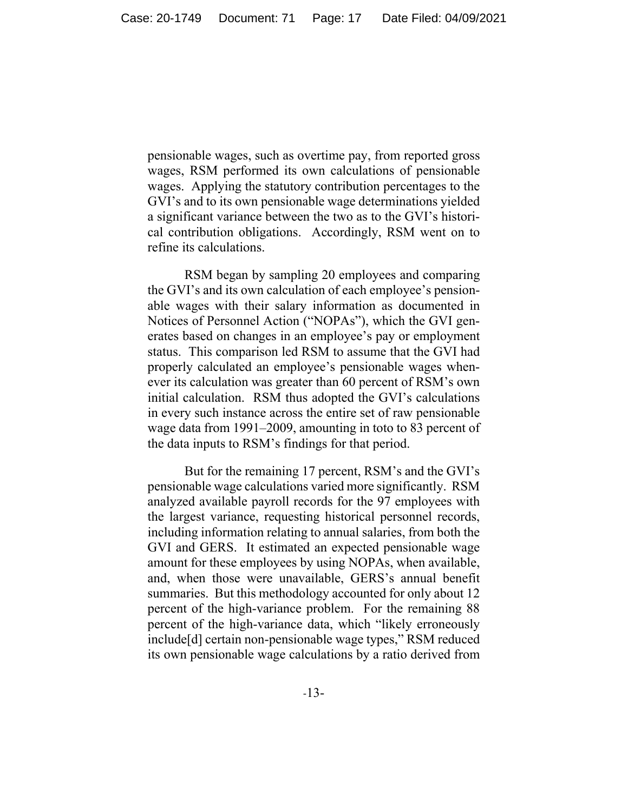pensionable wages, such as overtime pay, from reported gross wages, RSM performed its own calculations of pensionable wages. Applying the statutory contribution percentages to the GVI's and to its own pensionable wage determinations yielded a significant variance between the two as to the GVI's historical contribution obligations. Accordingly, RSM went on to refine its calculations.

RSM began by sampling 20 employees and comparing the GVI's and its own calculation of each employee's pensionable wages with their salary information as documented in Notices of Personnel Action ("NOPAs"), which the GVI generates based on changes in an employee's pay or employment status. This comparison led RSM to assume that the GVI had properly calculated an employee's pensionable wages whenever its calculation was greater than 60 percent of RSM's own initial calculation. RSM thus adopted the GVI's calculations in every such instance across the entire set of raw pensionable wage data from 1991–2009, amounting in toto to 83 percent of the data inputs to RSM's findings for that period.

But for the remaining 17 percent, RSM's and the GVI's pensionable wage calculations varied more significantly. RSM analyzed available payroll records for the 97 employees with the largest variance, requesting historical personnel records, including information relating to annual salaries, from both the GVI and GERS. It estimated an expected pensionable wage amount for these employees by using NOPAs, when available, and, when those were unavailable, GERS's annual benefit summaries. But this methodology accounted for only about 12 percent of the high-variance problem. For the remaining 88 percent of the high-variance data, which "likely erroneously include[d] certain non-pensionable wage types," RSM reduced its own pensionable wage calculations by a ratio derived from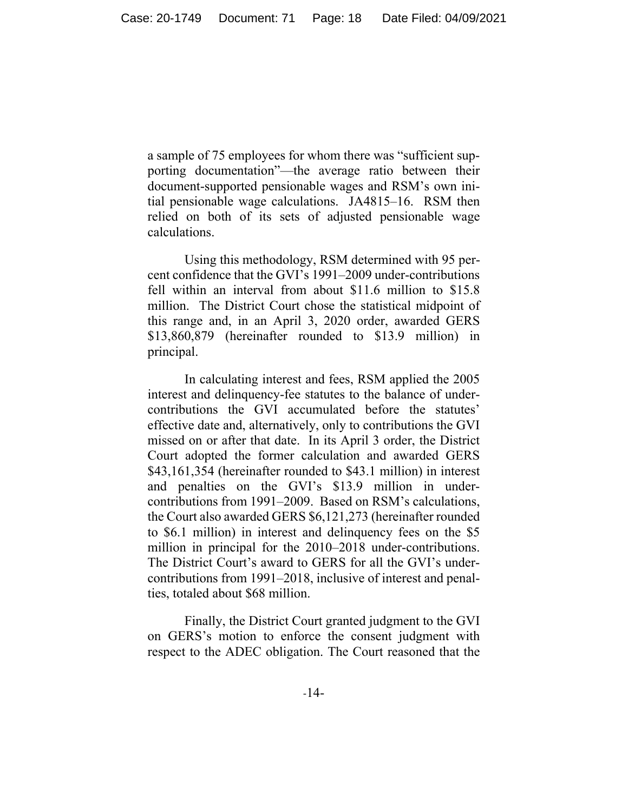a sample of 75 employees for whom there was "sufficient supporting documentation"—the average ratio between their document-supported pensionable wages and RSM's own initial pensionable wage calculations. JA4815–16. RSM then relied on both of its sets of adjusted pensionable wage calculations.

 Using this methodology, RSM determined with 95 percent confidence that the GVI's 1991–2009 under-contributions fell within an interval from about \$11.6 million to \$15.8 million. The District Court chose the statistical midpoint of this range and, in an April 3, 2020 order, awarded GERS \$13,860,879 (hereinafter rounded to \$13.9 million) in principal.

 In calculating interest and fees, RSM applied the 2005 interest and delinquency-fee statutes to the balance of undercontributions the GVI accumulated before the statutes' effective date and, alternatively, only to contributions the GVI missed on or after that date. In its April 3 order, the District Court adopted the former calculation and awarded GERS \$43,161,354 (hereinafter rounded to \$43.1 million) in interest and penalties on the GVI's \$13.9 million in undercontributions from 1991–2009. Based on RSM's calculations, the Court also awarded GERS \$6,121,273 (hereinafter rounded to \$6.1 million) in interest and delinquency fees on the \$5 million in principal for the 2010–2018 under-contributions. The District Court's award to GERS for all the GVI's undercontributions from 1991–2018, inclusive of interest and penalties, totaled about \$68 million.

 Finally, the District Court granted judgment to the GVI on GERS's motion to enforce the consent judgment with respect to the ADEC obligation. The Court reasoned that the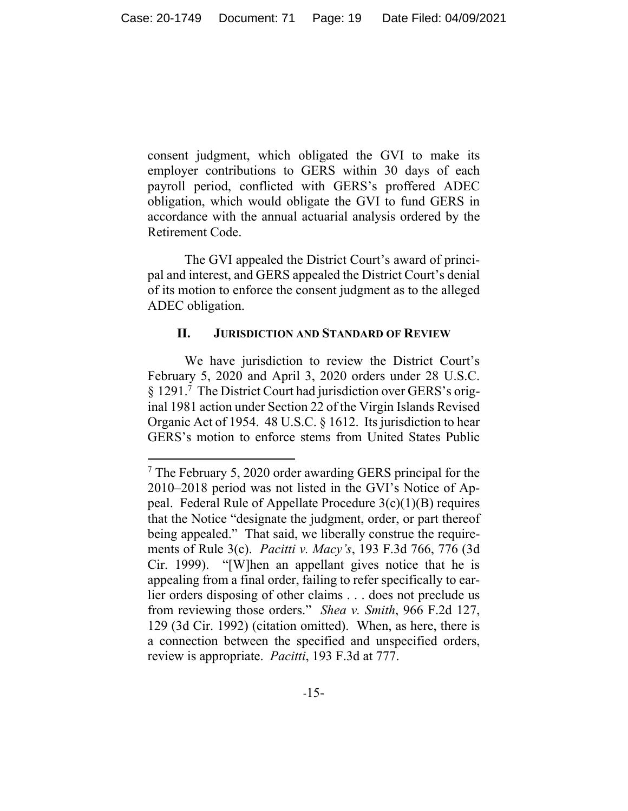consent judgment, which obligated the GVI to make its employer contributions to GERS within 30 days of each payroll period, conflicted with GERS's proffered ADEC obligation, which would obligate the GVI to fund GERS in accordance with the annual actuarial analysis ordered by the Retirement Code.

 The GVI appealed the District Court's award of principal and interest, and GERS appealed the District Court's denial of its motion to enforce the consent judgment as to the alleged ADEC obligation.

#### **II. JURISDICTION AND STANDARD OF REVIEW**

We have jurisdiction to review the District Court's February 5, 2020 and April 3, 2020 orders under 28 U.S.C. § 1291.7 The District Court had jurisdiction over GERS's original 1981 action under Section 22 of the Virgin Islands Revised Organic Act of 1954. 48 U.S.C. § 1612. Its jurisdiction to hear GERS's motion to enforce stems from United States Public

<sup>&</sup>lt;sup>7</sup> The February 5, 2020 order awarding GERS principal for the 2010–2018 period was not listed in the GVI's Notice of Appeal. Federal Rule of Appellate Procedure  $3(c)(1)(B)$  requires that the Notice "designate the judgment, order, or part thereof being appealed." That said, we liberally construe the requirements of Rule 3(c). *Pacitti v. Macy's*, 193 F.3d 766, 776 (3d Cir. 1999). "[W]hen an appellant gives notice that he is appealing from a final order, failing to refer specifically to earlier orders disposing of other claims . . . does not preclude us from reviewing those orders." *Shea v. Smith*, 966 F.2d 127, 129 (3d Cir. 1992) (citation omitted). When, as here, there is a connection between the specified and unspecified orders, review is appropriate. *Pacitti*, 193 F.3d at 777.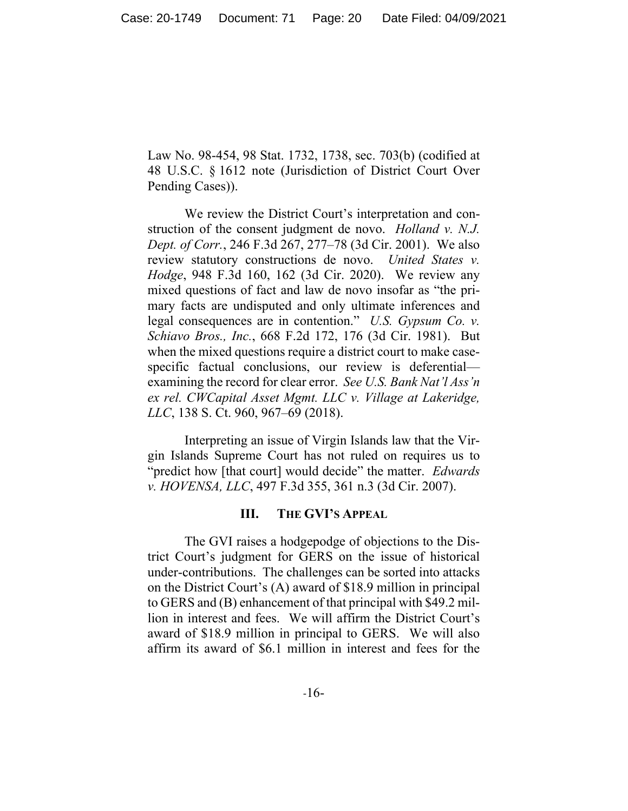Law No. 98-454, 98 Stat. 1732, 1738, sec. 703(b) (codified at 48 U.S.C. § 1612 note (Jurisdiction of District Court Over Pending Cases)).

We review the District Court's interpretation and construction of the consent judgment de novo. *Holland v. N.J. Dept. of Corr.*, 246 F.3d 267, 277–78 (3d Cir. 2001). We also review statutory constructions de novo. *United States v. Hodge*, 948 F.3d 160, 162 (3d Cir. 2020). We review any mixed questions of fact and law de novo insofar as "the primary facts are undisputed and only ultimate inferences and legal consequences are in contention." *U.S. Gypsum Co. v. Schiavo Bros., Inc.*, 668 F.2d 172, 176 (3d Cir. 1981). But when the mixed questions require a district court to make casespecific factual conclusions, our review is deferential examining the record for clear error. *See U.S. Bank Nat'l Ass'n ex rel. CWCapital Asset Mgmt. LLC v. Village at Lakeridge, LLC*, 138 S. Ct. 960, 967–69 (2018).

Interpreting an issue of Virgin Islands law that the Virgin Islands Supreme Court has not ruled on requires us to "predict how [that court] would decide" the matter. *Edwards v. HOVENSA, LLC*, 497 F.3d 355, 361 n.3 (3d Cir. 2007).

#### **III. THE GVI'S APPEAL**

The GVI raises a hodgepodge of objections to the District Court's judgment for GERS on the issue of historical under-contributions. The challenges can be sorted into attacks on the District Court's (A) award of \$18.9 million in principal to GERS and (B) enhancement of that principal with \$49.2 million in interest and fees. We will affirm the District Court's award of \$18.9 million in principal to GERS. We will also affirm its award of \$6.1 million in interest and fees for the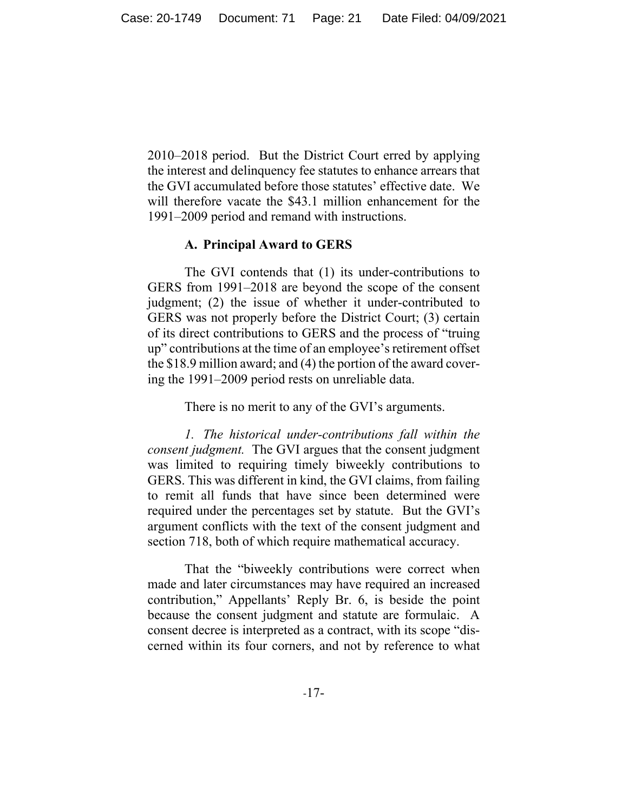2010–2018 period. But the District Court erred by applying the interest and delinquency fee statutes to enhance arrears that the GVI accumulated before those statutes' effective date. We will therefore vacate the \$43.1 million enhancement for the 1991–2009 period and remand with instructions.

#### **A. Principal Award to GERS**

The GVI contends that (1) its under-contributions to GERS from 1991–2018 are beyond the scope of the consent judgment; (2) the issue of whether it under-contributed to GERS was not properly before the District Court; (3) certain of its direct contributions to GERS and the process of "truing up" contributions at the time of an employee's retirement offset the \$18.9 million award; and (4) the portion of the award covering the 1991–2009 period rests on unreliable data.

There is no merit to any of the GVI's arguments.

*1. The historical under-contributions fall within the consent judgment.* The GVI argues that the consent judgment was limited to requiring timely biweekly contributions to GERS. This was different in kind, the GVI claims, from failing to remit all funds that have since been determined were required under the percentages set by statute. But the GVI's argument conflicts with the text of the consent judgment and section 718, both of which require mathematical accuracy.

 That the "biweekly contributions were correct when made and later circumstances may have required an increased contribution," Appellants' Reply Br. 6, is beside the point because the consent judgment and statute are formulaic. A consent decree is interpreted as a contract, with its scope "discerned within its four corners, and not by reference to what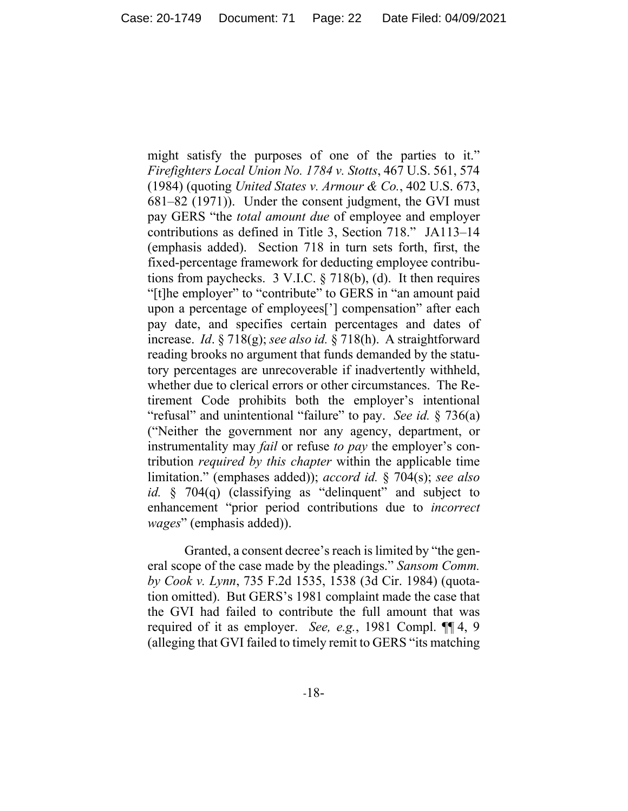might satisfy the purposes of one of the parties to it." *Firefighters Local Union No. 1784 v. Stotts*, 467 U.S. 561, 574 (1984) (quoting *United States v. Armour & Co.*, 402 U.S. 673, 681–82 (1971)). Under the consent judgment, the GVI must pay GERS "the *total amount due* of employee and employer contributions as defined in Title 3, Section 718." JA113–14 (emphasis added). Section 718 in turn sets forth, first, the fixed-percentage framework for deducting employee contributions from paychecks.  $3$  V.I.C.  $\S$  718(b), (d). It then requires "[t]he employer" to "contribute" to GERS in "an amount paid upon a percentage of employees['] compensation" after each pay date, and specifies certain percentages and dates of increase. *Id*. § 718(g); *see also id.* § 718(h). A straightforward reading brooks no argument that funds demanded by the statutory percentages are unrecoverable if inadvertently withheld, whether due to clerical errors or other circumstances. The Retirement Code prohibits both the employer's intentional "refusal" and unintentional "failure" to pay. *See id.* § 736(a) ("Neither the government nor any agency, department, or instrumentality may *fail* or refuse *to pay* the employer's contribution *required by this chapter* within the applicable time limitation." (emphases added)); *accord id.* § 704(s); *see also id.* § 704(q) (classifying as "delinquent" and subject to enhancement "prior period contributions due to *incorrect wages*" (emphasis added)).

Granted, a consent decree's reach is limited by "the general scope of the case made by the pleadings." *Sansom Comm. by Cook v. Lynn*, 735 F.2d 1535, 1538 (3d Cir. 1984) (quotation omitted). But GERS's 1981 complaint made the case that the GVI had failed to contribute the full amount that was required of it as employer. *See, e.g.*, 1981 Compl. ¶¶ 4, 9 (alleging that GVI failed to timely remit to GERS "its matching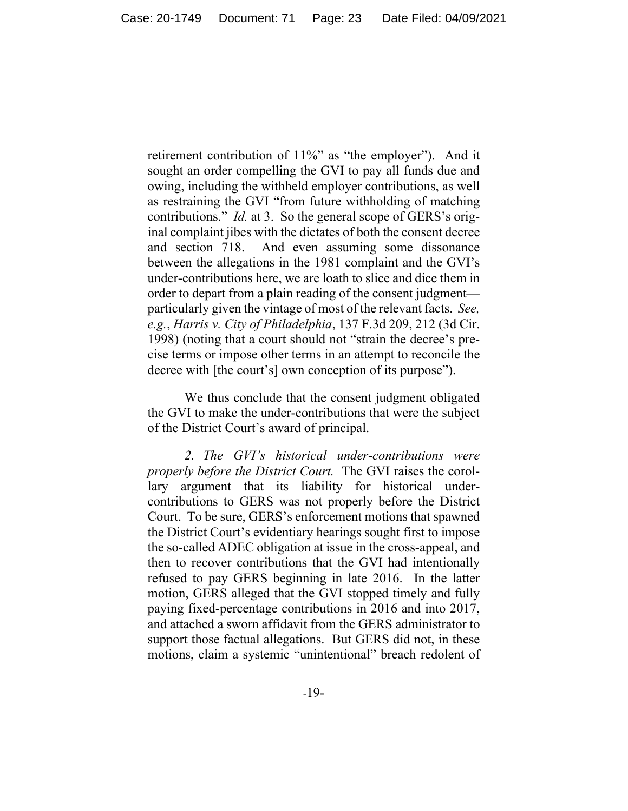retirement contribution of 11%" as "the employer"). And it sought an order compelling the GVI to pay all funds due and owing, including the withheld employer contributions, as well as restraining the GVI "from future withholding of matching contributions." *Id.* at 3. So the general scope of GERS's original complaint jibes with the dictates of both the consent decree and section 718. And even assuming some dissonance between the allegations in the 1981 complaint and the GVI's under-contributions here, we are loath to slice and dice them in order to depart from a plain reading of the consent judgment particularly given the vintage of most of the relevant facts. *See, e.g.*, *Harris v. City of Philadelphia*, 137 F.3d 209, 212 (3d Cir. 1998) (noting that a court should not "strain the decree's precise terms or impose other terms in an attempt to reconcile the decree with [the court's] own conception of its purpose").

We thus conclude that the consent judgment obligated the GVI to make the under-contributions that were the subject of the District Court's award of principal.

*2. The GVI's historical under-contributions were properly before the District Court.* The GVI raises the corollary argument that its liability for historical undercontributions to GERS was not properly before the District Court. To be sure, GERS's enforcement motions that spawned the District Court's evidentiary hearings sought first to impose the so-called ADEC obligation at issue in the cross-appeal, and then to recover contributions that the GVI had intentionally refused to pay GERS beginning in late 2016. In the latter motion, GERS alleged that the GVI stopped timely and fully paying fixed-percentage contributions in 2016 and into 2017, and attached a sworn affidavit from the GERS administrator to support those factual allegations. But GERS did not, in these motions, claim a systemic "unintentional" breach redolent of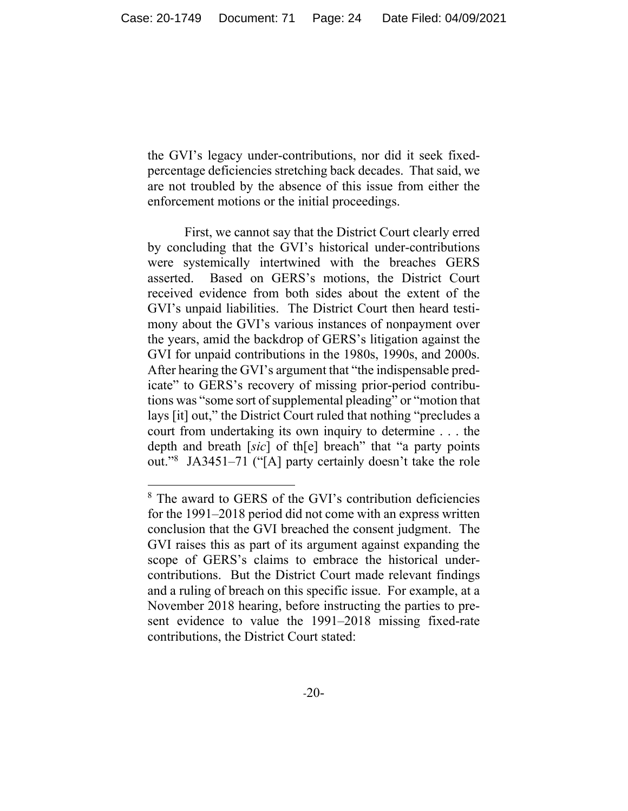the GVI's legacy under-contributions, nor did it seek fixedpercentage deficiencies stretching back decades. That said, we are not troubled by the absence of this issue from either the enforcement motions or the initial proceedings.

First, we cannot say that the District Court clearly erred by concluding that the GVI's historical under-contributions were systemically intertwined with the breaches GERS asserted. Based on GERS's motions, the District Court received evidence from both sides about the extent of the GVI's unpaid liabilities. The District Court then heard testimony about the GVI's various instances of nonpayment over the years, amid the backdrop of GERS's litigation against the GVI for unpaid contributions in the 1980s, 1990s, and 2000s. After hearing the GVI's argument that "the indispensable predicate" to GERS's recovery of missing prior-period contributions was "some sort of supplemental pleading" or "motion that lays [it] out," the District Court ruled that nothing "precludes a court from undertaking its own inquiry to determine . . . the depth and breath [*sic*] of th[e] breach" that "a party points out."8 JA3451–71 ("[A] party certainly doesn't take the role

<sup>8</sup> The award to GERS of the GVI's contribution deficiencies for the 1991–2018 period did not come with an express written conclusion that the GVI breached the consent judgment. The GVI raises this as part of its argument against expanding the scope of GERS's claims to embrace the historical undercontributions. But the District Court made relevant findings and a ruling of breach on this specific issue. For example, at a November 2018 hearing, before instructing the parties to present evidence to value the 1991–2018 missing fixed-rate contributions, the District Court stated: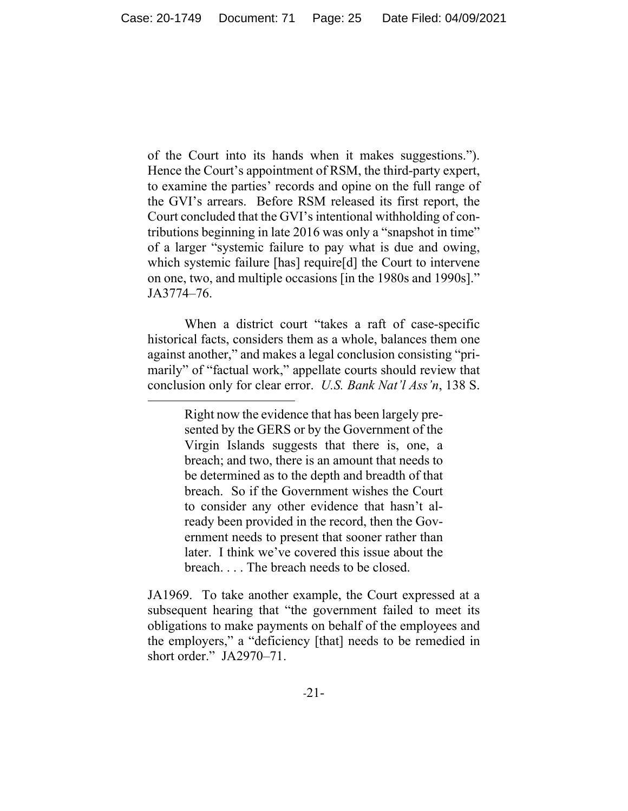of the Court into its hands when it makes suggestions."). Hence the Court's appointment of RSM, the third-party expert, to examine the parties' records and opine on the full range of the GVI's arrears. Before RSM released its first report, the Court concluded that the GVI's intentional withholding of contributions beginning in late 2016 was only a "snapshot in time" of a larger "systemic failure to pay what is due and owing, which systemic failure [has] require[d] the Court to intervene on one, two, and multiple occasions [in the 1980s and 1990s]." JA3774–76.

When a district court "takes a raft of case-specific historical facts, considers them as a whole, balances them one against another," and makes a legal conclusion consisting "primarily" of "factual work," appellate courts should review that conclusion only for clear error. *U.S. Bank Nat'l Ass'n*, 138 S.

> Right now the evidence that has been largely presented by the GERS or by the Government of the Virgin Islands suggests that there is, one, a breach; and two, there is an amount that needs to be determined as to the depth and breadth of that breach. So if the Government wishes the Court to consider any other evidence that hasn't already been provided in the record, then the Government needs to present that sooner rather than later. I think we've covered this issue about the breach. . . . The breach needs to be closed.

JA1969.To take another example, the Court expressed at a subsequent hearing that "the government failed to meet its obligations to make payments on behalf of the employees and the employers," a "deficiency [that] needs to be remedied in short order." JA2970-71.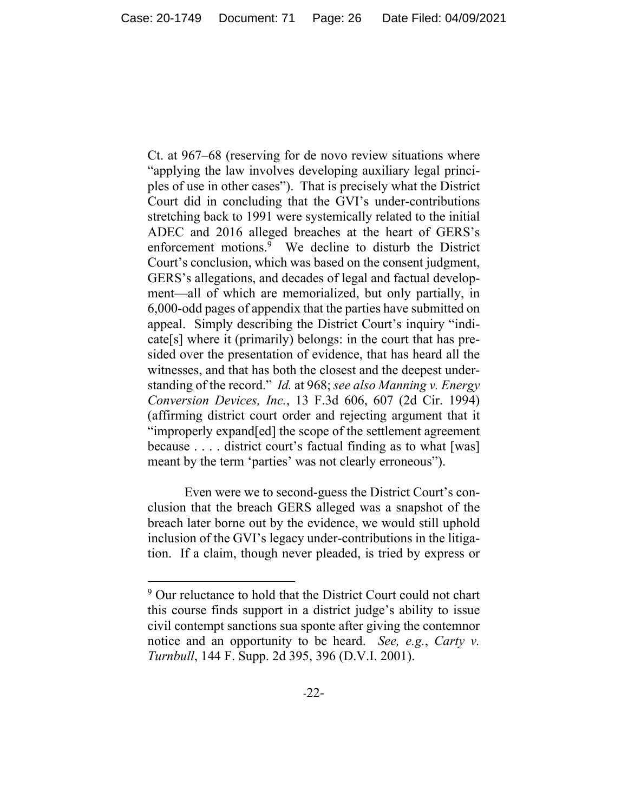Ct. at 967–68 (reserving for de novo review situations where "applying the law involves developing auxiliary legal principles of use in other cases"). That is precisely what the District Court did in concluding that the GVI's under-contributions stretching back to 1991 were systemically related to the initial ADEC and 2016 alleged breaches at the heart of GERS's enforcement motions.<sup>9</sup> We decline to disturb the District Court's conclusion, which was based on the consent judgment, GERS's allegations, and decades of legal and factual development—all of which are memorialized, but only partially, in 6,000-odd pages of appendix that the parties have submitted on appeal. Simply describing the District Court's inquiry "indicate[s] where it (primarily) belongs: in the court that has presided over the presentation of evidence, that has heard all the witnesses, and that has both the closest and the deepest understanding of the record." *Id.* at 968; *see also Manning v. Energy Conversion Devices, Inc.*, 13 F.3d 606, 607 (2d Cir. 1994) (affirming district court order and rejecting argument that it "improperly expand[ed] the scope of the settlement agreement because . . . . district court's factual finding as to what [was] meant by the term 'parties' was not clearly erroneous").

Even were we to second-guess the District Court's conclusion that the breach GERS alleged was a snapshot of the breach later borne out by the evidence, we would still uphold inclusion of the GVI's legacy under-contributions in the litigation. If a claim, though never pleaded, is tried by express or

<sup>&</sup>lt;sup>9</sup> Our reluctance to hold that the District Court could not chart this course finds support in a district judge's ability to issue civil contempt sanctions sua sponte after giving the contemnor notice and an opportunity to be heard. *See, e.g.*, *Carty v. Turnbull*, 144 F. Supp. 2d 395, 396 (D.V.I. 2001).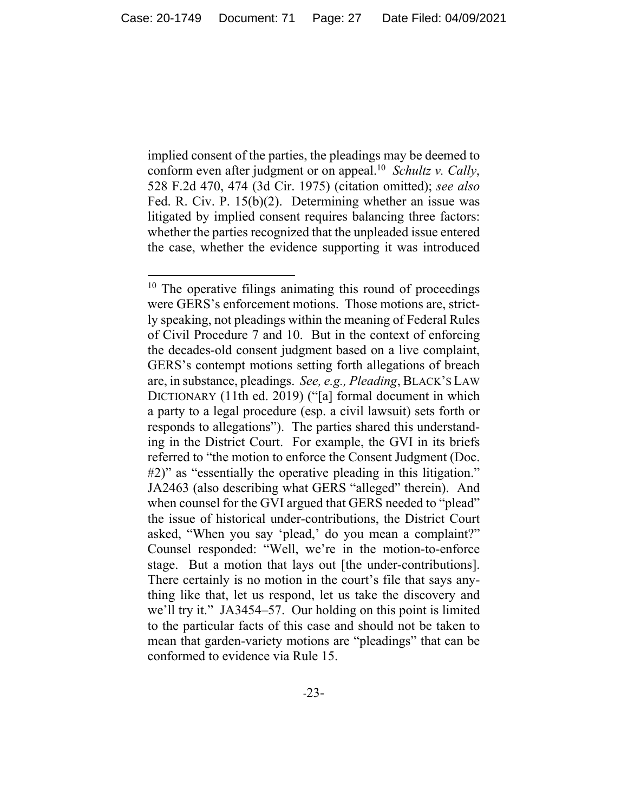implied consent of the parties, the pleadings may be deemed to conform even after judgment or on appeal.10 *Schultz v. Cally*, 528 F.2d 470, 474 (3d Cir. 1975) (citation omitted); *see also*  Fed. R. Civ. P. 15(b)(2). Determining whether an issue was litigated by implied consent requires balancing three factors: whether the parties recognized that the unpleaded issue entered the case, whether the evidence supporting it was introduced

<sup>&</sup>lt;sup>10</sup> The operative filings animating this round of proceedings were GERS's enforcement motions. Those motions are, strictly speaking, not pleadings within the meaning of Federal Rules of Civil Procedure 7 and 10. But in the context of enforcing the decades-old consent judgment based on a live complaint, GERS's contempt motions setting forth allegations of breach are, in substance, pleadings. *See, e.g., Pleading*, BLACK'S LAW DICTIONARY (11th ed. 2019) ("[a] formal document in which a party to a legal procedure (esp. a civil lawsuit) sets forth or responds to allegations"). The parties shared this understanding in the District Court. For example, the GVI in its briefs referred to "the motion to enforce the Consent Judgment (Doc. #2)" as "essentially the operative pleading in this litigation." JA2463 (also describing what GERS "alleged" therein). And when counsel for the GVI argued that GERS needed to "plead" the issue of historical under-contributions, the District Court asked, "When you say 'plead,' do you mean a complaint?" Counsel responded: "Well, we're in the motion-to-enforce stage. But a motion that lays out [the under-contributions]. There certainly is no motion in the court's file that says anything like that, let us respond, let us take the discovery and we'll try it." JA3454–57. Our holding on this point is limited to the particular facts of this case and should not be taken to mean that garden-variety motions are "pleadings" that can be conformed to evidence via Rule 15.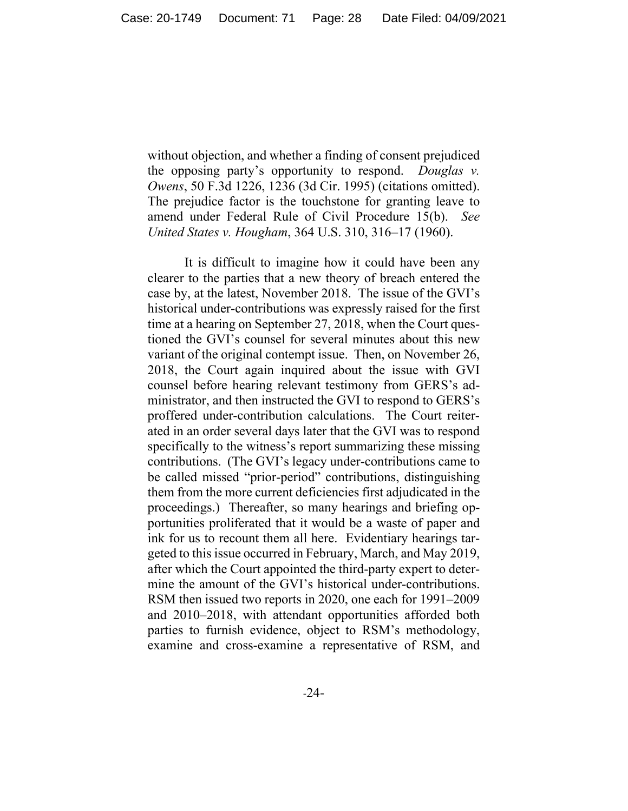without objection, and whether a finding of consent prejudiced the opposing party's opportunity to respond. *Douglas v. Owens*, 50 F.3d 1226, 1236 (3d Cir. 1995) (citations omitted). The prejudice factor is the touchstone for granting leave to amend under Federal Rule of Civil Procedure 15(b). *See United States v. Hougham*, 364 U.S. 310, 316–17 (1960).

It is difficult to imagine how it could have been any clearer to the parties that a new theory of breach entered the case by, at the latest, November 2018. The issue of the GVI's historical under-contributions was expressly raised for the first time at a hearing on September 27, 2018, when the Court questioned the GVI's counsel for several minutes about this new variant of the original contempt issue. Then, on November 26, 2018, the Court again inquired about the issue with GVI counsel before hearing relevant testimony from GERS's administrator, and then instructed the GVI to respond to GERS's proffered under-contribution calculations. The Court reiterated in an order several days later that the GVI was to respond specifically to the witness's report summarizing these missing contributions. (The GVI's legacy under-contributions came to be called missed "prior-period" contributions, distinguishing them from the more current deficiencies first adjudicated in the proceedings.) Thereafter, so many hearings and briefing opportunities proliferated that it would be a waste of paper and ink for us to recount them all here. Evidentiary hearings targeted to this issue occurred in February, March, and May 2019, after which the Court appointed the third-party expert to determine the amount of the GVI's historical under-contributions. RSM then issued two reports in 2020, one each for 1991–2009 and 2010–2018, with attendant opportunities afforded both parties to furnish evidence, object to RSM's methodology, examine and cross-examine a representative of RSM, and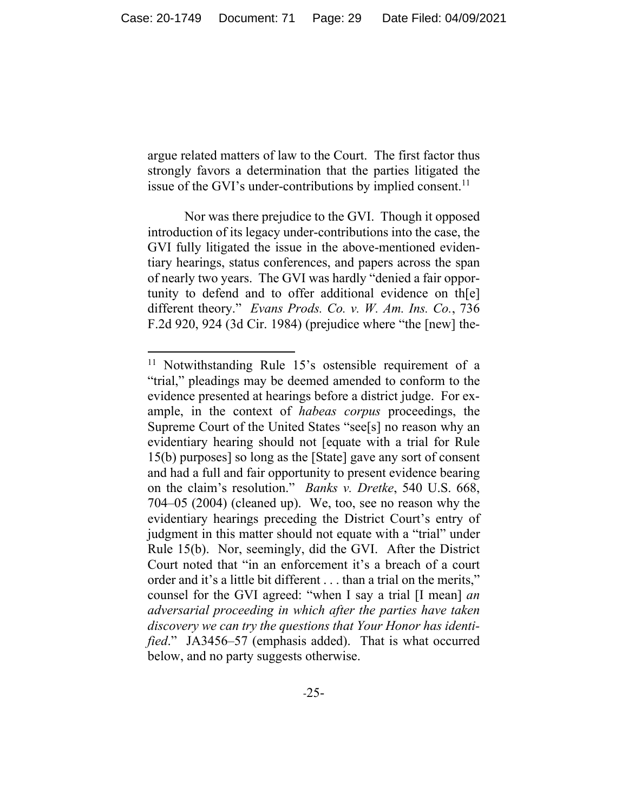argue related matters of law to the Court. The first factor thus strongly favors a determination that the parties litigated the issue of the GVI's under-contributions by implied consent.<sup>11</sup>

Nor was there prejudice to the GVI. Though it opposed introduction of its legacy under-contributions into the case, the GVI fully litigated the issue in the above-mentioned evidentiary hearings, status conferences, and papers across the span of nearly two years. The GVI was hardly "denied a fair opportunity to defend and to offer additional evidence on th[e] different theory." *Evans Prods. Co. v. W. Am. Ins. Co.*, 736 F.2d 920, 924 (3d Cir. 1984) (prejudice where "the [new] the-

<sup>&</sup>lt;sup>11</sup> Notwithstanding Rule 15's ostensible requirement of a "trial," pleadings may be deemed amended to conform to the evidence presented at hearings before a district judge. For example, in the context of *habeas corpus* proceedings, the Supreme Court of the United States "see[s] no reason why an evidentiary hearing should not [equate with a trial for Rule 15(b) purposes] so long as the [State] gave any sort of consent and had a full and fair opportunity to present evidence bearing on the claim's resolution." *Banks v. Dretke*, 540 U.S. 668, 704–05 (2004) (cleaned up). We, too, see no reason why the evidentiary hearings preceding the District Court's entry of judgment in this matter should not equate with a "trial" under Rule 15(b). Nor, seemingly, did the GVI. After the District Court noted that "in an enforcement it's a breach of a court order and it's a little bit different . . . than a trial on the merits," counsel for the GVI agreed: "when I say a trial [I mean] *an adversarial proceeding in which after the parties have taken discovery we can try the questions that Your Honor has identified*." JA3456–57 (emphasis added). That is what occurred below, and no party suggests otherwise.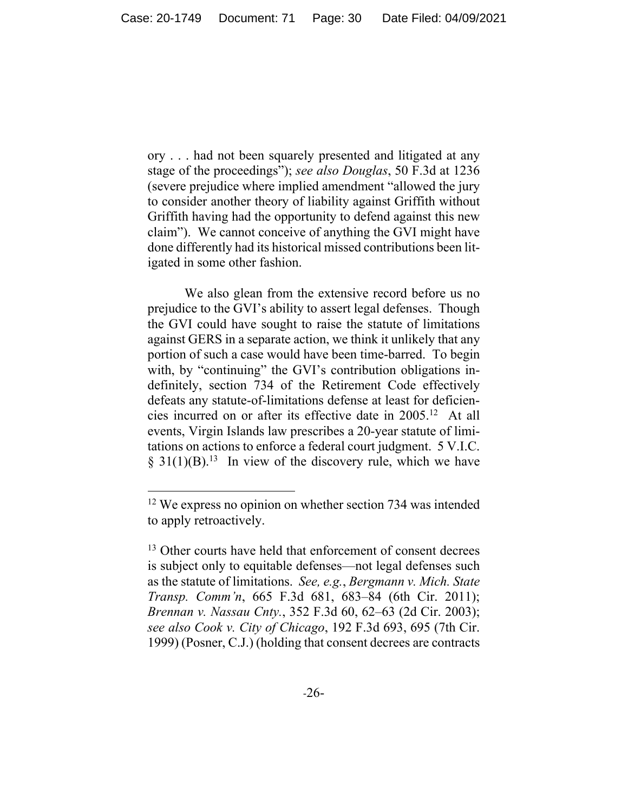ory . . . had not been squarely presented and litigated at any stage of the proceedings"); *see also Douglas*, 50 F.3d at 1236 (severe prejudice where implied amendment "allowed the jury to consider another theory of liability against Griffith without Griffith having had the opportunity to defend against this new claim"). We cannot conceive of anything the GVI might have done differently had its historical missed contributions been litigated in some other fashion.

We also glean from the extensive record before us no prejudice to the GVI's ability to assert legal defenses. Though the GVI could have sought to raise the statute of limitations against GERS in a separate action, we think it unlikely that any portion of such a case would have been time-barred. To begin with, by "continuing" the GVI's contribution obligations indefinitely, section 734 of the Retirement Code effectively defeats any statute-of-limitations defense at least for deficiencies incurred on or after its effective date in 2005.12 At all events, Virgin Islands law prescribes a 20-year statute of limitations on actions to enforce a federal court judgment. 5 V.I.C.  $\S 31(1)(B)$ <sup>13</sup> In view of the discovery rule, which we have

<sup>&</sup>lt;sup>12</sup> We express no opinion on whether section 734 was intended to apply retroactively.

<sup>&</sup>lt;sup>13</sup> Other courts have held that enforcement of consent decrees is subject only to equitable defenses—not legal defenses such as the statute of limitations. *See, e.g.*, *Bergmann v. Mich. State Transp. Comm'n*, 665 F.3d 681, 683–84 (6th Cir. 2011); *Brennan v. Nassau Cnty.*, 352 F.3d 60, 62–63 (2d Cir. 2003); *see also Cook v. City of Chicago*, 192 F.3d 693, 695 (7th Cir. 1999) (Posner, C.J.) (holding that consent decrees are contracts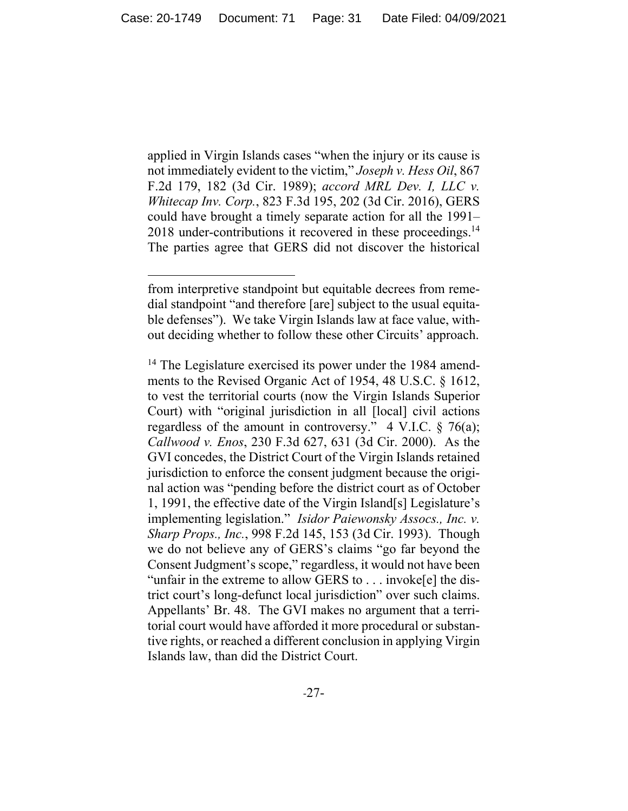applied in Virgin Islands cases "when the injury or its cause is not immediately evident to the victim," *Joseph v. Hess Oil*, 867 F.2d 179, 182 (3d Cir. 1989); *accord MRL Dev. I, LLC v. Whitecap Inv. Corp.*, 823 F.3d 195, 202 (3d Cir. 2016), GERS could have brought a timely separate action for all the 1991– 2018 under-contributions it recovered in these proceedings.<sup>14</sup> The parties agree that GERS did not discover the historical

from interpretive standpoint but equitable decrees from remedial standpoint "and therefore [are] subject to the usual equitable defenses"). We take Virgin Islands law at face value, without deciding whether to follow these other Circuits' approach.

<sup>&</sup>lt;sup>14</sup> The Legislature exercised its power under the 1984 amendments to the Revised Organic Act of 1954, 48 U.S.C. § 1612, to vest the territorial courts (now the Virgin Islands Superior Court) with "original jurisdiction in all [local] civil actions regardless of the amount in controversy."  $4$  V.I.C.  $§$  76(a); *Callwood v. Enos*, 230 F.3d 627, 631 (3d Cir. 2000). As the GVI concedes, the District Court of the Virgin Islands retained jurisdiction to enforce the consent judgment because the original action was "pending before the district court as of October 1, 1991, the effective date of the Virgin Island[s] Legislature's implementing legislation." *Isidor Paiewonsky Assocs., Inc. v. Sharp Props., Inc.*, 998 F.2d 145, 153 (3d Cir. 1993). Though we do not believe any of GERS's claims "go far beyond the Consent Judgment's scope," regardless, it would not have been "unfair in the extreme to allow GERS to . . . invoke[e] the district court's long-defunct local jurisdiction" over such claims. Appellants' Br. 48. The GVI makes no argument that a territorial court would have afforded it more procedural or substantive rights, or reached a different conclusion in applying Virgin Islands law, than did the District Court.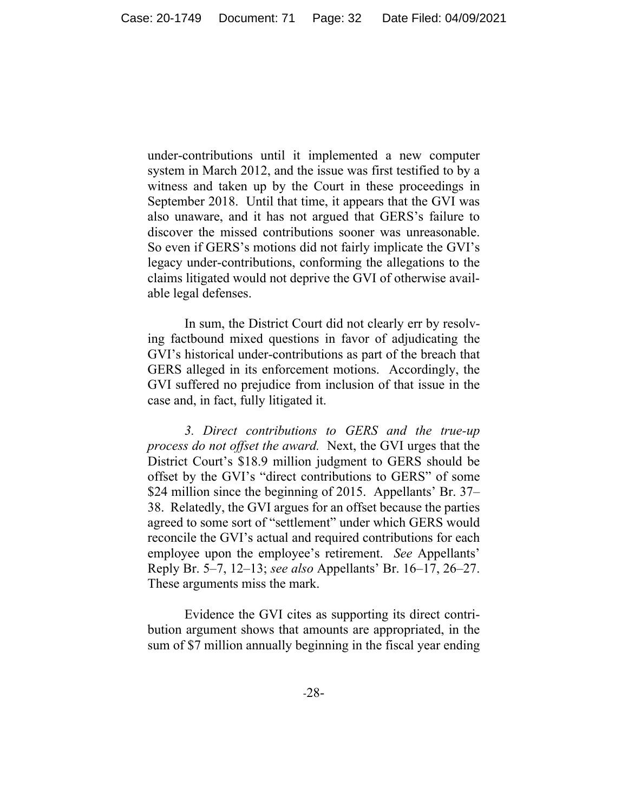under-contributions until it implemented a new computer system in March 2012, and the issue was first testified to by a witness and taken up by the Court in these proceedings in September 2018. Until that time, it appears that the GVI was also unaware, and it has not argued that GERS's failure to discover the missed contributions sooner was unreasonable. So even if GERS's motions did not fairly implicate the GVI's legacy under-contributions, conforming the allegations to the claims litigated would not deprive the GVI of otherwise available legal defenses.

In sum, the District Court did not clearly err by resolving factbound mixed questions in favor of adjudicating the GVI's historical under-contributions as part of the breach that GERS alleged in its enforcement motions. Accordingly, the GVI suffered no prejudice from inclusion of that issue in the case and, in fact, fully litigated it.

*3. Direct contributions to GERS and the true-up process do not offset the award.* Next, the GVI urges that the District Court's \$18.9 million judgment to GERS should be offset by the GVI's "direct contributions to GERS" of some \$24 million since the beginning of 2015. Appellants' Br. 37– 38. Relatedly, the GVI argues for an offset because the parties agreed to some sort of "settlement" under which GERS would reconcile the GVI's actual and required contributions for each employee upon the employee's retirement. *See* Appellants' Reply Br. 5–7, 12–13; *see also* Appellants' Br. 16–17, 26–27. These arguments miss the mark.

Evidence the GVI cites as supporting its direct contribution argument shows that amounts are appropriated, in the sum of \$7 million annually beginning in the fiscal year ending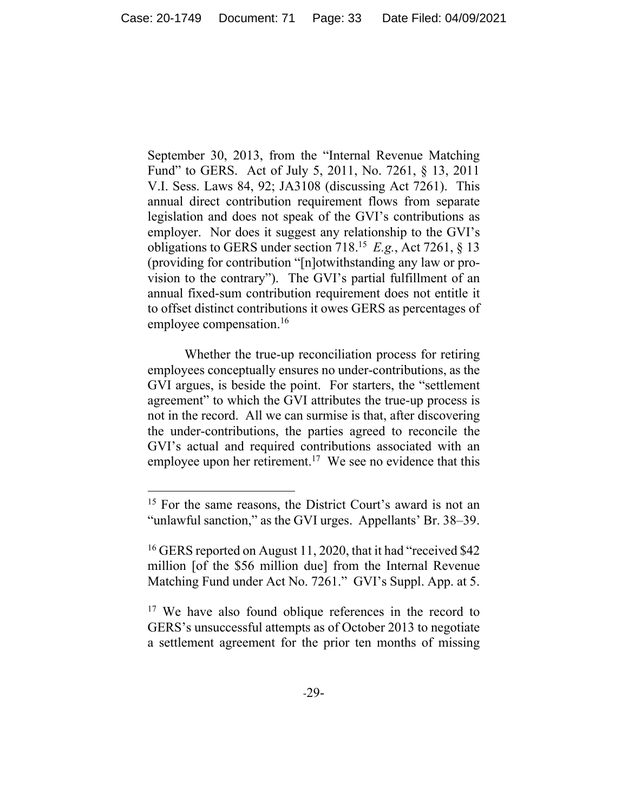September 30, 2013, from the "Internal Revenue Matching Fund" to GERS. Act of July 5, 2011, No. 7261, § 13, 2011 V.I. Sess. Laws 84, 92; JA3108 (discussing Act 7261). This annual direct contribution requirement flows from separate legislation and does not speak of the GVI's contributions as employer. Nor does it suggest any relationship to the GVI's obligations to GERS under section 718.15 *E.g.*, Act 7261, § 13 (providing for contribution "[n]otwithstanding any law or provision to the contrary"). The GVI's partial fulfillment of an annual fixed-sum contribution requirement does not entitle it to offset distinct contributions it owes GERS as percentages of employee compensation.<sup>16</sup>

Whether the true-up reconciliation process for retiring employees conceptually ensures no under-contributions, as the GVI argues, is beside the point. For starters, the "settlement agreement" to which the GVI attributes the true-up process is not in the record. All we can surmise is that, after discovering the under-contributions, the parties agreed to reconcile the GVI's actual and required contributions associated with an employee upon her retirement.<sup>17</sup> We see no evidence that this

<sup>&</sup>lt;sup>15</sup> For the same reasons, the District Court's award is not an "unlawful sanction," as the GVI urges. Appellants' Br. 38–39.

<sup>&</sup>lt;sup>16</sup> GERS reported on August 11, 2020, that it had "received \$42 million [of the \$56 million due] from the Internal Revenue Matching Fund under Act No. 7261." GVI's Suppl. App. at 5.

<sup>&</sup>lt;sup>17</sup> We have also found oblique references in the record to GERS's unsuccessful attempts as of October 2013 to negotiate a settlement agreement for the prior ten months of missing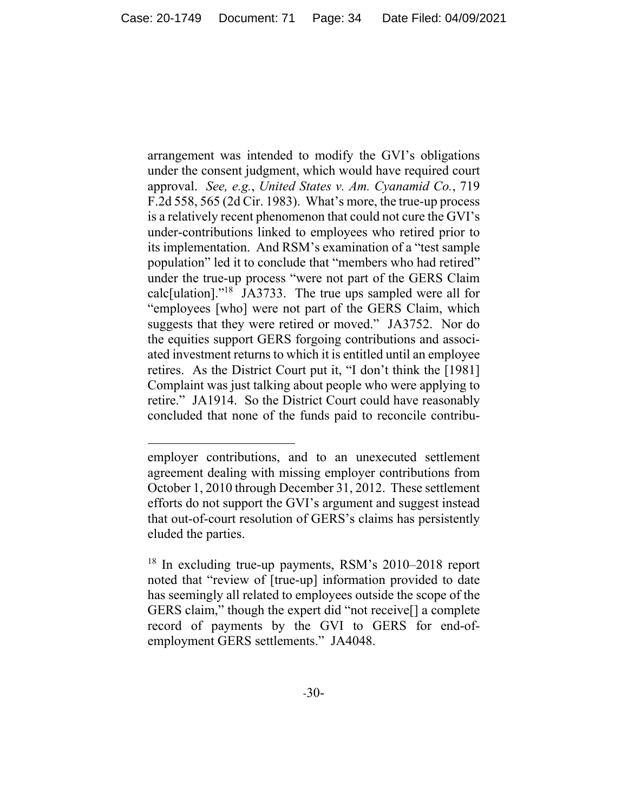arrangement was intended to modify the GVI's obligations under the consent judgment, which would have required court approval. *See, e.g.*, *United States v. Am. Cyanamid Co.*, 719 F.2d 558, 565 (2d Cir. 1983). What's more, the true-up process is a relatively recent phenomenon that could not cure the GVI's under-contributions linked to employees who retired prior to its implementation. And RSM's examination of a "test sample population" led it to conclude that "members who had retired" under the true-up process "were not part of the GERS Claim calc[ulation]."18 JA3733. The true ups sampled were all for "employees [who] were not part of the GERS Claim, which suggests that they were retired or moved." JA3752. Nor do the equities support GERS forgoing contributions and associated investment returns to which it is entitled until an employee retires. As the District Court put it, "I don't think the [1981] Complaint was just talking about people who were applying to retire." JA1914. So the District Court could have reasonably concluded that none of the funds paid to reconcile contribu-

employer contributions, and to an unexecuted settlement agreement dealing with missing employer contributions from October 1, 2010 through December 31, 2012. These settlement efforts do not support the GVI's argument and suggest instead that out-of-court resolution of GERS's claims has persistently eluded the parties.

<sup>&</sup>lt;sup>18</sup> In excluding true-up payments, RSM's 2010–2018 report noted that "review of [true-up] information provided to date has seemingly all related to employees outside the scope of the GERS claim," though the expert did "not receive[] a complete record of payments by the GVI to GERS for end-ofemployment GERS settlements." JA4048.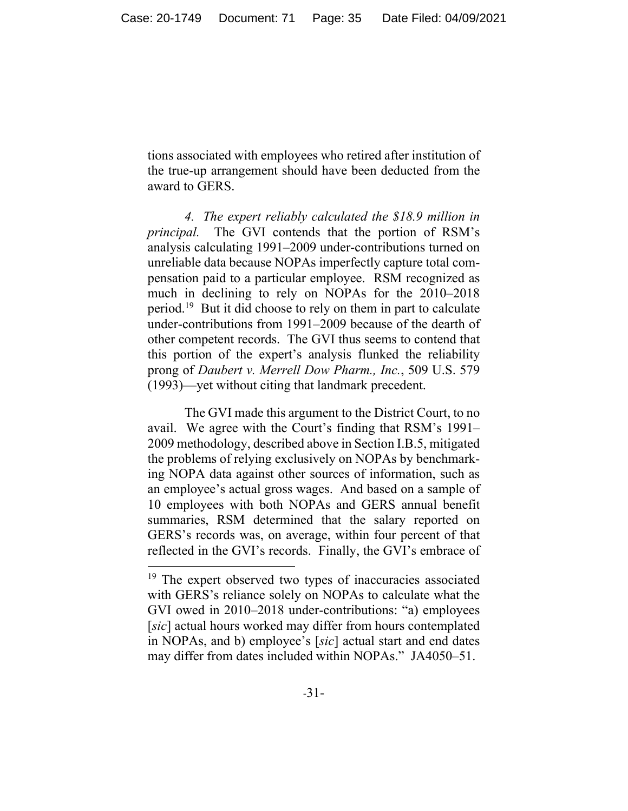tions associated with employees who retired after institution of the true-up arrangement should have been deducted from the award to GERS.

*4. The expert reliably calculated the \$18.9 million in principal.* The GVI contends that the portion of RSM's analysis calculating 1991–2009 under-contributions turned on unreliable data because NOPAs imperfectly capture total compensation paid to a particular employee. RSM recognized as much in declining to rely on NOPAs for the 2010–2018 period.19 But it did choose to rely on them in part to calculate under-contributions from 1991–2009 because of the dearth of other competent records. The GVI thus seems to contend that this portion of the expert's analysis flunked the reliability prong of *Daubert v. Merrell Dow Pharm., Inc.*, 509 U.S. 579 (1993)—yet without citing that landmark precedent.

The GVI made this argument to the District Court, to no avail. We agree with the Court's finding that RSM's 1991– 2009 methodology, described above in Section I.B.5, mitigated the problems of relying exclusively on NOPAs by benchmarking NOPA data against other sources of information, such as an employee's actual gross wages. And based on a sample of 10 employees with both NOPAs and GERS annual benefit summaries, RSM determined that the salary reported on GERS's records was, on average, within four percent of that reflected in the GVI's records. Finally, the GVI's embrace of

<sup>&</sup>lt;sup>19</sup> The expert observed two types of inaccuracies associated with GERS's reliance solely on NOPAs to calculate what the GVI owed in 2010–2018 under-contributions: "a) employees [*sic*] actual hours worked may differ from hours contemplated in NOPAs, and b) employee's [*sic*] actual start and end dates may differ from dates included within NOPAs." JA4050–51.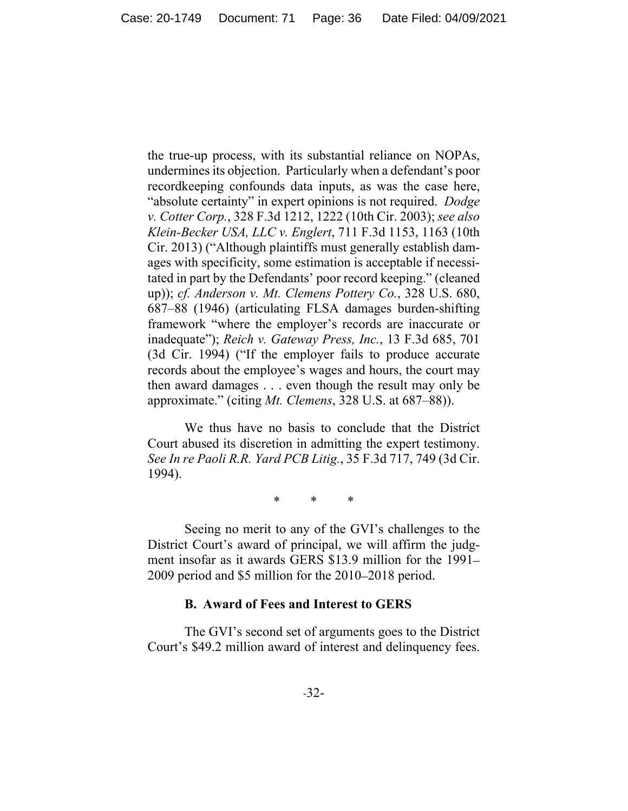the true-up process, with its substantial reliance on NOPAs, undermines its objection. Particularly when a defendant's poor recordkeeping confounds data inputs, as was the case here, "absolute certainty" in expert opinions is not required. *Dodge v. Cotter Corp.*, 328 F.3d 1212, 1222 (10th Cir. 2003); *see also Klein-Becker USA, LLC v. Englert*, 711 F.3d 1153, 1163 (10th Cir. 2013) ("Although plaintiffs must generally establish damages with specificity, some estimation is acceptable if necessitated in part by the Defendants' poor record keeping." (cleaned up)); *cf. Anderson v. Mt. Clemens Pottery Co.*, 328 U.S. 680, 687–88 (1946) (articulating FLSA damages burden-shifting framework "where the employer's records are inaccurate or inadequate"); *Reich v. Gateway Press, Inc.*, 13 F.3d 685, 701 (3d Cir. 1994) ("If the employer fails to produce accurate records about the employee's wages and hours, the court may then award damages . . . even though the result may only be approximate." (citing *Mt. Clemens*, 328 U.S. at 687–88)).

We thus have no basis to conclude that the District Court abused its discretion in admitting the expert testimony. *See In re Paoli R.R. Yard PCB Litig.*, 35 F.3d 717, 749 (3d Cir. 1994).

\* \* \*

 Seeing no merit to any of the GVI's challenges to the District Court's award of principal, we will affirm the judgment insofar as it awards GERS \$13.9 million for the 1991– 2009 period and \$5 million for the 2010–2018 period.

#### **B. Award of Fees and Interest to GERS**

The GVI's second set of arguments goes to the District Court's \$49.2 million award of interest and delinquency fees.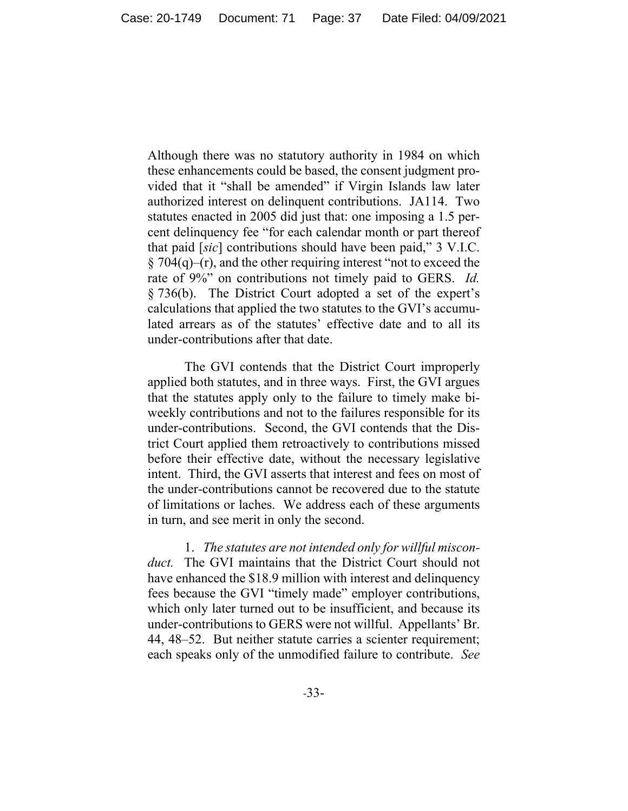Although there was no statutory authority in 1984 on which these enhancements could be based, the consent judgment provided that it "shall be amended" if Virgin Islands law later authorized interest on delinquent contributions. JA114. Two statutes enacted in 2005 did just that: one imposing a 1.5 percent delinquency fee "for each calendar month or part thereof that paid [*sic*] contributions should have been paid," 3 V.I.C.  $\S 704(q)$ –(r), and the other requiring interest "not to exceed the rate of 9%" on contributions not timely paid to GERS. *Id.*  § 736(b). The District Court adopted a set of the expert's calculations that applied the two statutes to the GVI's accumulated arrears as of the statutes' effective date and to all its under-contributions after that date.

The GVI contends that the District Court improperly applied both statutes, and in three ways. First, the GVI argues that the statutes apply only to the failure to timely make biweekly contributions and not to the failures responsible for its under-contributions. Second, the GVI contends that the District Court applied them retroactively to contributions missed before their effective date, without the necessary legislative intent. Third, the GVI asserts that interest and fees on most of the under-contributions cannot be recovered due to the statute of limitations or laches. We address each of these arguments in turn, and see merit in only the second.

1. *The statutes are not intended only for willful misconduct.* The GVI maintains that the District Court should not have enhanced the \$18.9 million with interest and delinquency fees because the GVI "timely made" employer contributions, which only later turned out to be insufficient, and because its under-contributions to GERS were not willful. Appellants' Br. 44, 48–52. But neither statute carries a scienter requirement; each speaks only of the unmodified failure to contribute. *See*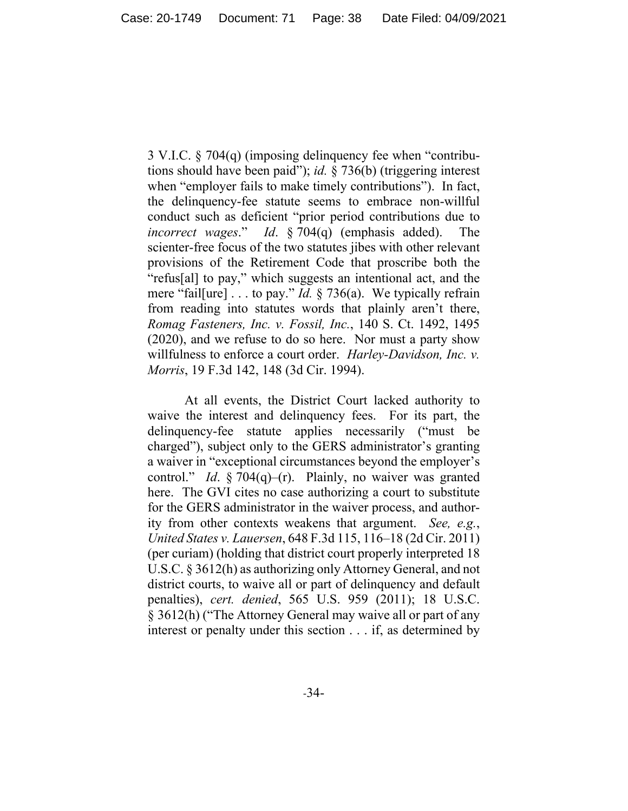3 V.I.C. § 704(q) (imposing delinquency fee when "contributions should have been paid"); *id.* § 736(b) (triggering interest when "employer fails to make timely contributions"). In fact, the delinquency-fee statute seems to embrace non-willful conduct such as deficient "prior period contributions due to *incorrect wages.*" *Id.* § 704(q) (emphasis added). scienter-free focus of the two statutes jibes with other relevant provisions of the Retirement Code that proscribe both the "refus[al] to pay," which suggests an intentional act, and the mere "fail[ure] . . . to pay." *Id.* § 736(a). We typically refrain from reading into statutes words that plainly aren't there, *Romag Fasteners, Inc. v. Fossil, Inc.*, 140 S. Ct. 1492, 1495 (2020), and we refuse to do so here. Nor must a party show willfulness to enforce a court order. *Harley-Davidson, Inc. v. Morris*, 19 F.3d 142, 148 (3d Cir. 1994).

At all events, the District Court lacked authority to waive the interest and delinquency fees. For its part, the delinquency-fee statute applies necessarily ("must be charged"), subject only to the GERS administrator's granting a waiver in "exceptional circumstances beyond the employer's control." *Id*. § 704(q)–(r). Plainly, no waiver was granted here. The GVI cites no case authorizing a court to substitute for the GERS administrator in the waiver process, and authority from other contexts weakens that argument. *See, e.g.*, *United States v. Lauersen*, 648 F.3d 115, 116–18 (2d Cir. 2011) (per curiam) (holding that district court properly interpreted 18 U.S.C. § 3612(h) as authorizing only Attorney General, and not district courts, to waive all or part of delinquency and default penalties), *cert. denied*, 565 U.S. 959 (2011); 18 U.S.C. § 3612(h) ("The Attorney General may waive all or part of any interest or penalty under this section . . . if, as determined by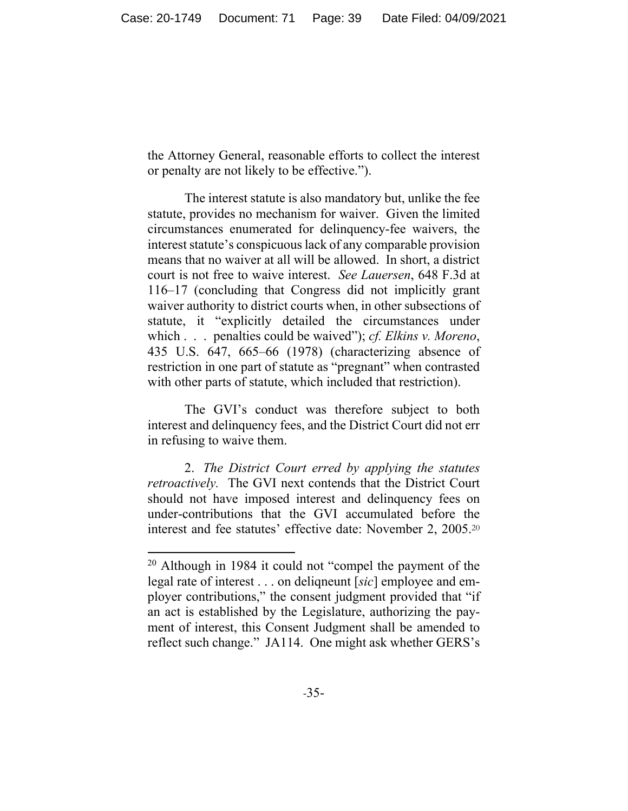the Attorney General, reasonable efforts to collect the interest or penalty are not likely to be effective.").

The interest statute is also mandatory but, unlike the fee statute, provides no mechanism for waiver. Given the limited circumstances enumerated for delinquency-fee waivers, the interest statute's conspicuous lack of any comparable provision means that no waiver at all will be allowed. In short, a district court is not free to waive interest. *See Lauersen*, 648 F.3d at 116–17 (concluding that Congress did not implicitly grant waiver authority to district courts when, in other subsections of statute, it "explicitly detailed the circumstances under which . . . penalties could be waived"); *cf. Elkins v. Moreno*, 435 U.S. 647, 665–66 (1978) (characterizing absence of restriction in one part of statute as "pregnant" when contrasted with other parts of statute, which included that restriction).

The GVI's conduct was therefore subject to both interest and delinquency fees, and the District Court did not err in refusing to waive them.

2. *The District Court erred by applying the statutes retroactively.* The GVI next contends that the District Court should not have imposed interest and delinquency fees on under-contributions that the GVI accumulated before the interest and fee statutes' effective date: November 2, 2005.<sup>20</sup>

 $20$  Although in 1984 it could not "compel the payment of the legal rate of interest . . . on deliqneunt [*sic*] employee and employer contributions," the consent judgment provided that "if an act is established by the Legislature, authorizing the payment of interest, this Consent Judgment shall be amended to reflect such change." JA114. One might ask whether GERS's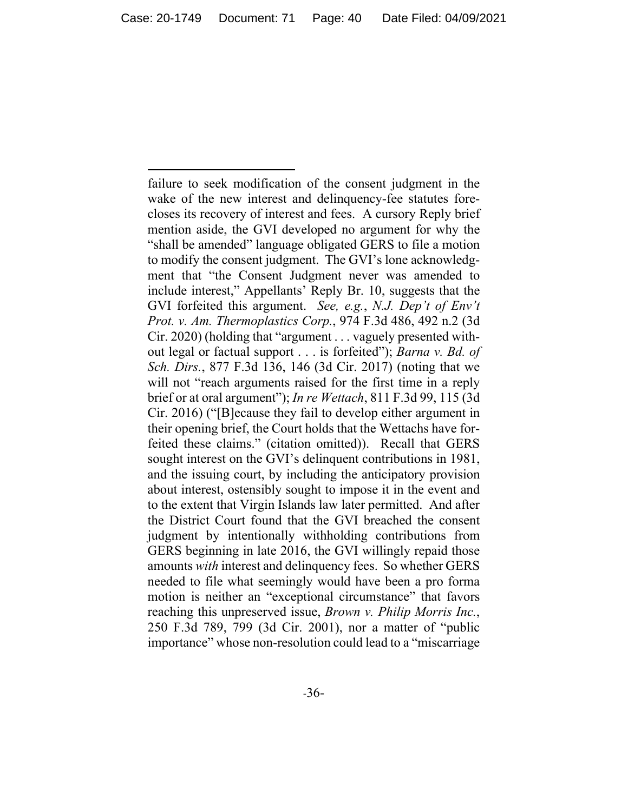failure to seek modification of the consent judgment in the wake of the new interest and delinquency-fee statutes forecloses its recovery of interest and fees. A cursory Reply brief mention aside, the GVI developed no argument for why the "shall be amended" language obligated GERS to file a motion to modify the consent judgment. The GVI's lone acknowledgment that "the Consent Judgment never was amended to include interest," Appellants' Reply Br. 10, suggests that the GVI forfeited this argument. *See, e.g.*, *N.J. Dep't of Env't Prot. v. Am. Thermoplastics Corp.*, 974 F.3d 486, 492 n.2 (3d Cir. 2020) (holding that "argument . . . vaguely presented without legal or factual support . . . is forfeited"); *Barna v. Bd. of Sch. Dirs.*, 877 F.3d 136, 146 (3d Cir. 2017) (noting that we will not "reach arguments raised for the first time in a reply brief or at oral argument"); *In re Wettach*, 811 F.3d 99, 115 (3d Cir. 2016) ("[B]ecause they fail to develop either argument in their opening brief, the Court holds that the Wettachs have forfeited these claims." (citation omitted)). Recall that GERS sought interest on the GVI's delinquent contributions in 1981, and the issuing court, by including the anticipatory provision about interest, ostensibly sought to impose it in the event and to the extent that Virgin Islands law later permitted. And after the District Court found that the GVI breached the consent judgment by intentionally withholding contributions from GERS beginning in late 2016, the GVI willingly repaid those amounts *with* interest and delinquency fees. So whether GERS needed to file what seemingly would have been a pro forma motion is neither an "exceptional circumstance" that favors reaching this unpreserved issue, *Brown v. Philip Morris Inc.*, 250 F.3d 789, 799 (3d Cir. 2001), nor a matter of "public importance" whose non-resolution could lead to a "miscarriage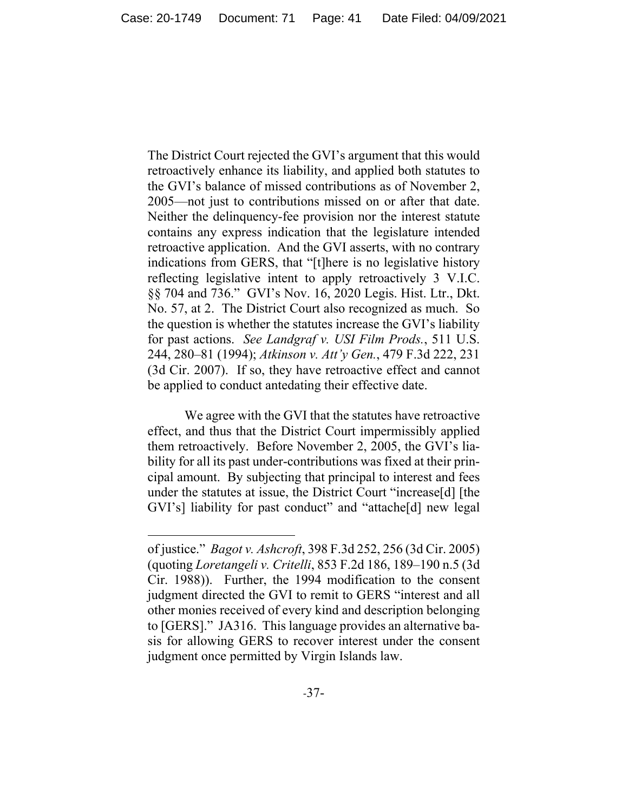The District Court rejected the GVI's argument that this would retroactively enhance its liability, and applied both statutes to the GVI's balance of missed contributions as of November 2, 2005—not just to contributions missed on or after that date. Neither the delinquency-fee provision nor the interest statute contains any express indication that the legislature intended retroactive application. And the GVI asserts, with no contrary indications from GERS, that "[t]here is no legislative history reflecting legislative intent to apply retroactively 3 V.I.C. §§ 704 and 736." GVI's Nov. 16, 2020 Legis. Hist. Ltr., Dkt. No. 57, at 2. The District Court also recognized as much. So the question is whether the statutes increase the GVI's liability for past actions. *See Landgraf v. USI Film Prods.*, 511 U.S. 244, 280–81 (1994); *Atkinson v. Att'y Gen.*, 479 F.3d 222, 231 (3d Cir. 2007). If so, they have retroactive effect and cannot be applied to conduct antedating their effective date.

We agree with the GVI that the statutes have retroactive effect, and thus that the District Court impermissibly applied them retroactively. Before November 2, 2005, the GVI's liability for all its past under-contributions was fixed at their principal amount. By subjecting that principal to interest and fees under the statutes at issue, the District Court "increase[d] [the GVI's] liability for past conduct" and "attache[d] new legal

of justice." *Bagot v. Ashcroft*, 398 F.3d 252, 256 (3d Cir. 2005) (quoting *Loretangeli v. Critelli*, 853 F.2d 186, 189–190 n.5 (3d Cir. 1988)). Further, the 1994 modification to the consent judgment directed the GVI to remit to GERS "interest and all other monies received of every kind and description belonging to [GERS]." JA316. This language provides an alternative basis for allowing GERS to recover interest under the consent judgment once permitted by Virgin Islands law.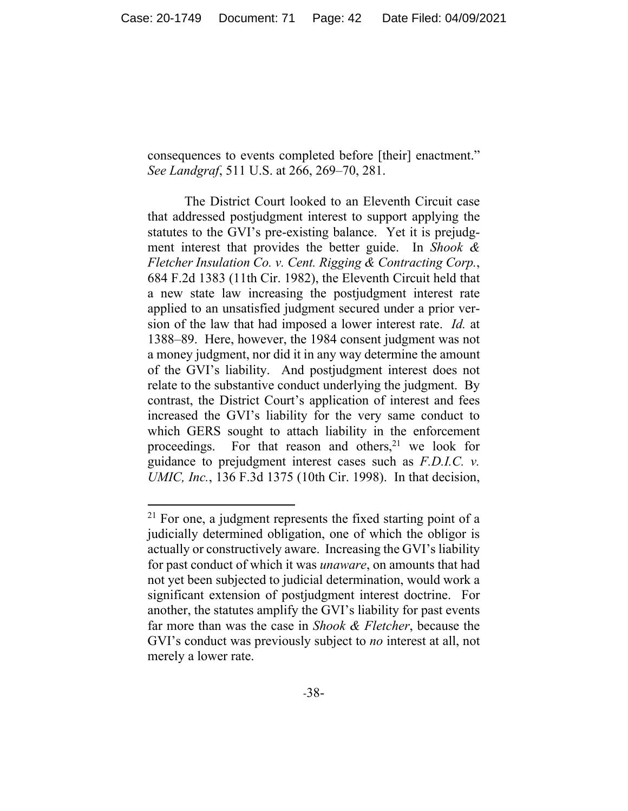consequences to events completed before [their] enactment." *See Landgraf*, 511 U.S. at 266, 269–70, 281.

The District Court looked to an Eleventh Circuit case that addressed postjudgment interest to support applying the statutes to the GVI's pre-existing balance. Yet it is prejudgment interest that provides the better guide. In *Shook & Fletcher Insulation Co. v. Cent. Rigging & Contracting Corp.*, 684 F.2d 1383 (11th Cir. 1982), the Eleventh Circuit held that a new state law increasing the postjudgment interest rate applied to an unsatisfied judgment secured under a prior version of the law that had imposed a lower interest rate. *Id.* at 1388–89. Here, however, the 1984 consent judgment was not a money judgment, nor did it in any way determine the amount of the GVI's liability. And postjudgment interest does not relate to the substantive conduct underlying the judgment. By contrast, the District Court's application of interest and fees increased the GVI's liability for the very same conduct to which GERS sought to attach liability in the enforcement proceedings. For that reason and others, $2<sup>1</sup>$  we look for guidance to prejudgment interest cases such as *F.D.I.C. v. UMIC, Inc.*, 136 F.3d 1375 (10th Cir. 1998). In that decision,

 $21$  For one, a judgment represents the fixed starting point of a judicially determined obligation, one of which the obligor is actually or constructively aware. Increasing the GVI's liability for past conduct of which it was *unaware*, on amounts that had not yet been subjected to judicial determination, would work a significant extension of postjudgment interest doctrine. For another, the statutes amplify the GVI's liability for past events far more than was the case in *Shook & Fletcher*, because the GVI's conduct was previously subject to *no* interest at all, not merely a lower rate.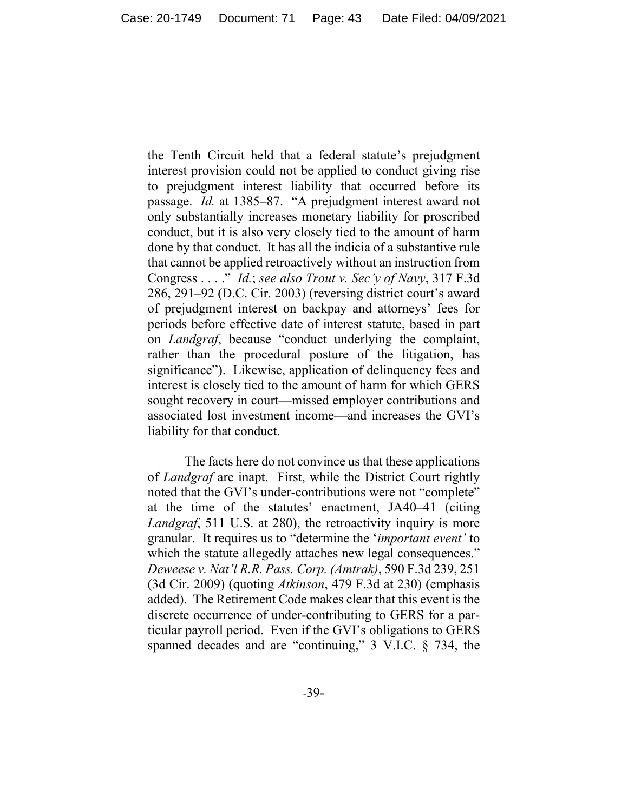the Tenth Circuit held that a federal statute's prejudgment interest provision could not be applied to conduct giving rise to prejudgment interest liability that occurred before its passage. *Id.* at 1385–87. "A prejudgment interest award not only substantially increases monetary liability for proscribed conduct, but it is also very closely tied to the amount of harm done by that conduct. It has all the indicia of a substantive rule that cannot be applied retroactively without an instruction from Congress . . . ." *Id.*; *see also Trout v. Sec'y of Navy*, 317 F.3d 286, 291–92 (D.C. Cir. 2003) (reversing district court's award of prejudgment interest on backpay and attorneys' fees for periods before effective date of interest statute, based in part on *Landgraf*, because "conduct underlying the complaint, rather than the procedural posture of the litigation, has significance"). Likewise, application of delinquency fees and interest is closely tied to the amount of harm for which GERS sought recovery in court—missed employer contributions and associated lost investment income—and increases the GVI's liability for that conduct.

The facts here do not convince us that these applications of *Landgraf* are inapt. First, while the District Court rightly noted that the GVI's under-contributions were not "complete" at the time of the statutes' enactment, JA40–41 (citing *Landgraf*, 511 U.S. at 280), the retroactivity inquiry is more granular. It requires us to "determine the '*important event'* to which the statute allegedly attaches new legal consequences." *Deweese v. Nat'l R.R. Pass. Corp. (Amtrak)*, 590 F.3d 239, 251 (3d Cir. 2009) (quoting *Atkinson*, 479 F.3d at 230) (emphasis added). The Retirement Code makes clear that this event is the discrete occurrence of under-contributing to GERS for a particular payroll period. Even if the GVI's obligations to GERS spanned decades and are "continuing," 3 V.I.C. § 734, the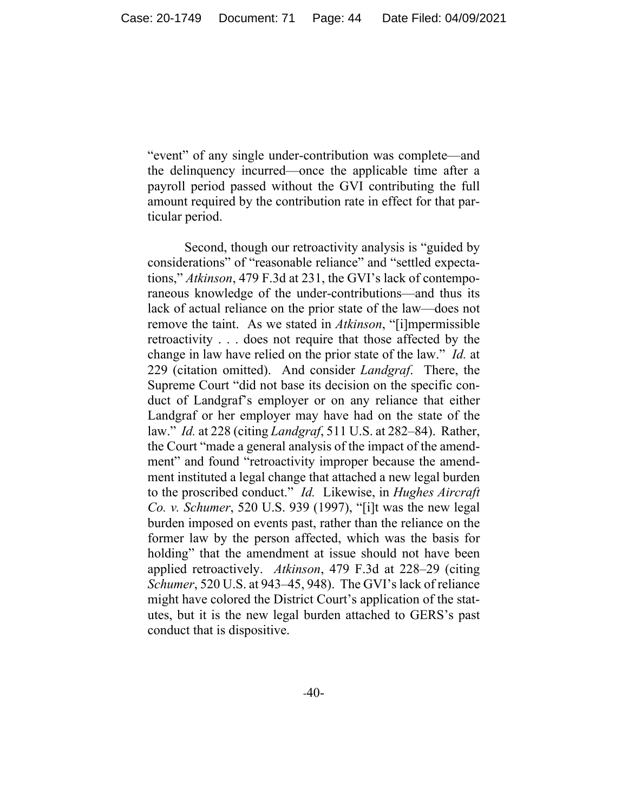"event" of any single under-contribution was complete—and the delinquency incurred—once the applicable time after a payroll period passed without the GVI contributing the full amount required by the contribution rate in effect for that particular period.

Second, though our retroactivity analysis is "guided by considerations" of "reasonable reliance" and "settled expectations," *Atkinson*, 479 F.3d at 231, the GVI's lack of contemporaneous knowledge of the under-contributions—and thus its lack of actual reliance on the prior state of the law—does not remove the taint. As we stated in *Atkinson*, "[i]mpermissible retroactivity . . . does not require that those affected by the change in law have relied on the prior state of the law." *Id.* at 229 (citation omitted). And consider *Landgraf*. There, the Supreme Court "did not base its decision on the specific conduct of Landgraf's employer or on any reliance that either Landgraf or her employer may have had on the state of the law." *Id.* at 228 (citing *Landgraf*, 511 U.S. at 282–84). Rather, the Court "made a general analysis of the impact of the amendment" and found "retroactivity improper because the amendment instituted a legal change that attached a new legal burden to the proscribed conduct." *Id.* Likewise, in *Hughes Aircraft Co. v. Schumer*, 520 U.S. 939 (1997), "[i]t was the new legal burden imposed on events past, rather than the reliance on the former law by the person affected, which was the basis for holding" that the amendment at issue should not have been applied retroactively. *Atkinson*, 479 F.3d at 228–29 (citing *Schumer*, 520 U.S. at 943–45, 948). The GVI's lack of reliance might have colored the District Court's application of the statutes, but it is the new legal burden attached to GERS's past conduct that is dispositive.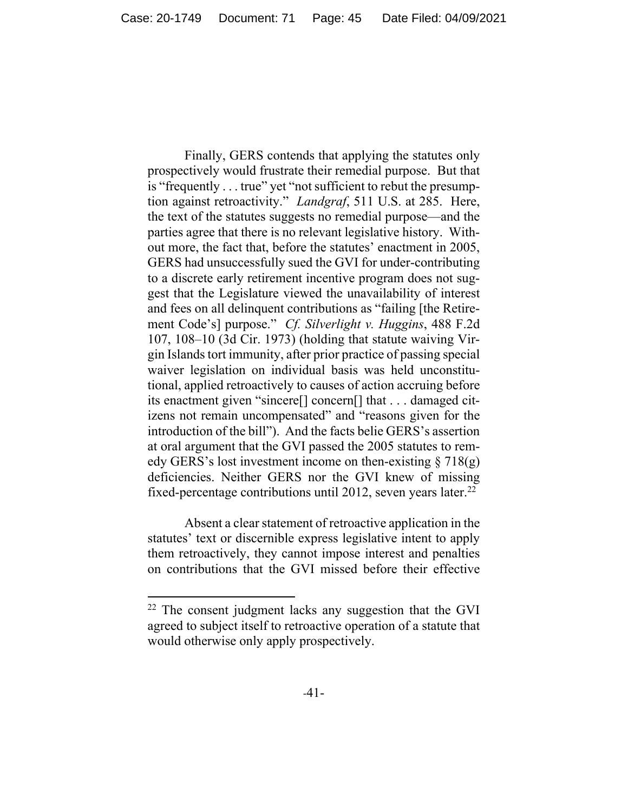Finally, GERS contends that applying the statutes only prospectively would frustrate their remedial purpose. But that is "frequently . . . true" yet "not sufficient to rebut the presumption against retroactivity." *Landgraf*, 511 U.S. at 285. Here, the text of the statutes suggests no remedial purpose—and the parties agree that there is no relevant legislative history. Without more, the fact that, before the statutes' enactment in 2005, GERS had unsuccessfully sued the GVI for under-contributing to a discrete early retirement incentive program does not suggest that the Legislature viewed the unavailability of interest and fees on all delinquent contributions as "failing [the Retirement Code's] purpose." *Cf. Silverlight v. Huggins*, 488 F.2d 107, 108–10 (3d Cir. 1973) (holding that statute waiving Virgin Islands tort immunity, after prior practice of passing special waiver legislation on individual basis was held unconstitutional, applied retroactively to causes of action accruing before its enactment given "sincere[] concern[] that . . . damaged citizens not remain uncompensated" and "reasons given for the introduction of the bill"). And the facts belie GERS's assertion at oral argument that the GVI passed the 2005 statutes to remedy GERS's lost investment income on then-existing  $\S 718(g)$ deficiencies. Neither GERS nor the GVI knew of missing fixed-percentage contributions until 2012, seven years later.<sup>22</sup>

Absent a clear statement of retroactive application in the statutes' text or discernible express legislative intent to apply them retroactively, they cannot impose interest and penalties on contributions that the GVI missed before their effective

 $22$  The consent judgment lacks any suggestion that the GVI agreed to subject itself to retroactive operation of a statute that would otherwise only apply prospectively.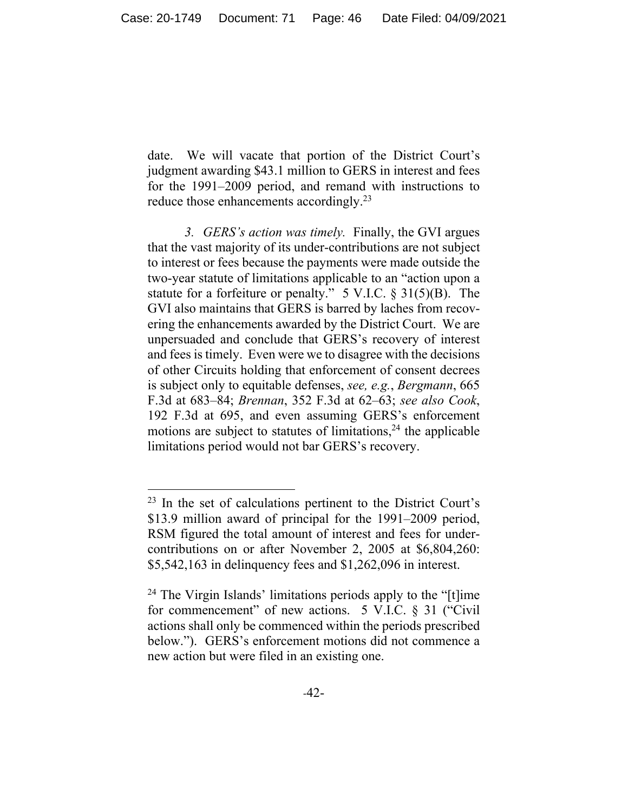date. We will vacate that portion of the District Court's judgment awarding \$43.1 million to GERS in interest and fees for the 1991–2009 period, and remand with instructions to reduce those enhancements accordingly.<sup>23</sup>

*3. GERS's action was timely.* Finally, the GVI argues that the vast majority of its under-contributions are not subject to interest or fees because the payments were made outside the two-year statute of limitations applicable to an "action upon a statute for a forfeiture or penalty." 5 V.I.C. § 31(5)(B). The GVI also maintains that GERS is barred by laches from recovering the enhancements awarded by the District Court. We are unpersuaded and conclude that GERS's recovery of interest and fees is timely. Even were we to disagree with the decisions of other Circuits holding that enforcement of consent decrees is subject only to equitable defenses, *see, e.g.*, *Bergmann*, 665 F.3d at 683–84; *Brennan*, 352 F.3d at 62–63; *see also Cook*, 192 F.3d at 695, and even assuming GERS's enforcement motions are subject to statutes of limitations,  $24$  the applicable limitations period would not bar GERS's recovery.

<sup>23</sup> In the set of calculations pertinent to the District Court's \$13.9 million award of principal for the 1991–2009 period, RSM figured the total amount of interest and fees for undercontributions on or after November 2, 2005 at \$6,804,260: \$5,542,163 in delinquency fees and \$1,262,096 in interest.

<sup>&</sup>lt;sup>24</sup> The Virgin Islands' limitations periods apply to the "[t]ime for commencement" of new actions. 5 V.I.C. § 31 ("Civil actions shall only be commenced within the periods prescribed below."). GERS's enforcement motions did not commence a new action but were filed in an existing one.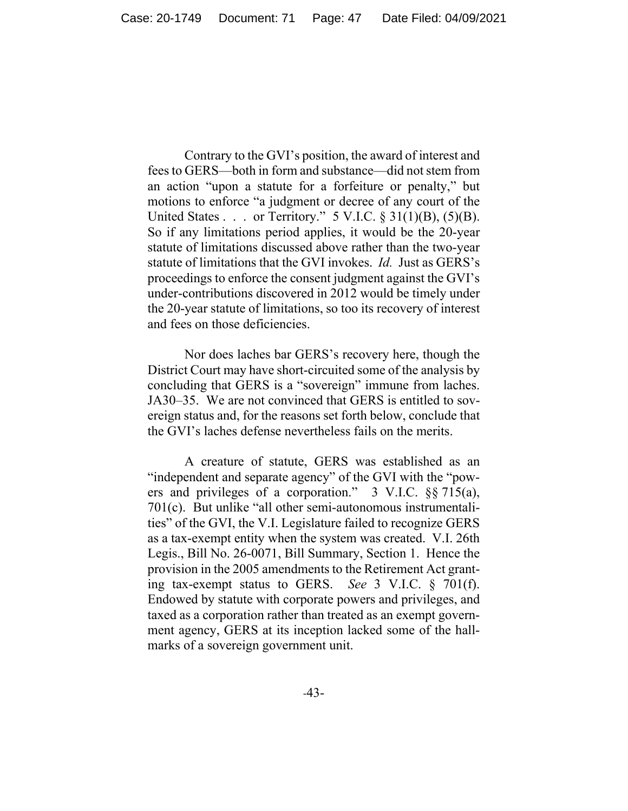Contrary to the GVI's position, the award of interest and fees to GERS—both in form and substance—did not stem from an action "upon a statute for a forfeiture or penalty," but motions to enforce "a judgment or decree of any court of the United States . . . or Territory."  $5$  V.I.C.  $\S$  31(1)(B), (5)(B). So if any limitations period applies, it would be the 20-year statute of limitations discussed above rather than the two-year statute of limitations that the GVI invokes. *Id.* Just as GERS's proceedings to enforce the consent judgment against the GVI's under-contributions discovered in 2012 would be timely under the 20-year statute of limitations, so too its recovery of interest and fees on those deficiencies.

Nor does laches bar GERS's recovery here, though the District Court may have short-circuited some of the analysis by concluding that GERS is a "sovereign" immune from laches. JA30–35. We are not convinced that GERS is entitled to sovereign status and, for the reasons set forth below, conclude that the GVI's laches defense nevertheless fails on the merits.

A creature of statute, GERS was established as an "independent and separate agency" of the GVI with the "powers and privileges of a corporation." 3 V.I.C. §§ 715(a), 701(c). But unlike "all other semi-autonomous instrumentalities" of the GVI, the V.I. Legislature failed to recognize GERS as a tax-exempt entity when the system was created. V.I. 26th Legis., Bill No. 26-0071, Bill Summary, Section 1. Hence the provision in the 2005 amendments to the Retirement Act granting tax-exempt status to GERS. *See* 3 V.I.C. § 701(f). Endowed by statute with corporate powers and privileges, and taxed as a corporation rather than treated as an exempt government agency, GERS at its inception lacked some of the hallmarks of a sovereign government unit.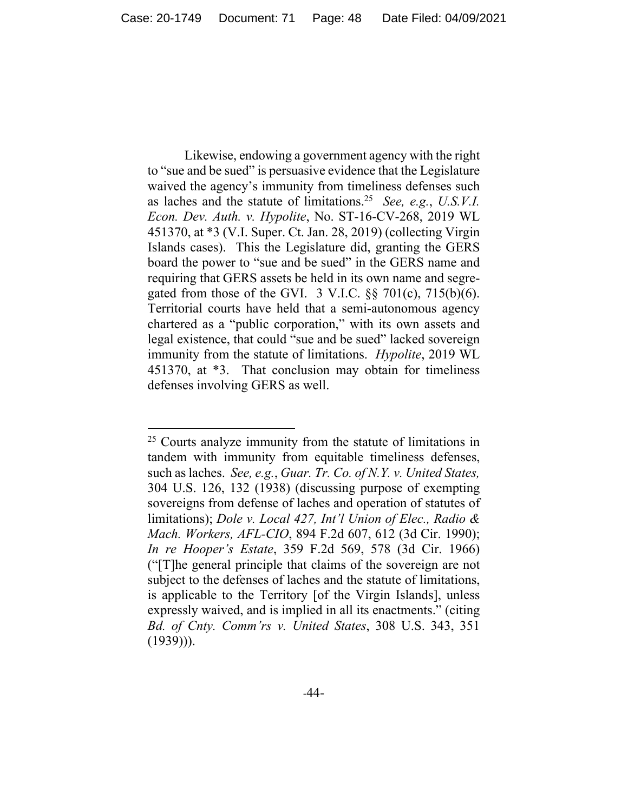Likewise, endowing a government agency with the right to "sue and be sued" is persuasive evidence that the Legislature waived the agency's immunity from timeliness defenses such as laches and the statute of limitations.25 *See, e.g.*, *U.S.V.I. Econ. Dev. Auth. v. Hypolite*, No. ST-16-CV-268, 2019 WL 451370, at \*3 (V.I. Super. Ct. Jan. 28, 2019) (collecting Virgin Islands cases). This the Legislature did, granting the GERS board the power to "sue and be sued" in the GERS name and requiring that GERS assets be held in its own name and segregated from those of the GVI.  $3$  V.I.C.  $\S$  $\S$  701(c), 715(b)(6). Territorial courts have held that a semi-autonomous agency chartered as a "public corporation," with its own assets and legal existence, that could "sue and be sued" lacked sovereign immunity from the statute of limitations. *Hypolite*, 2019 WL 451370, at \*3. That conclusion may obtain for timeliness defenses involving GERS as well.

 $25$  Courts analyze immunity from the statute of limitations in tandem with immunity from equitable timeliness defenses, such as laches. *See, e.g.*, *Guar. Tr. Co. of N.Y. v. United States,*  304 U.S. 126, 132 (1938) (discussing purpose of exempting sovereigns from defense of laches and operation of statutes of limitations); *Dole v. Local 427, Int'l Union of Elec., Radio & Mach. Workers, AFL-CIO*, 894 F.2d 607, 612 (3d Cir. 1990); *In re Hooper's Estate*, 359 F.2d 569, 578 (3d Cir. 1966) ("[T]he general principle that claims of the sovereign are not subject to the defenses of laches and the statute of limitations, is applicable to the Territory [of the Virgin Islands], unless expressly waived, and is implied in all its enactments." (citing *Bd. of Cnty. Comm'rs v. United States*, 308 U.S. 343, 351  $(1939)$ ).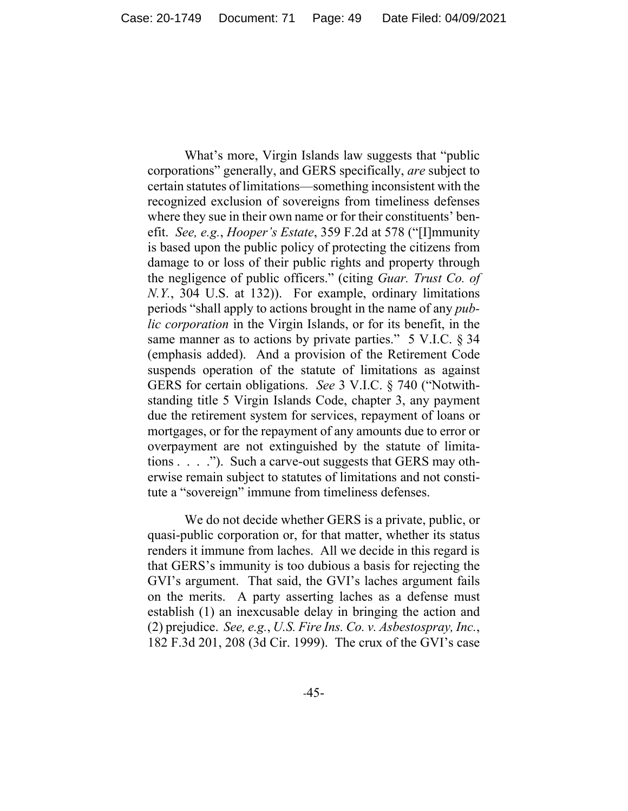What's more, Virgin Islands law suggests that "public corporations" generally, and GERS specifically, *are* subject to certain statutes of limitations—something inconsistent with the recognized exclusion of sovereigns from timeliness defenses where they sue in their own name or for their constituents' benefit. *See, e.g.*, *Hooper's Estate*, 359 F.2d at 578 ("[I]mmunity is based upon the public policy of protecting the citizens from damage to or loss of their public rights and property through the negligence of public officers." (citing *Guar. Trust Co. of N.Y.*, 304 U.S. at 132)). For example, ordinary limitations periods "shall apply to actions brought in the name of any *public corporation* in the Virgin Islands, or for its benefit, in the same manner as to actions by private parties." 5 V.I.C. § 34 (emphasis added). And a provision of the Retirement Code suspends operation of the statute of limitations as against GERS for certain obligations. *See* 3 V.I.C. § 740 ("Notwithstanding title 5 Virgin Islands Code, chapter 3, any payment due the retirement system for services, repayment of loans or mortgages, or for the repayment of any amounts due to error or overpayment are not extinguished by the statute of limitations  $\ldots$  ."). Such a carve-out suggests that GERS may otherwise remain subject to statutes of limitations and not constitute a "sovereign" immune from timeliness defenses.

We do not decide whether GERS is a private, public, or quasi-public corporation or, for that matter, whether its status renders it immune from laches. All we decide in this regard is that GERS's immunity is too dubious a basis for rejecting the GVI's argument. That said, the GVI's laches argument fails on the merits. A party asserting laches as a defense must establish (1) an inexcusable delay in bringing the action and (2) prejudice. *See, e.g.*, *U.S. Fire Ins. Co. v. Asbestospray, Inc.*, 182 F.3d 201, 208 (3d Cir. 1999). The crux of the GVI's case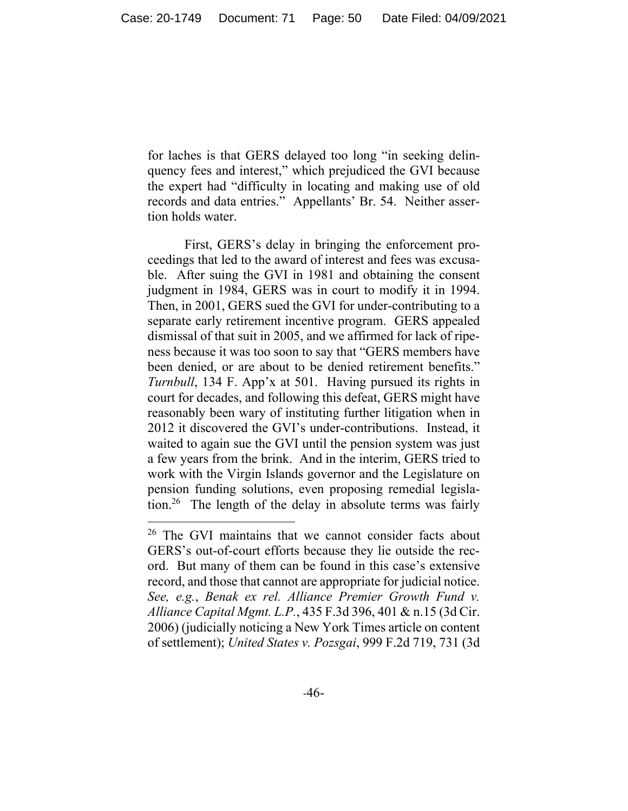for laches is that GERS delayed too long "in seeking delinquency fees and interest," which prejudiced the GVI because the expert had "difficulty in locating and making use of old records and data entries." Appellants' Br. 54. Neither assertion holds water.

First, GERS's delay in bringing the enforcement proceedings that led to the award of interest and fees was excusable. After suing the GVI in 1981 and obtaining the consent judgment in 1984, GERS was in court to modify it in 1994. Then, in 2001, GERS sued the GVI for under-contributing to a separate early retirement incentive program. GERS appealed dismissal of that suit in 2005, and we affirmed for lack of ripeness because it was too soon to say that "GERS members have been denied, or are about to be denied retirement benefits." *Turnbull*, 134 F. App'x at 501. Having pursued its rights in court for decades, and following this defeat, GERS might have reasonably been wary of instituting further litigation when in 2012 it discovered the GVI's under-contributions. Instead, it waited to again sue the GVI until the pension system was just a few years from the brink. And in the interim, GERS tried to work with the Virgin Islands governor and the Legislature on pension funding solutions, even proposing remedial legislation.26 The length of the delay in absolute terms was fairly

<sup>&</sup>lt;sup>26</sup> The GVI maintains that we cannot consider facts about GERS's out-of-court efforts because they lie outside the record. But many of them can be found in this case's extensive record, and those that cannot are appropriate for judicial notice. *See, e.g.*, *Benak ex rel. Alliance Premier Growth Fund v. Alliance Capital Mgmt. L.P.*, 435 F.3d 396, 401 & n.15 (3d Cir. 2006) (judicially noticing a New York Times article on content of settlement); *United States v. Pozsgai*, 999 F.2d 719, 731 (3d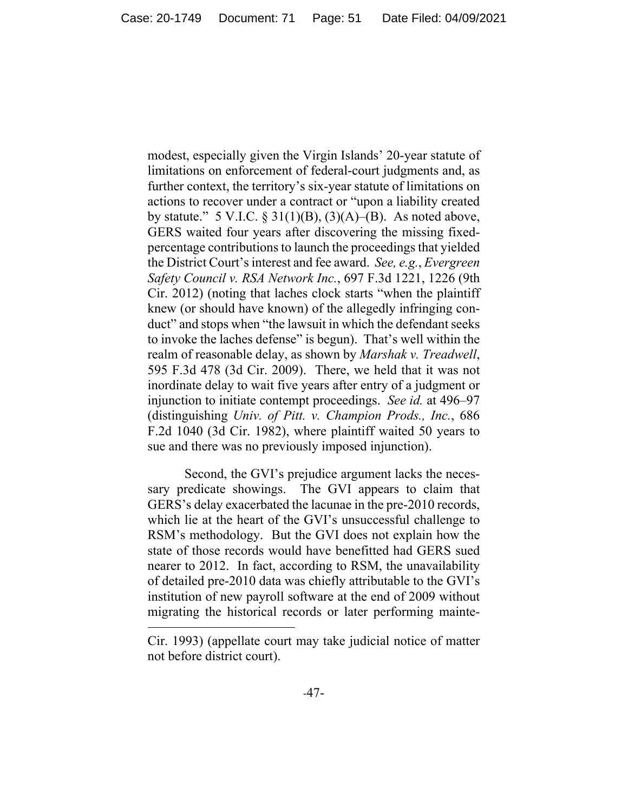modest, especially given the Virgin Islands' 20-year statute of limitations on enforcement of federal-court judgments and, as further context, the territory's six-year statute of limitations on actions to recover under a contract or "upon a liability created by statute." 5 V.I.C.  $\S 31(1)(B)$ ,  $(3)(A)$ – $(B)$ . As noted above, GERS waited four years after discovering the missing fixedpercentage contributions to launch the proceedings that yielded the District Court's interest and fee award. *See, e.g.*, *Evergreen Safety Council v. RSA Network Inc.*, 697 F.3d 1221, 1226 (9th Cir. 2012) (noting that laches clock starts "when the plaintiff knew (or should have known) of the allegedly infringing conduct" and stops when "the lawsuit in which the defendant seeks to invoke the laches defense" is begun). That's well within the realm of reasonable delay, as shown by *Marshak v. Treadwell*, 595 F.3d 478 (3d Cir. 2009). There, we held that it was not inordinate delay to wait five years after entry of a judgment or injunction to initiate contempt proceedings. *See id.* at 496–97 (distinguishing *Univ. of Pitt. v. Champion Prods., Inc.*, 686 F.2d 1040 (3d Cir. 1982), where plaintiff waited 50 years to sue and there was no previously imposed injunction).

Second, the GVI's prejudice argument lacks the necessary predicate showings. The GVI appears to claim that GERS's delay exacerbated the lacunae in the pre-2010 records, which lie at the heart of the GVI's unsuccessful challenge to RSM's methodology. But the GVI does not explain how the state of those records would have benefitted had GERS sued nearer to 2012. In fact, according to RSM, the unavailability of detailed pre-2010 data was chiefly attributable to the GVI's institution of new payroll software at the end of 2009 without migrating the historical records or later performing mainte-

Cir. 1993) (appellate court may take judicial notice of matter not before district court).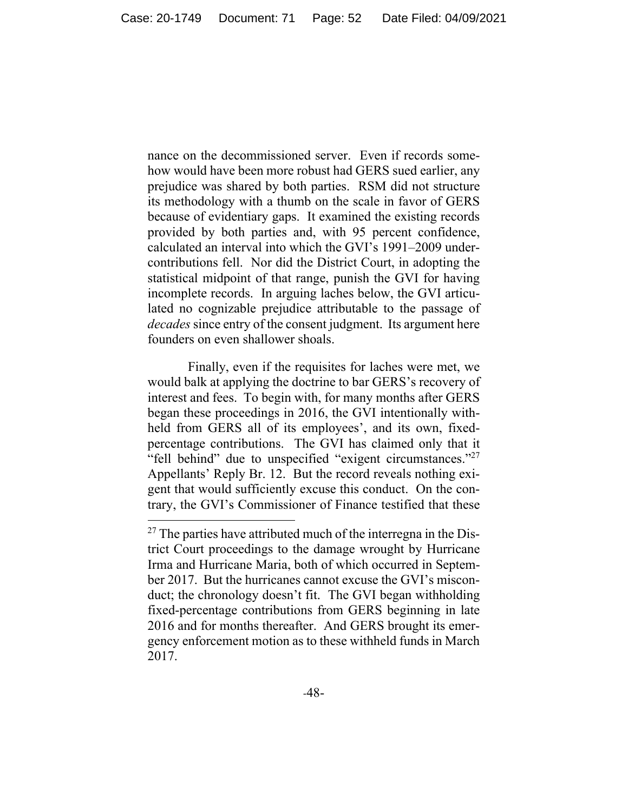nance on the decommissioned server. Even if records somehow would have been more robust had GERS sued earlier, any prejudice was shared by both parties. RSM did not structure its methodology with a thumb on the scale in favor of GERS because of evidentiary gaps. It examined the existing records provided by both parties and, with 95 percent confidence, calculated an interval into which the GVI's 1991–2009 undercontributions fell. Nor did the District Court, in adopting the statistical midpoint of that range, punish the GVI for having incomplete records. In arguing laches below, the GVI articulated no cognizable prejudice attributable to the passage of *decades* since entry of the consent judgment. Its argument here founders on even shallower shoals.

 Finally, even if the requisites for laches were met, we would balk at applying the doctrine to bar GERS's recovery of interest and fees. To begin with, for many months after GERS began these proceedings in 2016, the GVI intentionally withheld from GERS all of its employees', and its own, fixedpercentage contributions. The GVI has claimed only that it "fell behind" due to unspecified "exigent circumstances."<sup>27</sup> Appellants' Reply Br. 12. But the record reveals nothing exigent that would sufficiently excuse this conduct. On the contrary, the GVI's Commissioner of Finance testified that these

 $^{27}$  The parties have attributed much of the interregna in the District Court proceedings to the damage wrought by Hurricane Irma and Hurricane Maria, both of which occurred in September 2017. But the hurricanes cannot excuse the GVI's misconduct; the chronology doesn't fit. The GVI began withholding fixed-percentage contributions from GERS beginning in late 2016 and for months thereafter. And GERS brought its emergency enforcement motion as to these withheld funds in March 2017.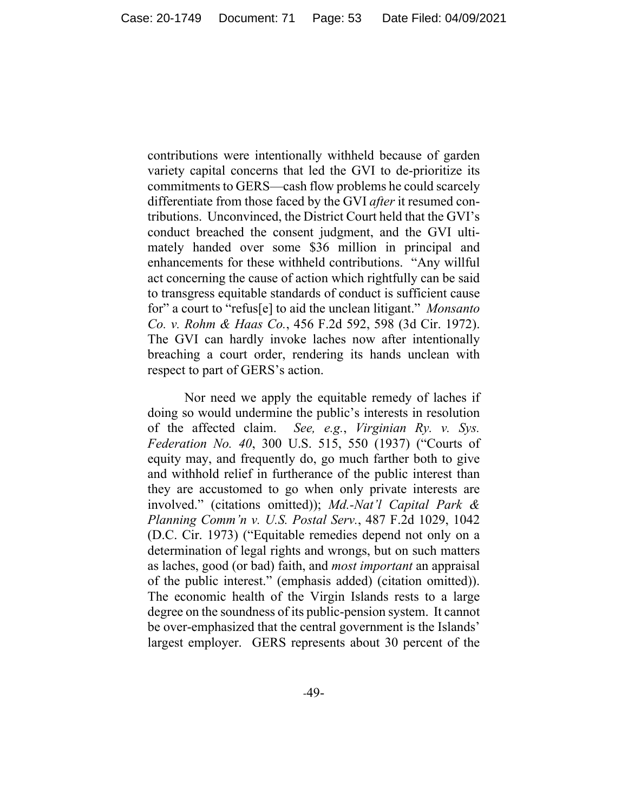contributions were intentionally withheld because of garden variety capital concerns that led the GVI to de-prioritize its commitments to GERS—cash flow problems he could scarcely differentiate from those faced by the GVI *after* it resumed contributions. Unconvinced, the District Court held that the GVI's conduct breached the consent judgment, and the GVI ultimately handed over some \$36 million in principal and enhancements for these withheld contributions. "Any willful act concerning the cause of action which rightfully can be said to transgress equitable standards of conduct is sufficient cause for" a court to "refus[e] to aid the unclean litigant." *Monsanto Co. v. Rohm & Haas Co.*, 456 F.2d 592, 598 (3d Cir. 1972). The GVI can hardly invoke laches now after intentionally breaching a court order, rendering its hands unclean with respect to part of GERS's action.

Nor need we apply the equitable remedy of laches if doing so would undermine the public's interests in resolution of the affected claim. *See, e.g.*, *Virginian Ry. v. Sys. Federation No. 40*, 300 U.S. 515, 550 (1937) ("Courts of equity may, and frequently do, go much farther both to give and withhold relief in furtherance of the public interest than they are accustomed to go when only private interests are involved." (citations omitted)); *Md.-Nat'l Capital Park & Planning Comm'n v. U.S. Postal Serv.*, 487 F.2d 1029, 1042 (D.C. Cir. 1973) ("Equitable remedies depend not only on a determination of legal rights and wrongs, but on such matters as laches, good (or bad) faith, and *most important* an appraisal of the public interest." (emphasis added) (citation omitted)). The economic health of the Virgin Islands rests to a large degree on the soundness of its public-pension system. It cannot be over-emphasized that the central government is the Islands' largest employer. GERS represents about 30 percent of the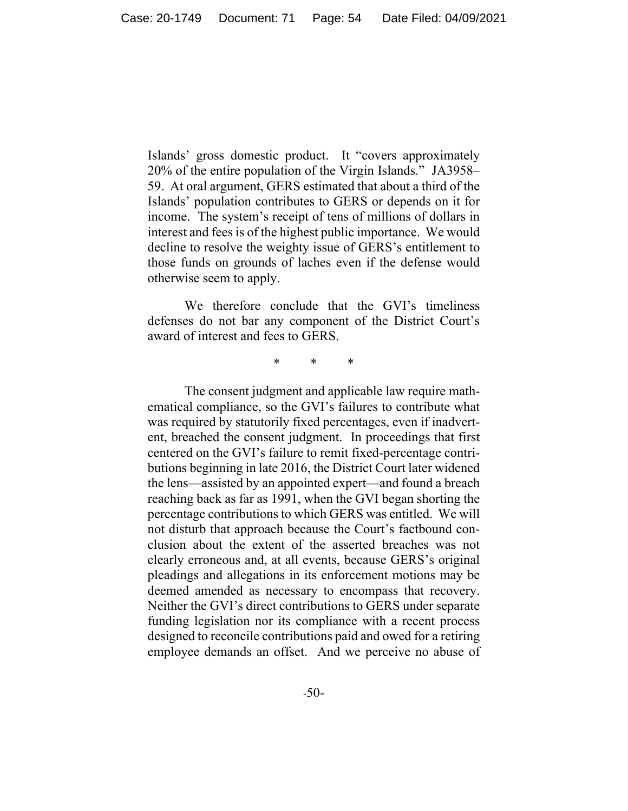Islands' gross domestic product. It "covers approximately 20% of the entire population of the Virgin Islands." JA3958– 59.At oral argument, GERS estimated that about a third of the Islands' population contributes to GERS or depends on it for income. The system's receipt of tens of millions of dollars in interest and fees is of the highest public importance. We would decline to resolve the weighty issue of GERS's entitlement to those funds on grounds of laches even if the defense would otherwise seem to apply.

We therefore conclude that the GVI's timeliness defenses do not bar any component of the District Court's award of interest and fees to GERS.

\* \* \*

The consent judgment and applicable law require mathematical compliance, so the GVI's failures to contribute what was required by statutorily fixed percentages, even if inadvertent, breached the consent judgment. In proceedings that first centered on the GVI's failure to remit fixed-percentage contributions beginning in late 2016, the District Court later widened the lens—assisted by an appointed expert—and found a breach reaching back as far as 1991, when the GVI began shorting the percentage contributions to which GERS was entitled. We will not disturb that approach because the Court's factbound conclusion about the extent of the asserted breaches was not clearly erroneous and, at all events, because GERS's original pleadings and allegations in its enforcement motions may be deemed amended as necessary to encompass that recovery. Neither the GVI's direct contributions to GERS under separate funding legislation nor its compliance with a recent process designed to reconcile contributions paid and owed for a retiring employee demands an offset. And we perceive no abuse of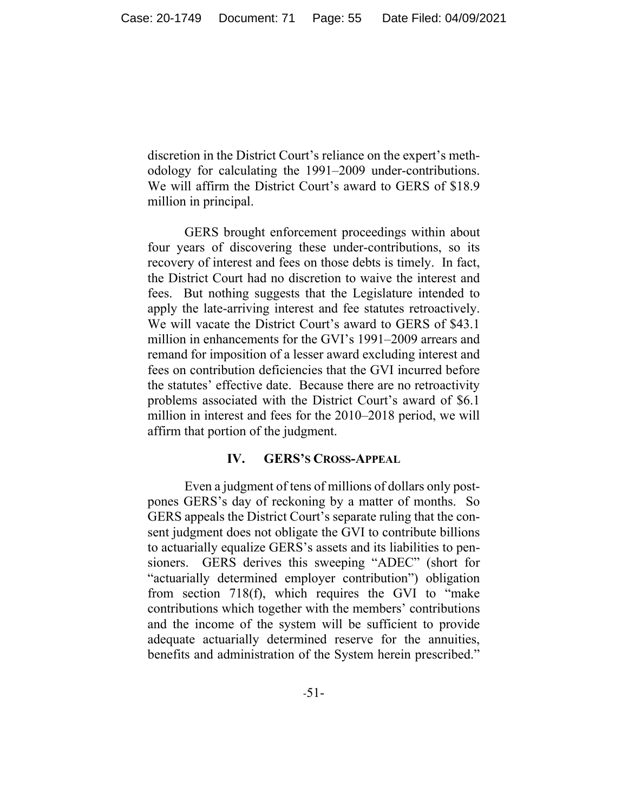discretion in the District Court's reliance on the expert's methodology for calculating the 1991–2009 under-contributions. We will affirm the District Court's award to GERS of \$18.9 million in principal.

GERS brought enforcement proceedings within about four years of discovering these under-contributions, so its recovery of interest and fees on those debts is timely. In fact, the District Court had no discretion to waive the interest and fees. But nothing suggests that the Legislature intended to apply the late-arriving interest and fee statutes retroactively. We will vacate the District Court's award to GERS of \$43.1 million in enhancements for the GVI's 1991–2009 arrears and remand for imposition of a lesser award excluding interest and fees on contribution deficiencies that the GVI incurred before the statutes' effective date. Because there are no retroactivity problems associated with the District Court's award of \$6.1 million in interest and fees for the 2010–2018 period, we will affirm that portion of the judgment.

#### **IV. GERS'S CROSS-APPEAL**

Even a judgment of tens of millions of dollars only postpones GERS's day of reckoning by a matter of months. So GERS appeals the District Court's separate ruling that the consent judgment does not obligate the GVI to contribute billions to actuarially equalize GERS's assets and its liabilities to pensioners. GERS derives this sweeping "ADEC" (short for "actuarially determined employer contribution") obligation from section 718(f), which requires the GVI to "make contributions which together with the members' contributions and the income of the system will be sufficient to provide adequate actuarially determined reserve for the annuities, benefits and administration of the System herein prescribed."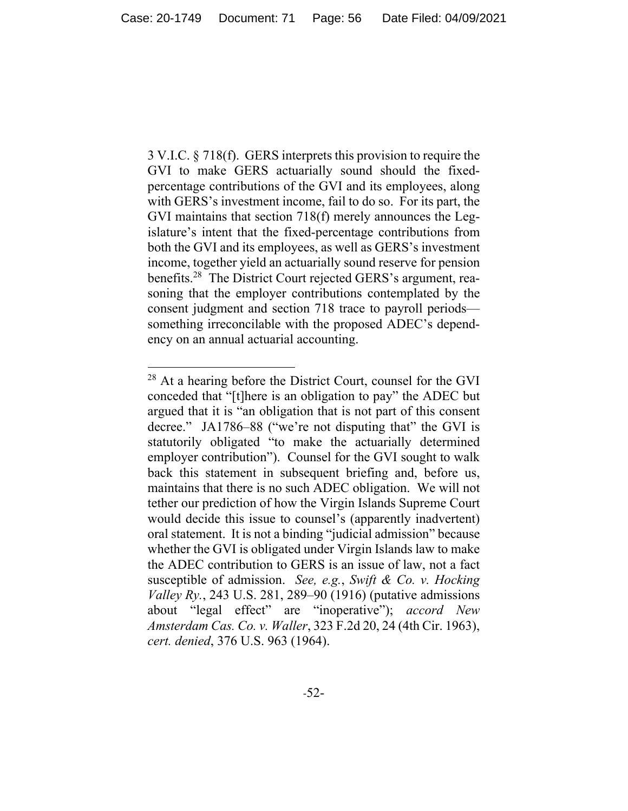3 V.I.C. § 718(f). GERS interprets this provision to require the GVI to make GERS actuarially sound should the fixedpercentage contributions of the GVI and its employees, along with GERS's investment income, fail to do so. For its part, the GVI maintains that section 718(f) merely announces the Legislature's intent that the fixed-percentage contributions from both the GVI and its employees, as well as GERS's investment income, together yield an actuarially sound reserve for pension benefits.<sup>28</sup> The District Court rejected GERS's argument, reasoning that the employer contributions contemplated by the consent judgment and section 718 trace to payroll periods something irreconcilable with the proposed ADEC's dependency on an annual actuarial accounting.

<sup>&</sup>lt;sup>28</sup> At a hearing before the District Court, counsel for the GVI conceded that "[t]here is an obligation to pay" the ADEC but argued that it is "an obligation that is not part of this consent decree." JA1786–88 ("we're not disputing that" the GVI is statutorily obligated "to make the actuarially determined employer contribution"). Counsel for the GVI sought to walk back this statement in subsequent briefing and, before us, maintains that there is no such ADEC obligation. We will not tether our prediction of how the Virgin Islands Supreme Court would decide this issue to counsel's (apparently inadvertent) oral statement. It is not a binding "judicial admission" because whether the GVI is obligated under Virgin Islands law to make the ADEC contribution to GERS is an issue of law, not a fact susceptible of admission. *See, e.g.*, *Swift & Co. v. Hocking Valley Ry.*, 243 U.S. 281, 289–90 (1916) (putative admissions about "legal effect" are "inoperative"); *accord New Amsterdam Cas. Co. v. Waller*, 323 F.2d 20, 24 (4th Cir. 1963), *cert. denied*, 376 U.S. 963 (1964).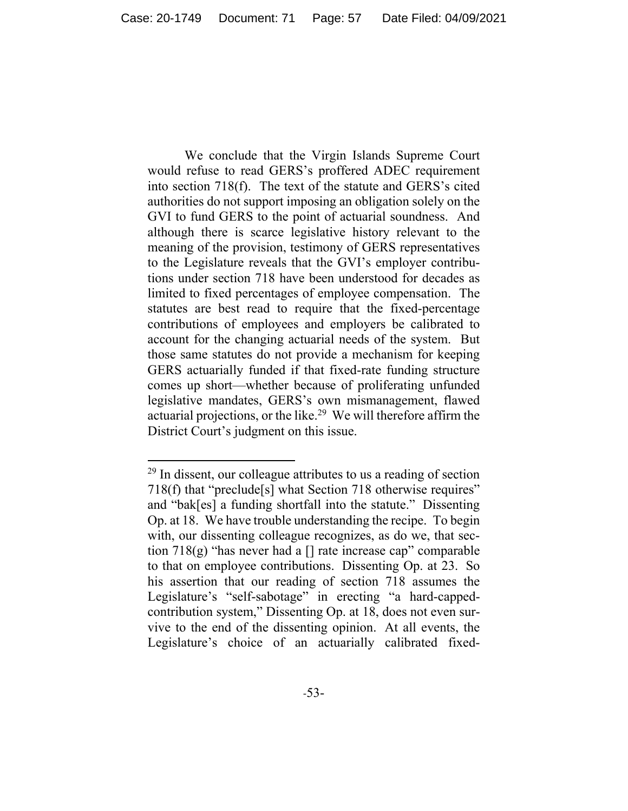We conclude that the Virgin Islands Supreme Court would refuse to read GERS's proffered ADEC requirement into section 718(f). The text of the statute and GERS's cited authorities do not support imposing an obligation solely on the GVI to fund GERS to the point of actuarial soundness. And although there is scarce legislative history relevant to the meaning of the provision, testimony of GERS representatives to the Legislature reveals that the GVI's employer contributions under section 718 have been understood for decades as limited to fixed percentages of employee compensation. The statutes are best read to require that the fixed-percentage contributions of employees and employers be calibrated to account for the changing actuarial needs of the system. But those same statutes do not provide a mechanism for keeping GERS actuarially funded if that fixed-rate funding structure comes up short—whether because of proliferating unfunded legislative mandates, GERS's own mismanagement, flawed actuarial projections, or the like.29 We will therefore affirm the District Court's judgment on this issue.

 $^{29}$  In dissent, our colleague attributes to us a reading of section 718(f) that "preclude[s] what Section 718 otherwise requires" and "bak[es] a funding shortfall into the statute." Dissenting Op. at 18. We have trouble understanding the recipe. To begin with, our dissenting colleague recognizes, as do we, that section  $718(g)$  "has never had a  $\lceil \cdot \rceil$  rate increase cap" comparable to that on employee contributions. Dissenting Op. at 23. So his assertion that our reading of section 718 assumes the Legislature's "self-sabotage" in erecting "a hard-cappedcontribution system," Dissenting Op. at 18, does not even survive to the end of the dissenting opinion. At all events, the Legislature's choice of an actuarially calibrated fixed-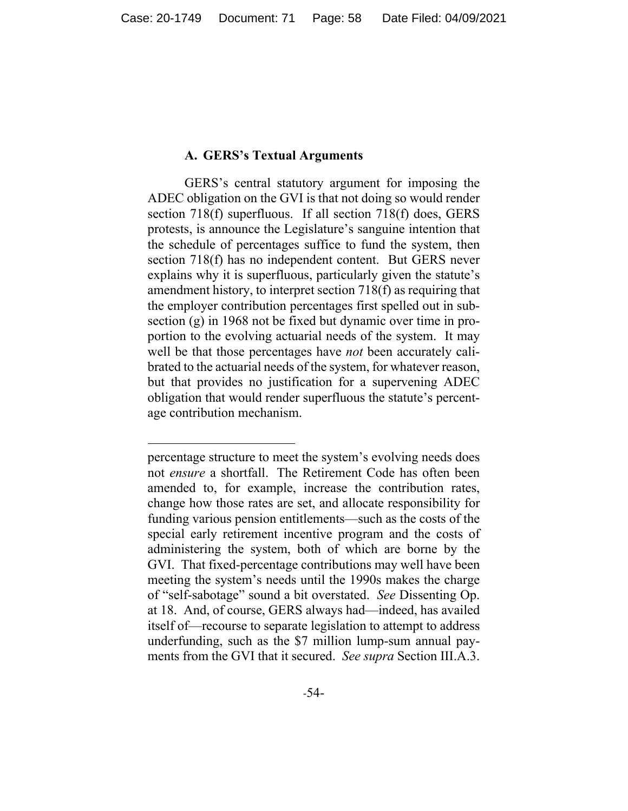## **A. GERS's Textual Arguments**

 GERS's central statutory argument for imposing the ADEC obligation on the GVI is that not doing so would render section 718(f) superfluous. If all section 718(f) does, GERS protests, is announce the Legislature's sanguine intention that the schedule of percentages suffice to fund the system, then section 718(f) has no independent content. But GERS never explains why it is superfluous, particularly given the statute's amendment history, to interpret section 718(f) as requiring that the employer contribution percentages first spelled out in subsection (g) in 1968 not be fixed but dynamic over time in proportion to the evolving actuarial needs of the system. It may well be that those percentages have *not* been accurately calibrated to the actuarial needs of the system, for whatever reason, but that provides no justification for a supervening ADEC obligation that would render superfluous the statute's percentage contribution mechanism.

percentage structure to meet the system's evolving needs does not *ensure* a shortfall. The Retirement Code has often been amended to, for example, increase the contribution rates, change how those rates are set, and allocate responsibility for funding various pension entitlements—such as the costs of the special early retirement incentive program and the costs of administering the system, both of which are borne by the GVI. That fixed-percentage contributions may well have been meeting the system's needs until the 1990s makes the charge of "self-sabotage" sound a bit overstated. *See* Dissenting Op. at 18. And, of course, GERS always had—indeed, has availed itself of—recourse to separate legislation to attempt to address underfunding, such as the \$7 million lump-sum annual payments from the GVI that it secured. *See supra* Section III.A.3.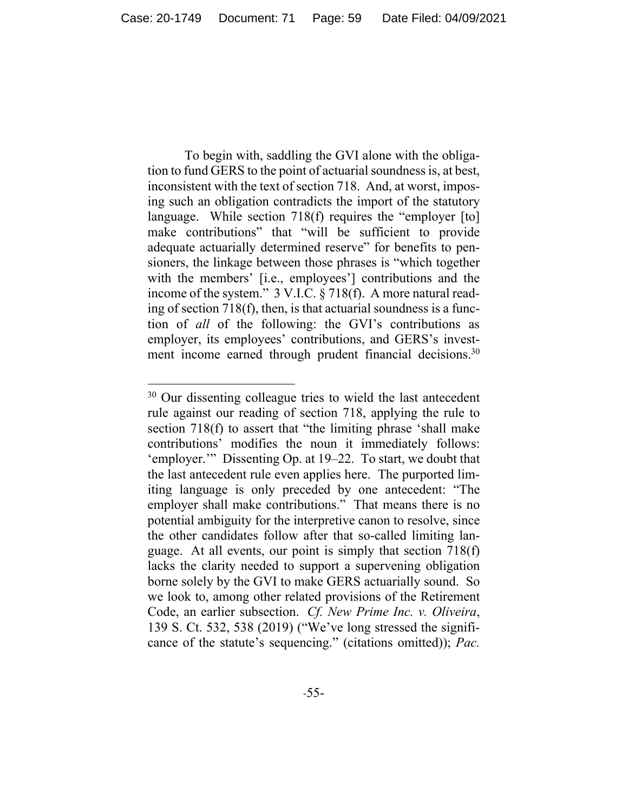To begin with, saddling the GVI alone with the obligation to fund GERS to the point of actuarial soundness is, at best, inconsistent with the text of section 718. And, at worst, imposing such an obligation contradicts the import of the statutory language. While section 718(f) requires the "employer [to] make contributions" that "will be sufficient to provide adequate actuarially determined reserve" for benefits to pensioners, the linkage between those phrases is "which together with the members' [i.e., employees'] contributions and the income of the system." 3 V.I.C. § 718(f). A more natural reading of section 718(f), then, is that actuarial soundness is a function of *all* of the following: the GVI's contributions as employer, its employees' contributions, and GERS's investment income earned through prudent financial decisions.<sup>30</sup>

<sup>&</sup>lt;sup>30</sup> Our dissenting colleague tries to wield the last antecedent rule against our reading of section 718, applying the rule to section 718(f) to assert that "the limiting phrase 'shall make contributions' modifies the noun it immediately follows: 'employer.'" Dissenting Op. at 19–22. To start, we doubt that the last antecedent rule even applies here. The purported limiting language is only preceded by one antecedent: "The employer shall make contributions." That means there is no potential ambiguity for the interpretive canon to resolve, since the other candidates follow after that so-called limiting language. At all events, our point is simply that section 718(f) lacks the clarity needed to support a supervening obligation borne solely by the GVI to make GERS actuarially sound. So we look to, among other related provisions of the Retirement Code, an earlier subsection. *Cf. New Prime Inc. v. Oliveira*, 139 S. Ct. 532, 538 (2019) ("We've long stressed the significance of the statute's sequencing." (citations omitted)); *Pac.*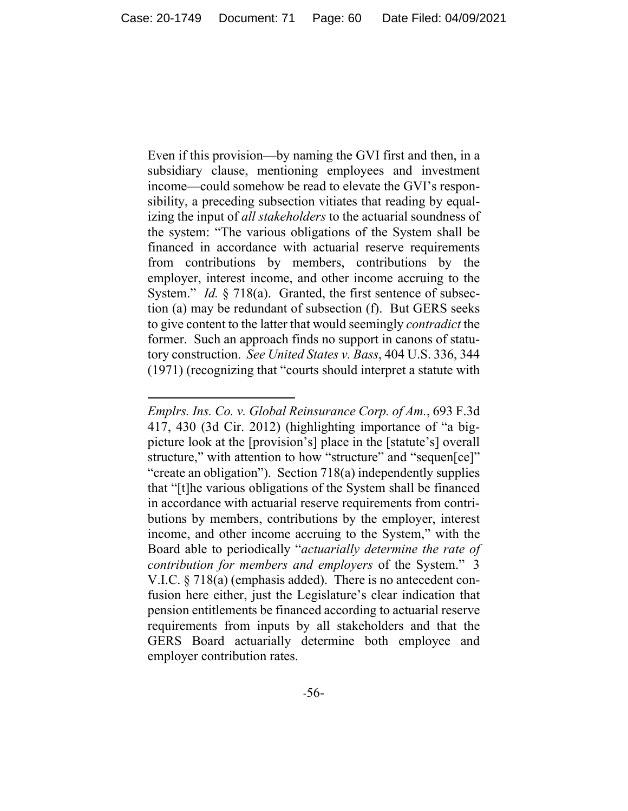Even if this provision—by naming the GVI first and then, in a subsidiary clause, mentioning employees and investment income—could somehow be read to elevate the GVI's responsibility, a preceding subsection vitiates that reading by equalizing the input of *all stakeholders* to the actuarial soundness of the system: "The various obligations of the System shall be financed in accordance with actuarial reserve requirements from contributions by members, contributions by the employer, interest income, and other income accruing to the System." *Id.* § 718(a). Granted, the first sentence of subsection (a) may be redundant of subsection (f). But GERS seeks to give content to the latter that would seemingly *contradict* the former. Such an approach finds no support in canons of statutory construction. *See United States v. Bass*, 404 U.S. 336, 344 (1971) (recognizing that "courts should interpret a statute with

*Emplrs. Ins. Co. v. Global Reinsurance Corp. of Am.*, 693 F.3d 417, 430 (3d Cir. 2012) (highlighting importance of "a bigpicture look at the [provision's] place in the [statute's] overall structure," with attention to how "structure" and "sequen[ce]" "create an obligation"). Section 718(a) independently supplies that "[t]he various obligations of the System shall be financed in accordance with actuarial reserve requirements from contributions by members, contributions by the employer, interest income, and other income accruing to the System," with the Board able to periodically "*actuarially determine the rate of contribution for members and employers* of the System." 3 V.I.C. § 718(a) (emphasis added). There is no antecedent confusion here either, just the Legislature's clear indication that pension entitlements be financed according to actuarial reserve requirements from inputs by all stakeholders and that the GERS Board actuarially determine both employee and employer contribution rates.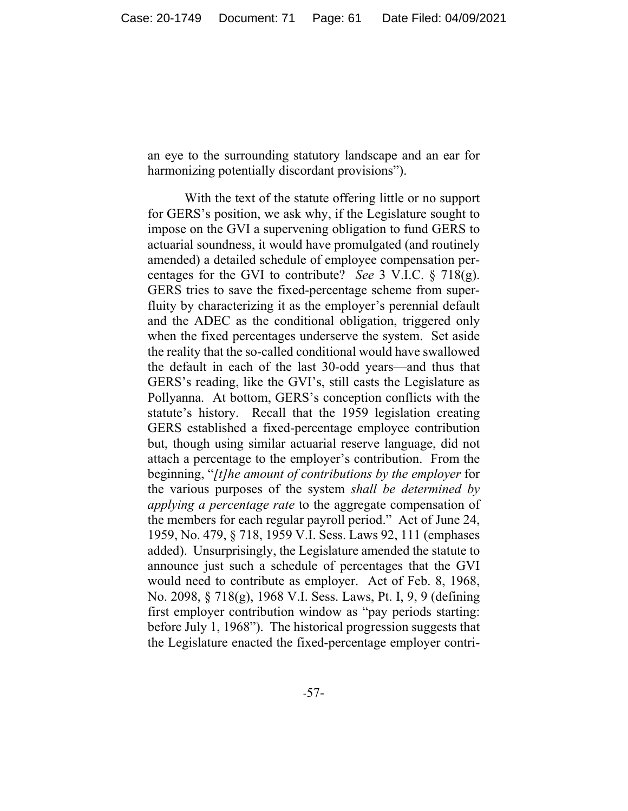an eye to the surrounding statutory landscape and an ear for harmonizing potentially discordant provisions").

 With the text of the statute offering little or no support for GERS's position, we ask why, if the Legislature sought to impose on the GVI a supervening obligation to fund GERS to actuarial soundness, it would have promulgated (and routinely amended) a detailed schedule of employee compensation percentages for the GVI to contribute? *See* 3 V.I.C. § 718(g). GERS tries to save the fixed-percentage scheme from superfluity by characterizing it as the employer's perennial default and the ADEC as the conditional obligation, triggered only when the fixed percentages underserve the system. Set aside the reality that the so-called conditional would have swallowed the default in each of the last 30-odd years—and thus that GERS's reading, like the GVI's, still casts the Legislature as Pollyanna. At bottom, GERS's conception conflicts with the statute's history. Recall that the 1959 legislation creating GERS established a fixed-percentage employee contribution but, though using similar actuarial reserve language, did not attach a percentage to the employer's contribution. From the beginning, "*[t]he amount of contributions by the employer* for the various purposes of the system *shall be determined by applying a percentage rate* to the aggregate compensation of the members for each regular payroll period." Act of June 24, 1959, No. 479, § 718, 1959 V.I. Sess. Laws 92, 111 (emphases added).Unsurprisingly, the Legislature amended the statute to announce just such a schedule of percentages that the GVI would need to contribute as employer. Act of Feb. 8, 1968, No. 2098, § 718(g), 1968 V.I. Sess. Laws, Pt. I, 9, 9 (defining first employer contribution window as "pay periods starting: before July 1, 1968"). The historical progression suggests that the Legislature enacted the fixed-percentage employer contri-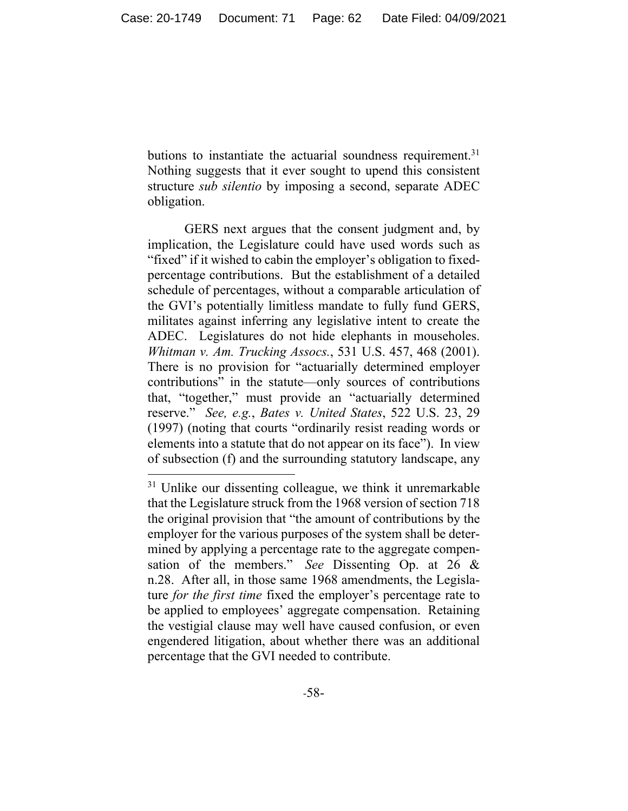butions to instantiate the actuarial soundness requirement.<sup>31</sup> Nothing suggests that it ever sought to upend this consistent structure *sub silentio* by imposing a second, separate ADEC obligation.

 GERS next argues that the consent judgment and, by implication, the Legislature could have used words such as "fixed" if it wished to cabin the employer's obligation to fixedpercentage contributions. But the establishment of a detailed schedule of percentages, without a comparable articulation of the GVI's potentially limitless mandate to fully fund GERS, militates against inferring any legislative intent to create the ADEC. Legislatures do not hide elephants in mouseholes. *Whitman v. Am. Trucking Assocs.*, 531 U.S. 457, 468 (2001). There is no provision for "actuarially determined employer contributions" in the statute—only sources of contributions that, "together," must provide an "actuarially determined reserve." *See, e.g.*, *Bates v. United States*, 522 U.S. 23, 29 (1997) (noting that courts "ordinarily resist reading words or elements into a statute that do not appear on its face"). In view of subsection (f) and the surrounding statutory landscape, any

<sup>&</sup>lt;sup>31</sup> Unlike our dissenting colleague, we think it unremarkable that the Legislature struck from the 1968 version of section 718 the original provision that "the amount of contributions by the employer for the various purposes of the system shall be determined by applying a percentage rate to the aggregate compensation of the members." *See* Dissenting Op. at 26 & n.28. After all, in those same 1968 amendments, the Legislature *for the first time* fixed the employer's percentage rate to be applied to employees' aggregate compensation. Retaining the vestigial clause may well have caused confusion, or even engendered litigation, about whether there was an additional percentage that the GVI needed to contribute.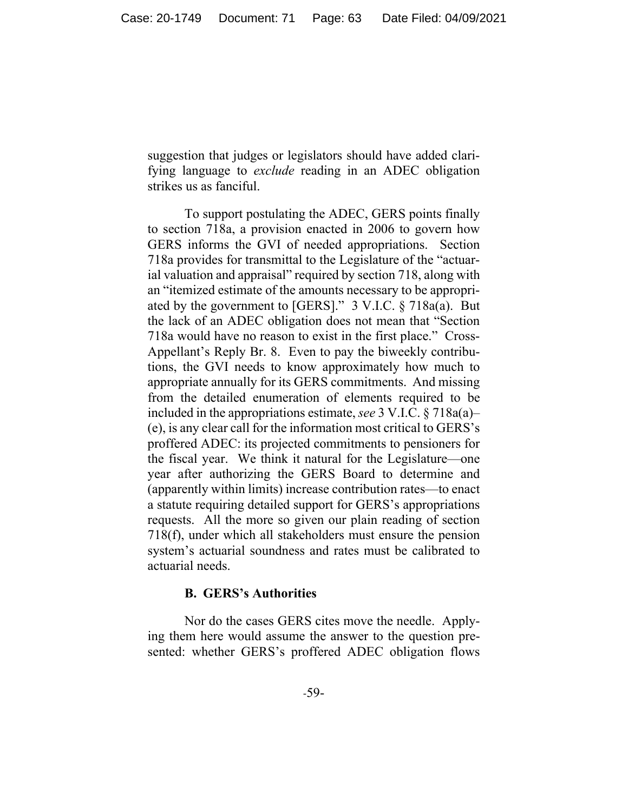suggestion that judges or legislators should have added clarifying language to *exclude* reading in an ADEC obligation strikes us as fanciful.

 To support postulating the ADEC, GERS points finally to section 718a, a provision enacted in 2006 to govern how GERS informs the GVI of needed appropriations. Section 718a provides for transmittal to the Legislature of the "actuarial valuation and appraisal" required by section 718, along with an "itemized estimate of the amounts necessary to be appropriated by the government to [GERS]." 3 V.I.C. § 718a(a). But the lack of an ADEC obligation does not mean that "Section 718a would have no reason to exist in the first place." Cross-Appellant's Reply Br. 8. Even to pay the biweekly contributions, the GVI needs to know approximately how much to appropriate annually for its GERS commitments. And missing from the detailed enumeration of elements required to be included in the appropriations estimate, *see* 3 V.I.C. § 718a(a)– (e), is any clear call for the information most critical to GERS's proffered ADEC: its projected commitments to pensioners for the fiscal year. We think it natural for the Legislature—one year after authorizing the GERS Board to determine and (apparently within limits) increase contribution rates—to enact a statute requiring detailed support for GERS's appropriations requests. All the more so given our plain reading of section 718(f), under which all stakeholders must ensure the pension system's actuarial soundness and rates must be calibrated to actuarial needs.

## **B. GERS's Authorities**

Nor do the cases GERS cites move the needle. Applying them here would assume the answer to the question presented: whether GERS's proffered ADEC obligation flows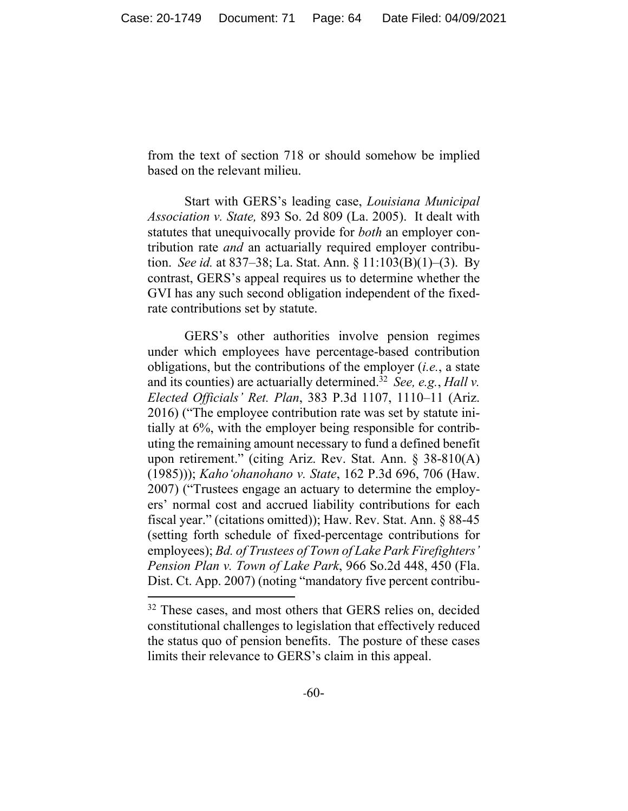from the text of section 718 or should somehow be implied based on the relevant milieu.

Start with GERS's leading case, *Louisiana Municipal Association v. State,* 893 So. 2d 809 (La. 2005). It dealt with statutes that unequivocally provide for *both* an employer contribution rate *and* an actuarially required employer contribution. *See id.* at 837–38; La. Stat. Ann. § 11:103(B)(1)–(3). By contrast, GERS's appeal requires us to determine whether the GVI has any such second obligation independent of the fixedrate contributions set by statute.

GERS's other authorities involve pension regimes under which employees have percentage-based contribution obligations, but the contributions of the employer (*i.e.*, a state and its counties) are actuarially determined.<sup>32</sup> *See, e.g., Hall v. Elected Officials' Ret. Plan*, 383 P.3d 1107, 1110–11 (Ariz. 2016) ("The employee contribution rate was set by statute initially at 6%, with the employer being responsible for contributing the remaining amount necessary to fund a defined benefit upon retirement." (citing Ariz. Rev. Stat. Ann. § 38-810(A) (1985))); *Kaho'ohanohano v. State*, 162 P.3d 696, 706 (Haw. 2007) ("Trustees engage an actuary to determine the employers' normal cost and accrued liability contributions for each fiscal year." (citations omitted)); Haw. Rev. Stat. Ann. § 88-45 (setting forth schedule of fixed-percentage contributions for employees); *Bd. of Trustees of Town of Lake Park Firefighters' Pension Plan v. Town of Lake Park*, 966 So.2d 448, 450 (Fla. Dist. Ct. App. 2007) (noting "mandatory five percent contribu-

<sup>&</sup>lt;sup>32</sup> These cases, and most others that GERS relies on, decided constitutional challenges to legislation that effectively reduced the status quo of pension benefits. The posture of these cases limits their relevance to GERS's claim in this appeal.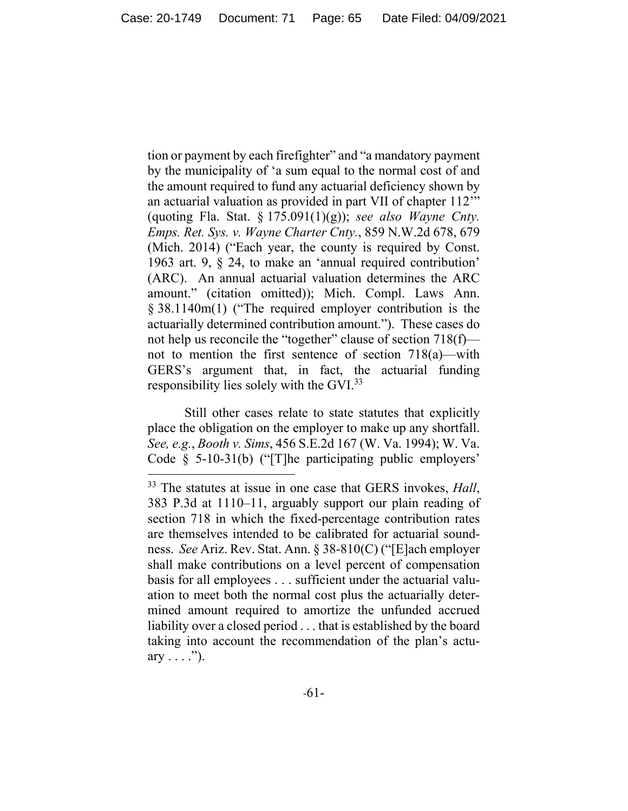tion or payment by each firefighter" and "a mandatory payment by the municipality of 'a sum equal to the normal cost of and the amount required to fund any actuarial deficiency shown by an actuarial valuation as provided in part VII of chapter 112'" (quoting Fla. Stat. § 175.091(1)(g)); *see also Wayne Cnty. Emps. Ret. Sys. v. Wayne Charter Cnty.*, 859 N.W.2d 678, 679 (Mich. 2014) ("Each year, the county is required by Const. 1963 art. 9, § 24, to make an 'annual required contribution' (ARC). An annual actuarial valuation determines the ARC amount." (citation omitted)); Mich. Compl. Laws Ann. § 38.1140m(1) ("The required employer contribution is the actuarially determined contribution amount."). These cases do not help us reconcile the "together" clause of section 718(f) not to mention the first sentence of section 718(a)—with GERS's argument that, in fact, the actuarial funding responsibility lies solely with the GVI.33

Still other cases relate to state statutes that explicitly place the obligation on the employer to make up any shortfall. *See, e.g.*, *Booth v. Sims*, 456 S.E.2d 167 (W. Va. 1994); W. Va. Code § 5-10-31(b) ("[T]he participating public employers'

<sup>33</sup> The statutes at issue in one case that GERS invokes, *Hall*, 383 P.3d at 1110–11, arguably support our plain reading of section 718 in which the fixed-percentage contribution rates are themselves intended to be calibrated for actuarial soundness. *See* Ariz. Rev. Stat. Ann. § 38-810(C) ("[E]ach employer shall make contributions on a level percent of compensation basis for all employees . . . sufficient under the actuarial valuation to meet both the normal cost plus the actuarially determined amount required to amortize the unfunded accrued liability over a closed period . . . that is established by the board taking into account the recommendation of the plan's actuary  $\dots$  .").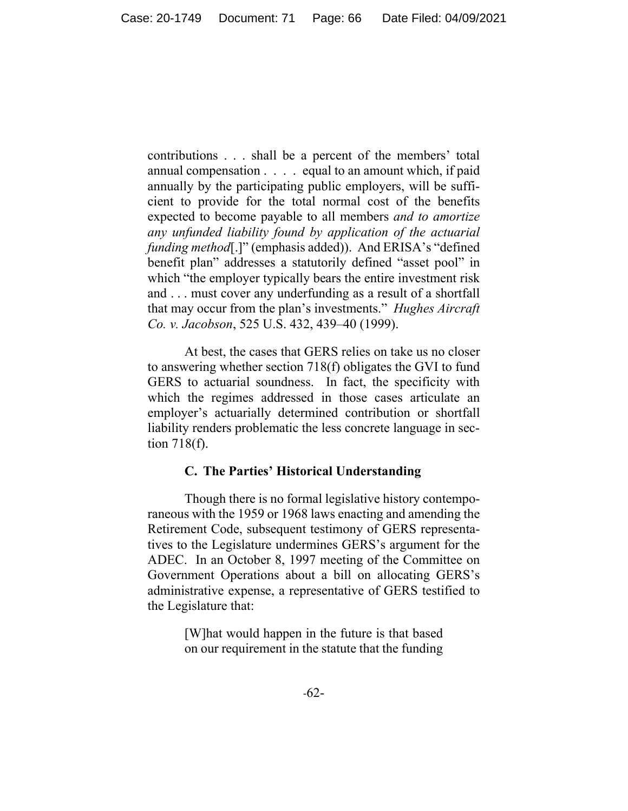contributions . . . shall be a percent of the members' total annual compensation . . . . equal to an amount which, if paid annually by the participating public employers, will be sufficient to provide for the total normal cost of the benefits expected to become payable to all members *and to amortize any unfunded liability found by application of the actuarial funding method*[.]" (emphasis added)). And ERISA's "defined benefit plan" addresses a statutorily defined "asset pool" in which "the employer typically bears the entire investment risk and . . . must cover any underfunding as a result of a shortfall that may occur from the plan's investments." *Hughes Aircraft Co. v. Jacobson*, 525 U.S. 432, 439–40 (1999).

At best, the cases that GERS relies on take us no closer to answering whether section 718(f) obligates the GVI to fund GERS to actuarial soundness. In fact, the specificity with which the regimes addressed in those cases articulate an employer's actuarially determined contribution or shortfall liability renders problematic the less concrete language in section 718(f).

## **C. The Parties' Historical Understanding**

Though there is no formal legislative history contemporaneous with the 1959 or 1968 laws enacting and amending the Retirement Code, subsequent testimony of GERS representatives to the Legislature undermines GERS's argument for the ADEC. In an October 8, 1997 meeting of the Committee on Government Operations about a bill on allocating GERS's administrative expense, a representative of GERS testified to the Legislature that:

> [W]hat would happen in the future is that based on our requirement in the statute that the funding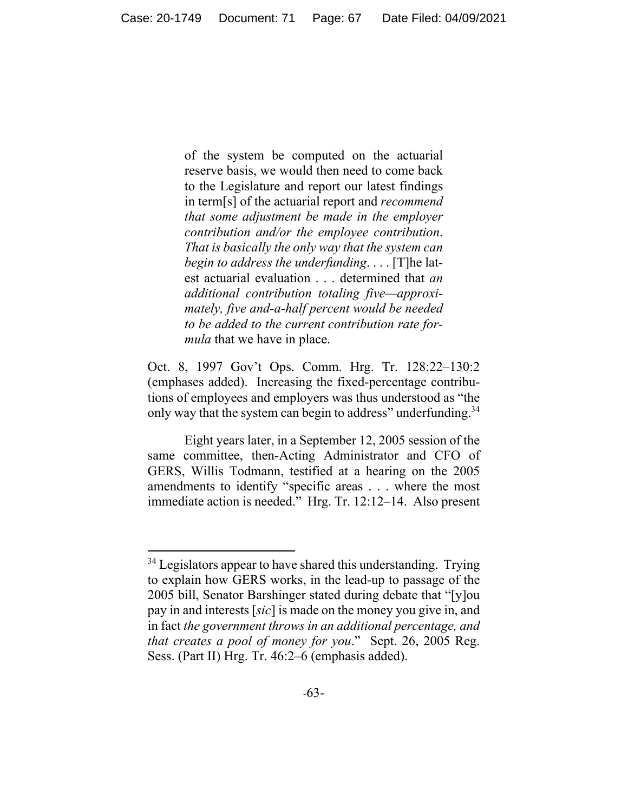of the system be computed on the actuarial reserve basis, we would then need to come back to the Legislature and report our latest findings in term[s] of the actuarial report and *recommend that some adjustment be made in the employer contribution and/or the employee contribution*. *That is basically the only way that the system can begin to address the underfunding*. . . . [T]he latest actuarial evaluation . . . determined that *an additional contribution totaling five—approximately, five and-a-half percent would be needed to be added to the current contribution rate formula* that we have in place.

Oct. 8, 1997 Gov't Ops. Comm. Hrg. Tr. 128:22–130:2 (emphases added). Increasing the fixed-percentage contributions of employees and employers was thus understood as "the only way that the system can begin to address" underfunding.<sup>34</sup>

Eight years later, in a September 12, 2005 session of the same committee, then-Acting Administrator and CFO of GERS, Willis Todmann, testified at a hearing on the 2005 amendments to identify "specific areas . . . where the most immediate action is needed." Hrg. Tr. 12:12–14. Also present

<sup>&</sup>lt;sup>34</sup> Legislators appear to have shared this understanding. Trying to explain how GERS works, in the lead-up to passage of the 2005 bill, Senator Barshinger stated during debate that "[y]ou pay in and interests [*sic*] is made on the money you give in, and in fact *the government throws in an additional percentage, and that creates a pool of money for you*." Sept. 26, 2005 Reg. Sess. (Part II) Hrg. Tr. 46:2–6 (emphasis added).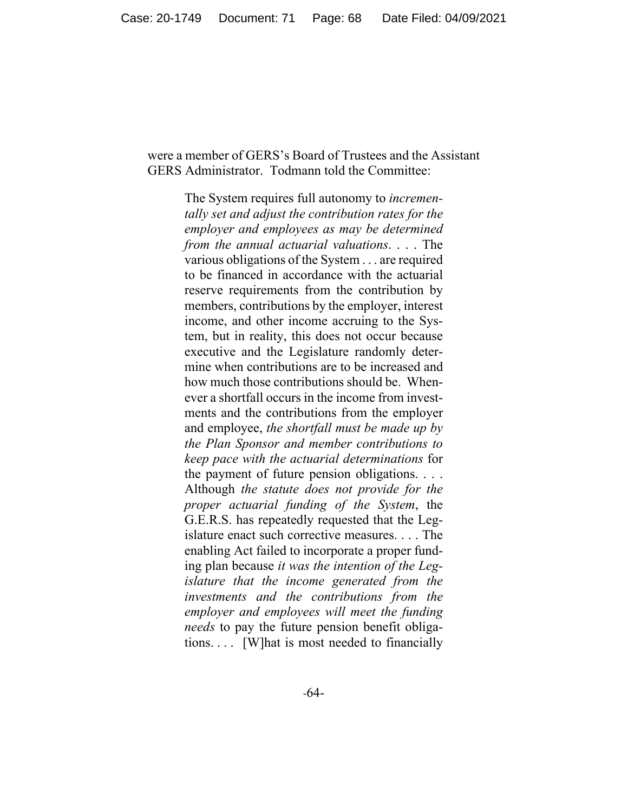# were a member of GERS's Board of Trustees and the Assistant GERS Administrator. Todmann told the Committee:

The System requires full autonomy to *incrementally set and adjust the contribution rates for the employer and employees as may be determined from the annual actuarial valuations*. . . . The various obligations of the System . . . are required to be financed in accordance with the actuarial reserve requirements from the contribution by members, contributions by the employer, interest income, and other income accruing to the System, but in reality, this does not occur because executive and the Legislature randomly determine when contributions are to be increased and how much those contributions should be. Whenever a shortfall occurs in the income from investments and the contributions from the employer and employee, *the shortfall must be made up by the Plan Sponsor and member contributions to keep pace with the actuarial determinations* for the payment of future pension obligations. . . . Although *the statute does not provide for the proper actuarial funding of the System*, the G.E.R.S. has repeatedly requested that the Legislature enact such corrective measures. . . . The enabling Act failed to incorporate a proper funding plan because *it was the intention of the Legislature that the income generated from the investments and the contributions from the employer and employees will meet the funding needs* to pay the future pension benefit obligations. . . . [W]hat is most needed to financially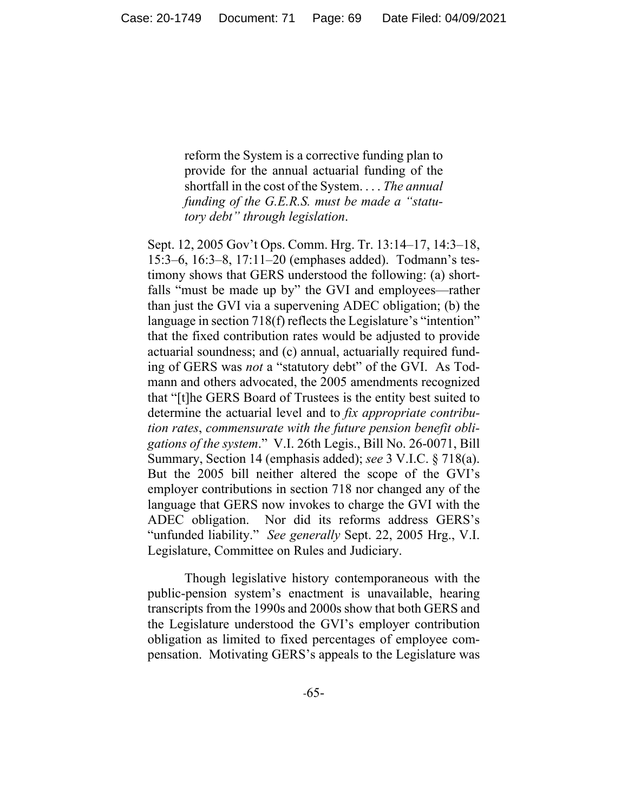reform the System is a corrective funding plan to provide for the annual actuarial funding of the shortfall in the cost of the System. . . . *The annual funding of the G.E.R.S. must be made a "statutory debt" through legislation*.

Sept. 12, 2005 Gov't Ops. Comm. Hrg. Tr. 13:14–17, 14:3–18, 15:3–6, 16:3–8, 17:11–20 (emphases added). Todmann's testimony shows that GERS understood the following: (a) shortfalls "must be made up by" the GVI and employees—rather than just the GVI via a supervening ADEC obligation; (b) the language in section 718(f) reflects the Legislature's "intention" that the fixed contribution rates would be adjusted to provide actuarial soundness; and (c) annual, actuarially required funding of GERS was *not* a "statutory debt" of the GVI. As Todmann and others advocated, the 2005 amendments recognized that "[t]he GERS Board of Trustees is the entity best suited to determine the actuarial level and to *fix appropriate contribution rates*, *commensurate with the future pension benefit obligations of the system*." V.I. 26th Legis., Bill No. 26-0071, Bill Summary, Section 14 (emphasis added); *see* 3 V.I.C. § 718(a). But the 2005 bill neither altered the scope of the GVI's employer contributions in section 718 nor changed any of the language that GERS now invokes to charge the GVI with the ADEC obligation. Nor did its reforms address GERS's "unfunded liability." *See generally* Sept. 22, 2005 Hrg., V.I. Legislature, Committee on Rules and Judiciary.

Though legislative history contemporaneous with the public-pension system's enactment is unavailable, hearing transcripts from the 1990s and 2000s show that both GERS and the Legislature understood the GVI's employer contribution obligation as limited to fixed percentages of employee compensation. Motivating GERS's appeals to the Legislature was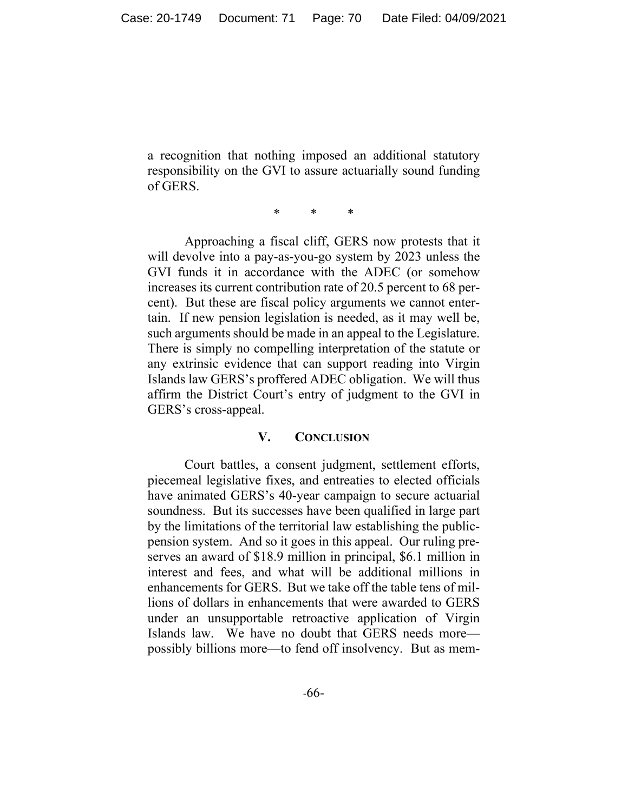a recognition that nothing imposed an additional statutory responsibility on the GVI to assure actuarially sound funding of GERS.

\* \* \*

 Approaching a fiscal cliff, GERS now protests that it will devolve into a pay-as-you-go system by 2023 unless the GVI funds it in accordance with the ADEC (or somehow increases its current contribution rate of 20.5 percent to 68 percent). But these are fiscal policy arguments we cannot entertain. If new pension legislation is needed, as it may well be, such arguments should be made in an appeal to the Legislature. There is simply no compelling interpretation of the statute or any extrinsic evidence that can support reading into Virgin Islands law GERS's proffered ADEC obligation. We will thus affirm the District Court's entry of judgment to the GVI in GERS's cross-appeal.

## **V. CONCLUSION**

Court battles, a consent judgment, settlement efforts, piecemeal legislative fixes, and entreaties to elected officials have animated GERS's 40-year campaign to secure actuarial soundness. But its successes have been qualified in large part by the limitations of the territorial law establishing the publicpension system. And so it goes in this appeal. Our ruling preserves an award of \$18.9 million in principal, \$6.1 million in interest and fees, and what will be additional millions in enhancements for GERS. But we take off the table tens of millions of dollars in enhancements that were awarded to GERS under an unsupportable retroactive application of Virgin Islands law. We have no doubt that GERS needs more possibly billions more—to fend off insolvency. But as mem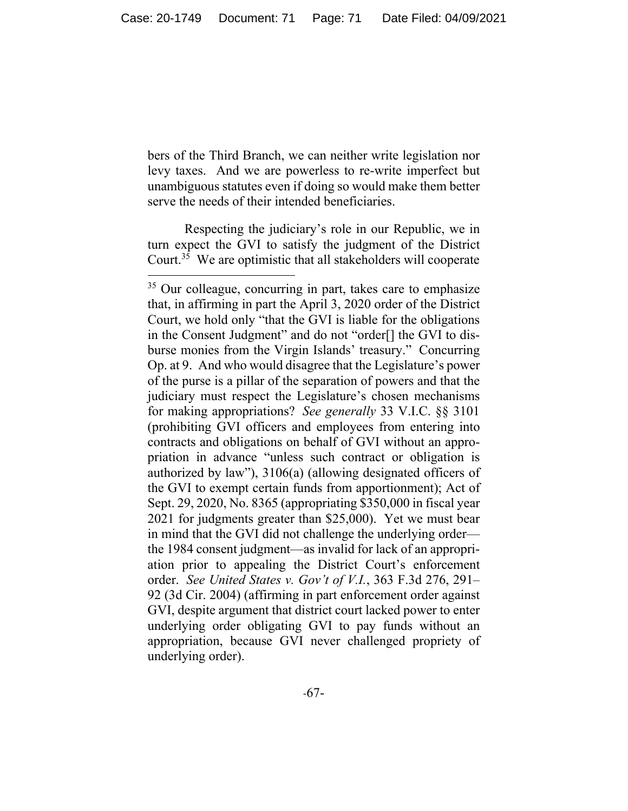bers of the Third Branch, we can neither write legislation nor levy taxes. And we are powerless to re-write imperfect but unambiguous statutes even if doing so would make them better serve the needs of their intended beneficiaries.

Respecting the judiciary's role in our Republic, we in turn expect the GVI to satisfy the judgment of the District Court.<sup>35</sup> We are optimistic that all stakeholders will cooperate

<sup>&</sup>lt;sup>35</sup> Our colleague, concurring in part, takes care to emphasize that, in affirming in part the April 3, 2020 order of the District Court, we hold only "that the GVI is liable for the obligations in the Consent Judgment" and do not "order[] the GVI to disburse monies from the Virgin Islands' treasury." Concurring Op. at 9. And who would disagree that the Legislature's power of the purse is a pillar of the separation of powers and that the judiciary must respect the Legislature's chosen mechanisms for making appropriations? *See generally* 33 V.I.C. §§ 3101 (prohibiting GVI officers and employees from entering into contracts and obligations on behalf of GVI without an appropriation in advance "unless such contract or obligation is authorized by law"), 3106(a) (allowing designated officers of the GVI to exempt certain funds from apportionment); Act of Sept. 29, 2020, No. 8365 (appropriating \$350,000 in fiscal year 2021 for judgments greater than \$25,000). Yet we must bear in mind that the GVI did not challenge the underlying order the 1984 consent judgment—as invalid for lack of an appropriation prior to appealing the District Court's enforcement order. *See United States v. Gov't of V.I.*, 363 F.3d 276, 291– 92 (3d Cir. 2004) (affirming in part enforcement order against GVI, despite argument that district court lacked power to enter underlying order obligating GVI to pay funds without an appropriation, because GVI never challenged propriety of underlying order).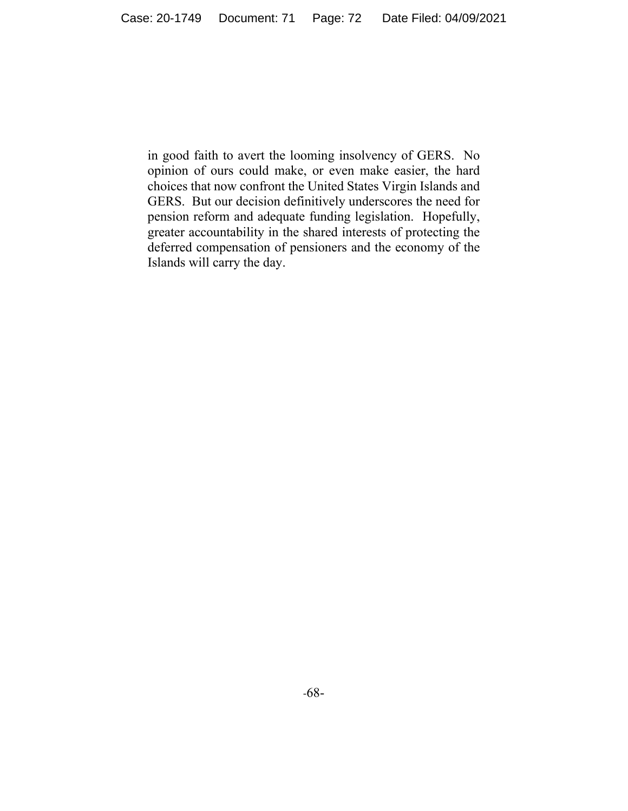in good faith to avert the looming insolvency of GERS. No opinion of ours could make, or even make easier, the hard choices that now confront the United States Virgin Islands and GERS. But our decision definitively underscores the need for pension reform and adequate funding legislation. Hopefully, greater accountability in the shared interests of protecting the deferred compensation of pensioners and the economy of the Islands will carry the day.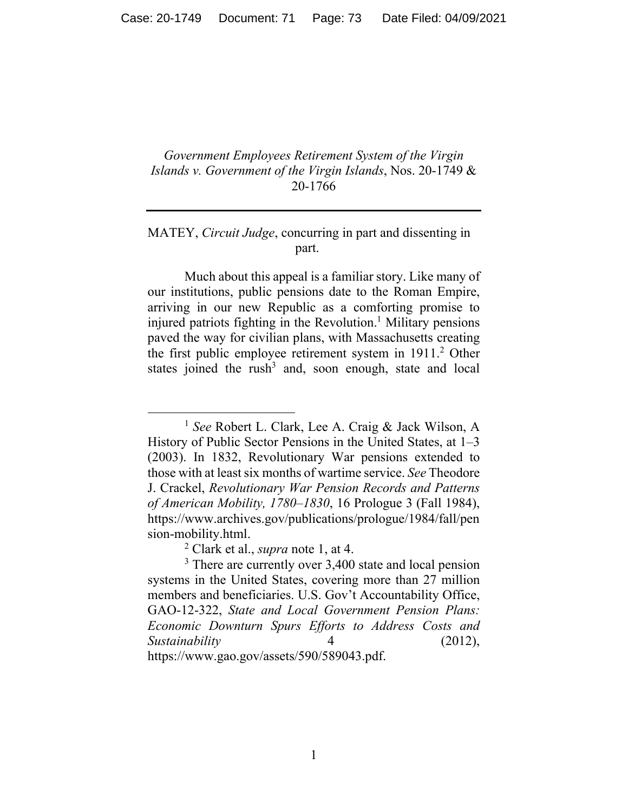## *Government Employees Retirement System of the Virgin Islands v. Government of the Virgin Islands*, Nos. 20-1749 & 20-1766

# MATEY, *Circuit Judge*, concurring in part and dissenting in part.

 Much about this appeal is a familiar story. Like many of our institutions, public pensions date to the Roman Empire, arriving in our new Republic as a comforting promise to injured patriots fighting in the Revolution.<sup>1</sup> Military pensions paved the way for civilian plans, with Massachusetts creating the first public employee retirement system in 1911.<sup>2</sup> Other states joined the rush<sup>3</sup> and, soon enough, state and local

<sup>1</sup> *See* Robert L. Clark, Lee A. Craig & Jack Wilson, A History of Public Sector Pensions in the United States, at 1–3 (2003). In 1832, Revolutionary War pensions extended to those with at least six months of wartime service. *See* Theodore J. Crackel, *Revolutionary War Pension Records and Patterns of American Mobility, 1780–1830*, 16 Prologue 3 (Fall 1984), https://www.archives.gov/publications/prologue/1984/fall/pen sion-mobility.html.

<sup>2</sup> Clark et al., *supra* note 1, at 4.

<sup>&</sup>lt;sup>3</sup> There are currently over 3,400 state and local pension systems in the United States, covering more than 27 million members and beneficiaries. U.S. Gov't Accountability Office, GAO-12-322, *State and Local Government Pension Plans: Economic Downturn Spurs Efforts to Address Costs and Sustainability* 4 (2012), https://www.gao.gov/assets/590/589043.pdf.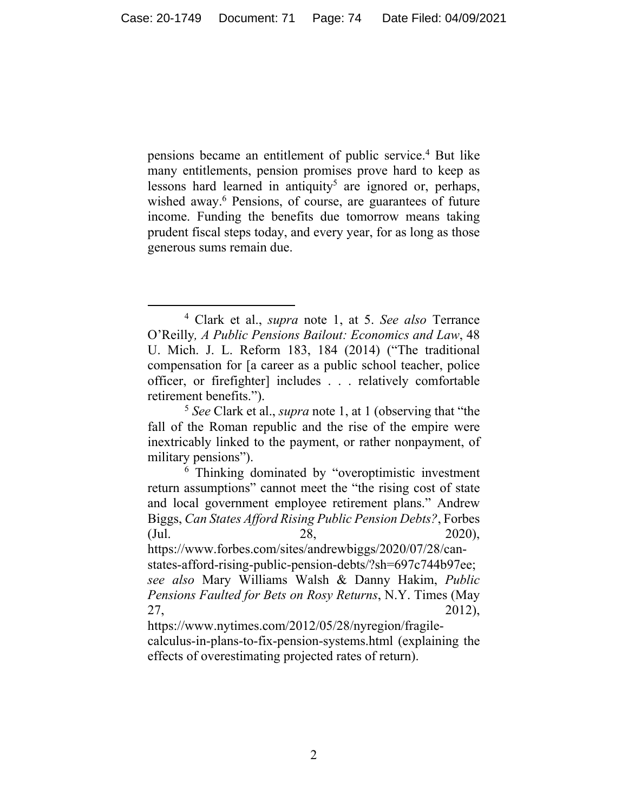pensions became an entitlement of public service.<sup>4</sup> But like many entitlements, pension promises prove hard to keep as lessons hard learned in antiquity<sup>5</sup> are ignored or, perhaps, wished away.<sup>6</sup> Pensions, of course, are guarantees of future income. Funding the benefits due tomorrow means taking prudent fiscal steps today, and every year, for as long as those generous sums remain due.

<sup>4</sup> Clark et al., *supra* note 1, at 5. *See also* Terrance O'Reilly*, A Public Pensions Bailout: Economics and Law*, 48 U. Mich. J. L. Reform 183, 184 (2014) ("The traditional compensation for [a career as a public school teacher, police officer, or firefighter] includes . . . relatively comfortable retirement benefits.").

<sup>5</sup> *See* Clark et al., *supra* note 1, at 1 (observing that "the fall of the Roman republic and the rise of the empire were inextricably linked to the payment, or rather nonpayment, of military pensions").

<sup>6</sup> Thinking dominated by "overoptimistic investment return assumptions" cannot meet the "the rising cost of state and local government employee retirement plans." Andrew Biggs, *Can States Afford Rising Public Pension Debts?*, Forbes (Jul. 28, 2020), https://www.forbes.com/sites/andrewbiggs/2020/07/28/can-

states-afford-rising-public-pension-debts/?sh=697c744b97ee; *see also* Mary Williams Walsh & Danny Hakim, *Public Pensions Faulted for Bets on Rosy Returns*, N.Y. Times (May 27, 2012),

https://www.nytimes.com/2012/05/28/nyregion/fragilecalculus-in-plans-to-fix-pension-systems.html (explaining the effects of overestimating projected rates of return).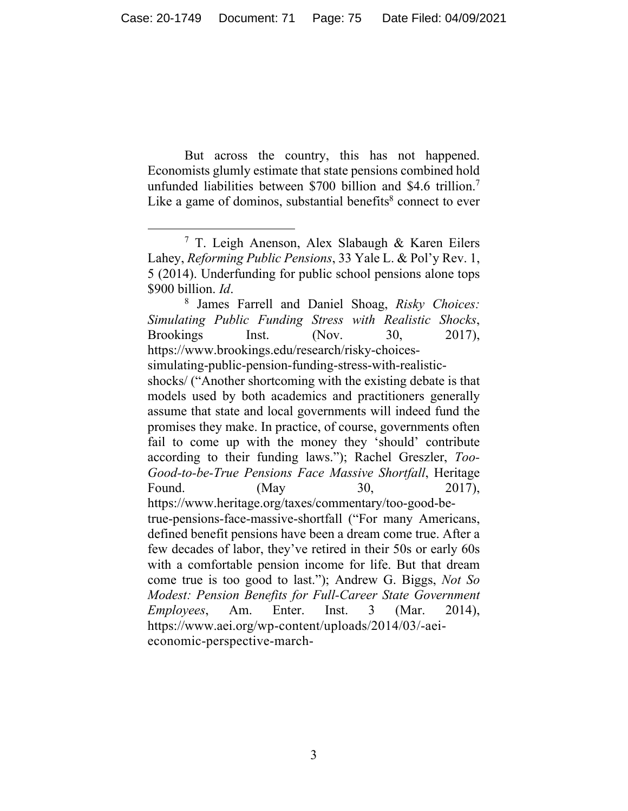But across the country, this has not happened. Economists glumly estimate that state pensions combined hold unfunded liabilities between \$700 billion and \$4.6 trillion.<sup>7</sup> Like a game of dominos, substantial benefits $8$  connect to ever

<sup>7</sup> T. Leigh Anenson, Alex Slabaugh & Karen Eilers Lahey, *Reforming Public Pensions*, 33 Yale L. & Pol'y Rev. 1, 5 (2014). Underfunding for public school pensions alone tops \$900 billion. *Id.* 

James Farrell and Daniel Shoag, *Risky Choices: Simulating Public Funding Stress with Realistic Shocks*, Brookings Inst. (Nov. 30, 2017), https://www.brookings.edu/research/risky-choices-

simulating-public-pension-funding-stress-with-realistic-

shocks/ ("Another shortcoming with the existing debate is that models used by both academics and practitioners generally assume that state and local governments will indeed fund the promises they make. In practice, of course, governments often fail to come up with the money they 'should' contribute according to their funding laws."); Rachel Greszler, *Too-Good-to-be-True Pensions Face Massive Shortfall*, Heritage Found. (May 30, 2017),

https://www.heritage.org/taxes/commentary/too-good-betrue-pensions-face-massive-shortfall ("For many Americans, defined benefit pensions have been a dream come true. After a few decades of labor, they've retired in their 50s or early 60s with a comfortable pension income for life. But that dream come true is too good to last."); Andrew G. Biggs, *Not So Modest: Pension Benefits for Full-Career State Government Employees*, Am. Enter. Inst. 3 (Mar. 2014), https://www.aei.org/wp-content/uploads/2014/03/-aeieconomic-perspective-march-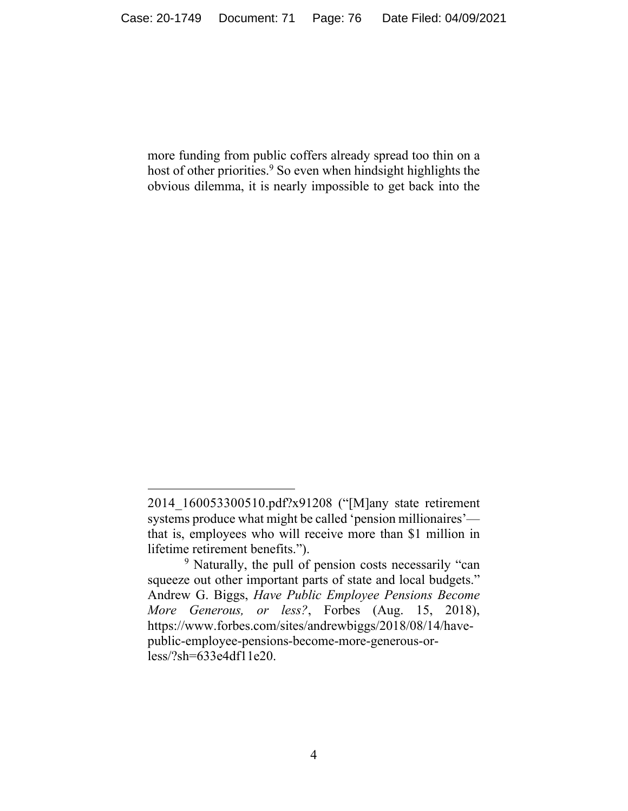more funding from public coffers already spread too thin on a host of other priorities.<sup>9</sup> So even when hindsight highlights the obvious dilemma, it is nearly impossible to get back into the

<sup>2014</sup>\_160053300510.pdf?x91208 ("[M]any state retirement systems produce what might be called 'pension millionaires' that is, employees who will receive more than \$1 million in lifetime retirement benefits.").

<sup>&</sup>lt;sup>9</sup> Naturally, the pull of pension costs necessarily "can squeeze out other important parts of state and local budgets." Andrew G. Biggs, *Have Public Employee Pensions Become More Generous, or less?*, Forbes (Aug. 15, 2018), https://www.forbes.com/sites/andrewbiggs/2018/08/14/havepublic-employee-pensions-become-more-generous-orless/?sh=633e4df11e20.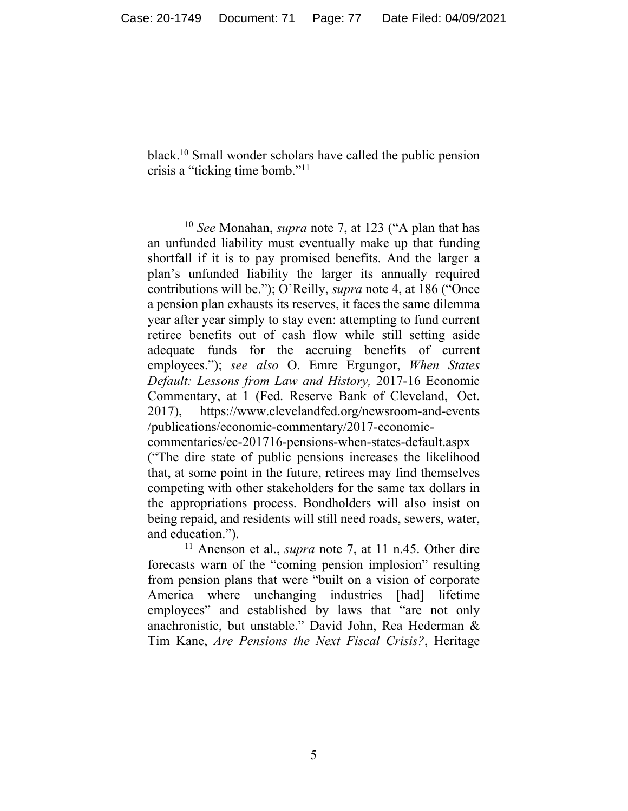black.10 Small wonder scholars have called the public pension crisis a "ticking time bomb."11

<sup>10</sup> *See* Monahan, *supra* note 7, at 123 ("A plan that has an unfunded liability must eventually make up that funding shortfall if it is to pay promised benefits. And the larger a plan's unfunded liability the larger its annually required contributions will be."); O'Reilly, *supra* note 4, at 186 ("Once a pension plan exhausts its reserves, it faces the same dilemma year after year simply to stay even: attempting to fund current retiree benefits out of cash flow while still setting aside adequate funds for the accruing benefits of current employees."); *see also* O. Emre Ergungor, *When States Default: Lessons from Law and History,* 2017-16 Economic Commentary, at 1 (Fed. Reserve Bank of Cleveland, Oct. 2017), https://www.clevelandfed.org/newsroom-and-events /publications/economic-commentary/2017-economiccommentaries/ec-201716-pensions-when-states-default.aspx

<sup>(&</sup>quot;The dire state of public pensions increases the likelihood that, at some point in the future, retirees may find themselves competing with other stakeholders for the same tax dollars in the appropriations process. Bondholders will also insist on being repaid, and residents will still need roads, sewers, water, and education.").

<sup>11</sup> Anenson et al., *supra* note 7, at 11 n.45. Other dire forecasts warn of the "coming pension implosion" resulting from pension plans that were "built on a vision of corporate America where unchanging industries [had] lifetime employees" and established by laws that "are not only anachronistic, but unstable." David John, Rea Hederman & Tim Kane, *Are Pensions the Next Fiscal Crisis?*, Heritage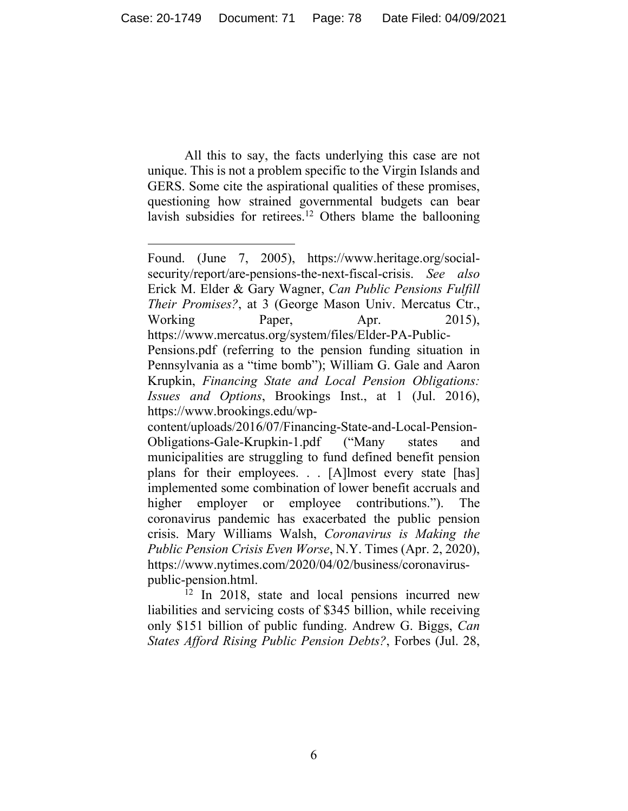All this to say, the facts underlying this case are not unique. This is not a problem specific to the Virgin Islands and GERS. Some cite the aspirational qualities of these promises, questioning how strained governmental budgets can bear lavish subsidies for retirees.<sup>12</sup> Others blame the ballooning

 $12$  In 2018, state and local pensions incurred new liabilities and servicing costs of \$345 billion, while receiving only \$151 billion of public funding. Andrew G. Biggs, *Can States Afford Rising Public Pension Debts?*, Forbes (Jul. 28,

Found. (June 7, 2005), https://www.heritage.org/socialsecurity/report/are-pensions-the-next-fiscal-crisis. *See also*  Erick M. Elder & Gary Wagner, *Can Public Pensions Fulfill Their Promises?*, at 3 (George Mason Univ. Mercatus Ctr., Working Paper, Apr. 2015), https://www.mercatus.org/system/files/Elder-PA-Public-

Pensions.pdf (referring to the pension funding situation in Pennsylvania as a "time bomb"); William G. Gale and Aaron Krupkin, *Financing State and Local Pension Obligations: Issues and Options*, Brookings Inst., at 1 (Jul. 2016), https://www.brookings.edu/wp-

content/uploads/2016/07/Financing-State-and-Local-Pension-Obligations-Gale-Krupkin-1.pdf ("Many states and municipalities are struggling to fund defined benefit pension plans for their employees. . . [A]lmost every state [has] implemented some combination of lower benefit accruals and higher employer or employee contributions."). The coronavirus pandemic has exacerbated the public pension crisis. Mary Williams Walsh, *Coronavirus is Making the Public Pension Crisis Even Worse*, N.Y. Times (Apr. 2, 2020), https://www.nytimes.com/2020/04/02/business/coronaviruspublic-pension.html.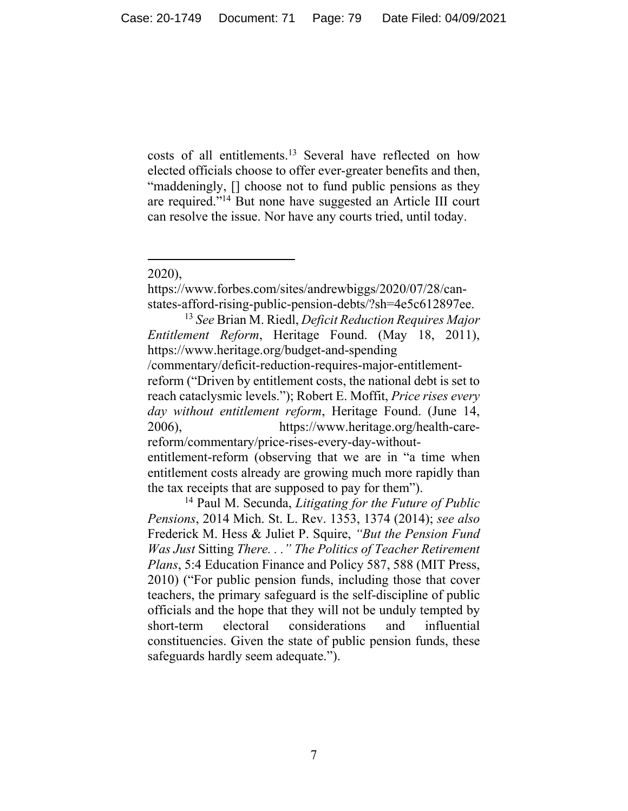costs of all entitlements.13 Several have reflected on how elected officials choose to offer ever-greater benefits and then, "maddeningly, [] choose not to fund public pensions as they are required."<sup>14</sup> But none have suggested an Article III court can resolve the issue. Nor have any courts tried, until today.

https://www.forbes.com/sites/andrewbiggs/2020/07/28/canstates-afford-rising-public-pension-debts/?sh=4e5c612897ee.

<sup>13</sup> *See* Brian M. Riedl, *Deficit Reduction Requires Major Entitlement Reform*, Heritage Found. (May 18, 2011), https://www.heritage.org/budget-and-spending

/commentary/deficit-reduction-requires-major-entitlementreform ("Driven by entitlement costs, the national debt is set to reach cataclysmic levels."); Robert E. Moffit, *Price rises every day without entitlement reform*, Heritage Found. (June 14, 2006), https://www.heritage.org/health-carereform/commentary/price-rises-every-day-without-

entitlement-reform (observing that we are in "a time when entitlement costs already are growing much more rapidly than the tax receipts that are supposed to pay for them").

14 Paul M. Secunda, *Litigating for the Future of Public Pensions*, 2014 Mich. St. L. Rev. 1353, 1374 (2014); *see also*  Frederick M. Hess & Juliet P. Squire, *"But the Pension Fund Was Just* Sitting *There. . ." The Politics of Teacher Retirement Plans*, 5:4 Education Finance and Policy 587, 588 (MIT Press, 2010) ("For public pension funds, including those that cover teachers, the primary safeguard is the self-discipline of public officials and the hope that they will not be unduly tempted by short-term electoral considerations and influential constituencies. Given the state of public pension funds, these safeguards hardly seem adequate.").

<sup>2020),</sup>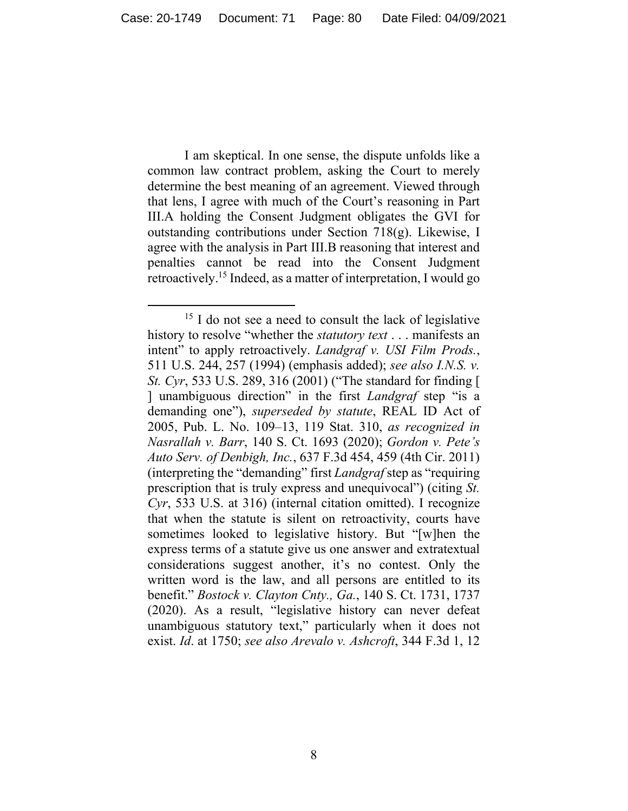I am skeptical. In one sense, the dispute unfolds like a common law contract problem, asking the Court to merely determine the best meaning of an agreement. Viewed through that lens, I agree with much of the Court's reasoning in Part III.A holding the Consent Judgment obligates the GVI for outstanding contributions under Section 718(g). Likewise, I agree with the analysis in Part III.B reasoning that interest and penalties cannot be read into the Consent Judgment retroactively.15 Indeed, as a matter of interpretation, I would go

 $15$  I do not see a need to consult the lack of legislative history to resolve "whether the *statutory text* . . . manifests an intent" to apply retroactively. *Landgraf v. USI Film Prods.*, 511 U.S. 244, 257 (1994) (emphasis added); *see also I.N.S. v. St. Cyr*, 533 U.S. 289, 316 (2001) ("The standard for finding [ ] unambiguous direction" in the first *Landgraf* step "is a demanding one"), *superseded by statute*, REAL ID Act of 2005, Pub. L. No. 109–13, 119 Stat. 310, *as recognized in Nasrallah v. Barr*, 140 S. Ct. 1693 (2020); *Gordon v. Pete's Auto Serv. of Denbigh, Inc.*, 637 F.3d 454, 459 (4th Cir. 2011) (interpreting the "demanding" first *Landgraf* step as "requiring prescription that is truly express and unequivocal") (citing *St. Cyr*, 533 U.S. at 316) (internal citation omitted). I recognize that when the statute is silent on retroactivity, courts have sometimes looked to legislative history. But "[w]hen the express terms of a statute give us one answer and extratextual considerations suggest another, it's no contest. Only the written word is the law, and all persons are entitled to its benefit." *Bostock v. Clayton Cnty., Ga.*, 140 S. Ct. 1731, 1737 (2020). As a result, "legislative history can never defeat unambiguous statutory text," particularly when it does not exist. *Id*. at 1750; *see also Arevalo v. Ashcroft*, 344 F.3d 1, 12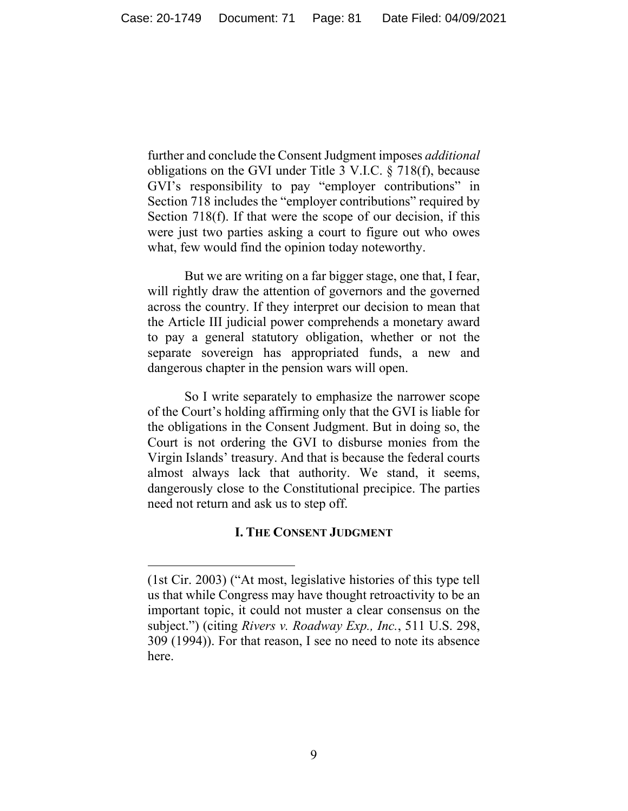further and conclude the Consent Judgment imposes *additional* obligations on the GVI under Title 3 V.I.C. § 718(f), because GVI's responsibility to pay "employer contributions" in Section 718 includes the "employer contributions" required by Section 718(f). If that were the scope of our decision, if this were just two parties asking a court to figure out who owes what, few would find the opinion today noteworthy.

But we are writing on a far bigger stage, one that, I fear, will rightly draw the attention of governors and the governed across the country. If they interpret our decision to mean that the Article III judicial power comprehends a monetary award to pay a general statutory obligation, whether or not the separate sovereign has appropriated funds, a new and dangerous chapter in the pension wars will open.

So I write separately to emphasize the narrower scope of the Court's holding affirming only that the GVI is liable for the obligations in the Consent Judgment. But in doing so, the Court is not ordering the GVI to disburse monies from the Virgin Islands' treasury. And that is because the federal courts almost always lack that authority. We stand, it seems, dangerously close to the Constitutional precipice. The parties need not return and ask us to step off.

## **I. THE CONSENT JUDGMENT**

<sup>(1</sup>st Cir. 2003) ("At most, legislative histories of this type tell us that while Congress may have thought retroactivity to be an important topic, it could not muster a clear consensus on the subject.") (citing *Rivers v. Roadway Exp., Inc.*, 511 U.S. 298, 309 (1994)). For that reason, I see no need to note its absence here.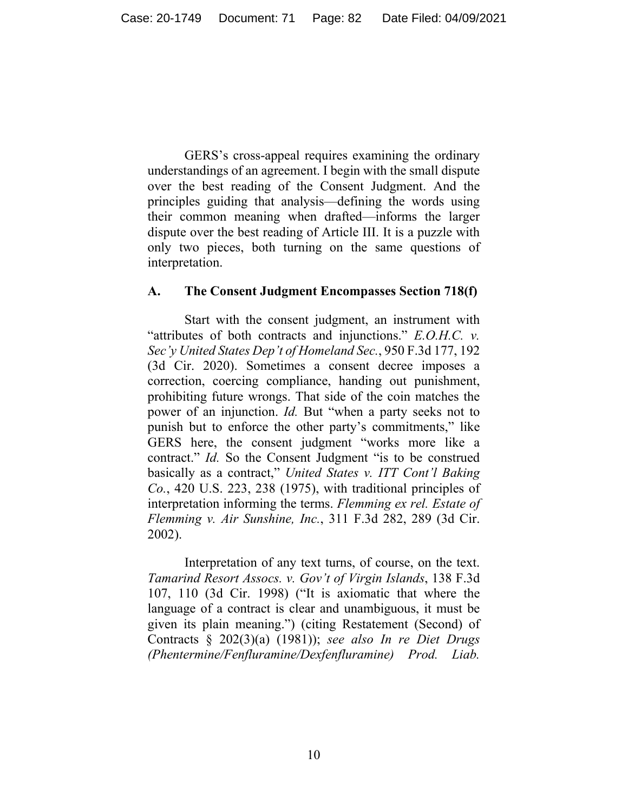GERS's cross-appeal requires examining the ordinary understandings of an agreement. I begin with the small dispute over the best reading of the Consent Judgment. And the principles guiding that analysis—defining the words using their common meaning when drafted—informs the larger dispute over the best reading of Article III. It is a puzzle with only two pieces, both turning on the same questions of interpretation.

## **A. The Consent Judgment Encompasses Section 718(f)**

 Start with the consent judgment, an instrument with "attributes of both contracts and injunctions." *E.O.H.C. v. Sec'y United States Dep't of Homeland Sec.*, 950 F.3d 177, 192 (3d Cir. 2020). Sometimes a consent decree imposes a correction, coercing compliance, handing out punishment, prohibiting future wrongs. That side of the coin matches the power of an injunction. *Id*. But "when a party seeks not to punish but to enforce the other party's commitments," like GERS here, the consent judgment "works more like a contract." *Id.* So the Consent Judgment "is to be construed basically as a contract," *United States v. ITT Cont'l Baking Co.*, 420 U.S. 223, 238 (1975), with traditional principles of interpretation informing the terms. *Flemming ex rel. Estate of Flemming v. Air Sunshine, Inc.*, 311 F.3d 282, 289 (3d Cir. 2002).

 Interpretation of any text turns, of course, on the text. *Tamarind Resort Assocs. v. Gov't of Virgin Islands*, 138 F.3d 107, 110 (3d Cir. 1998) ("It is axiomatic that where the language of a contract is clear and unambiguous, it must be given its plain meaning.") (citing Restatement (Second) of Contracts § 202(3)(a) (1981)); *see also In re Diet Drugs (Phentermine/Fenfluramine/Dexfenfluramine) Prod. Liab.*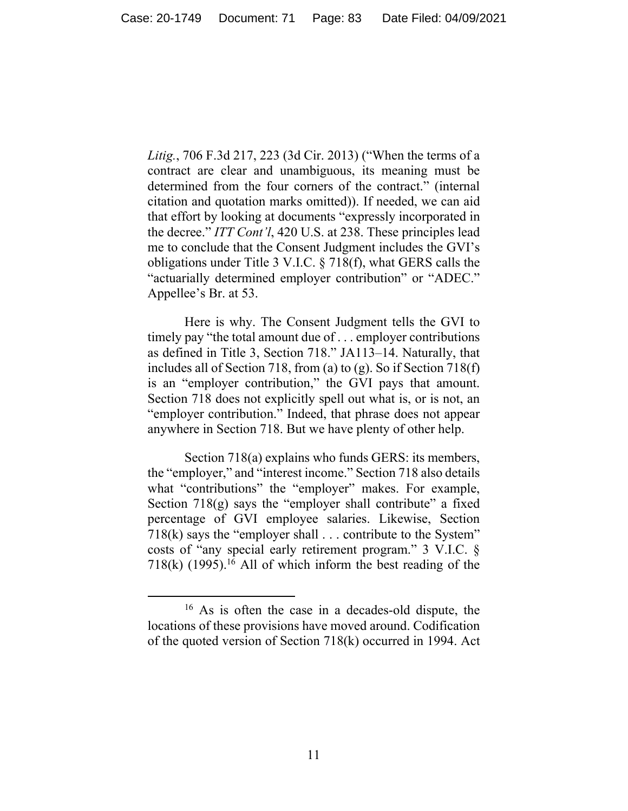*Litig.*, 706 F.3d 217, 223 (3d Cir. 2013) ("When the terms of a contract are clear and unambiguous, its meaning must be determined from the four corners of the contract." (internal citation and quotation marks omitted)). If needed, we can aid that effort by looking at documents "expressly incorporated in the decree." *ITT Cont'l*, 420 U.S. at 238. These principles lead me to conclude that the Consent Judgment includes the GVI's obligations under Title 3 V.I.C. § 718(f), what GERS calls the "actuarially determined employer contribution" or "ADEC." Appellee's Br. at 53.

 Here is why. The Consent Judgment tells the GVI to timely pay "the total amount due of . . . employer contributions as defined in Title 3, Section 718." JA113–14. Naturally, that includes all of Section 718, from (a) to (g). So if Section 718(f) is an "employer contribution," the GVI pays that amount. Section 718 does not explicitly spell out what is, or is not, an "employer contribution." Indeed, that phrase does not appear anywhere in Section 718. But we have plenty of other help.

 Section 718(a) explains who funds GERS: its members, the "employer," and "interest income." Section 718 also details what "contributions" the "employer" makes. For example, Section  $718(g)$  says the "employer shall contribute" a fixed percentage of GVI employee salaries. Likewise, Section 718(k) says the "employer shall . . . contribute to the System" costs of "any special early retirement program." 3 V.I.C. §  $718(k)$  (1995).<sup>16</sup> All of which inform the best reading of the

<sup>16</sup> As is often the case in a decades-old dispute, the locations of these provisions have moved around. Codification of the quoted version of Section 718(k) occurred in 1994. Act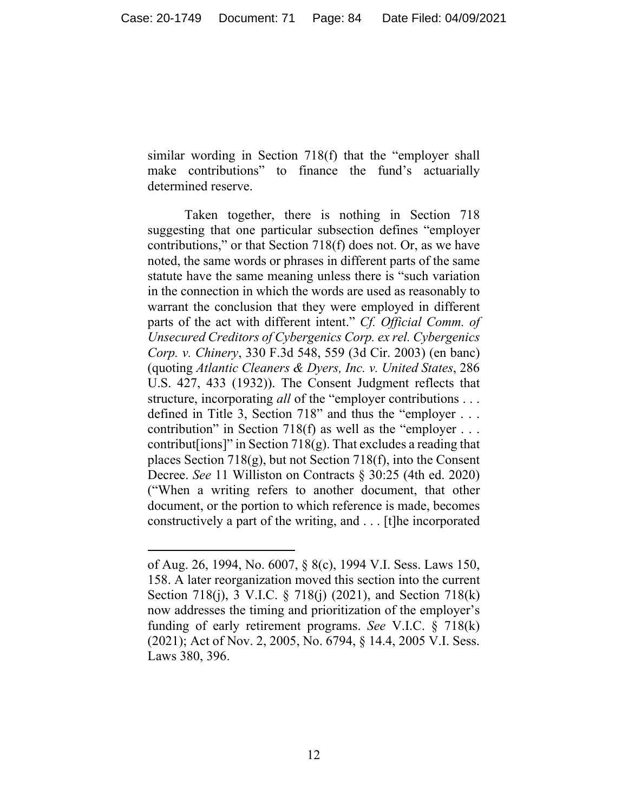similar wording in Section 718(f) that the "employer shall make contributions" to finance the fund's actuarially determined reserve.

 Taken together, there is nothing in Section 718 suggesting that one particular subsection defines "employer contributions," or that Section 718(f) does not. Or, as we have noted, the same words or phrases in different parts of the same statute have the same meaning unless there is "such variation in the connection in which the words are used as reasonably to warrant the conclusion that they were employed in different parts of the act with different intent." *Cf. Official Comm. of Unsecured Creditors of Cybergenics Corp. ex rel. Cybergenics Corp. v. Chinery*, 330 F.3d 548, 559 (3d Cir. 2003) (en banc) (quoting *Atlantic Cleaners & Dyers, Inc. v. United States*, 286 U.S. 427, 433 (1932)). The Consent Judgment reflects that structure, incorporating *all* of the "employer contributions . . . defined in Title 3, Section 718" and thus the "employer . . . contribution" in Section 718(f) as well as the "employer . . . contribut [ions]" in Section  $718(g)$ . That excludes a reading that places Section 718(g), but not Section 718(f), into the Consent Decree. *See* 11 Williston on Contracts § 30:25 (4th ed. 2020) ("When a writing refers to another document, that other document, or the portion to which reference is made, becomes constructively a part of the writing, and . . . [t]he incorporated

of Aug. 26, 1994, No. 6007, § 8(c), 1994 V.I. Sess. Laws 150, 158. A later reorganization moved this section into the current Section 718(j), 3 V.I.C. § 718(j) (2021), and Section 718(k) now addresses the timing and prioritization of the employer's funding of early retirement programs. *See* V.I.C. § 718(k) (2021); Act of Nov. 2, 2005, No. 6794, § 14.4, 2005 V.I. Sess. Laws 380, 396.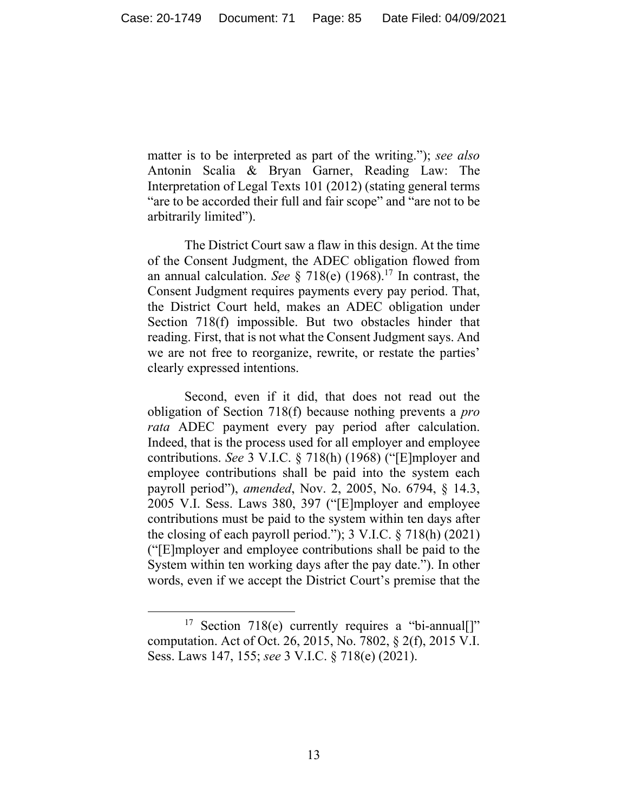matter is to be interpreted as part of the writing."); *see also* Antonin Scalia & Bryan Garner, Reading Law: The Interpretation of Legal Texts 101 (2012) (stating general terms "are to be accorded their full and fair scope" and "are not to be arbitrarily limited").

The District Court saw a flaw in this design. At the time of the Consent Judgment, the ADEC obligation flowed from an annual calculation. *See* § 718(e) (1968).17 In contrast, the Consent Judgment requires payments every pay period. That, the District Court held, makes an ADEC obligation under Section 718(f) impossible. But two obstacles hinder that reading. First, that is not what the Consent Judgment says. And we are not free to reorganize, rewrite, or restate the parties' clearly expressed intentions.

Second, even if it did, that does not read out the obligation of Section 718(f) because nothing prevents a *pro rata* ADEC payment every pay period after calculation. Indeed, that is the process used for all employer and employee contributions. *See* 3 V.I.C. § 718(h) (1968) ("[E]mployer and employee contributions shall be paid into the system each payroll period"), *amended*, Nov. 2, 2005, No. 6794, § 14.3, 2005 V.I. Sess. Laws 380, 397 ("[E]mployer and employee contributions must be paid to the system within ten days after the closing of each payroll period."); 3 V.I.C. § 718(h) (2021) ("[E]mployer and employee contributions shall be paid to the System within ten working days after the pay date."). In other words, even if we accept the District Court's premise that the

<sup>&</sup>lt;sup>17</sup> Section 718(e) currently requires a "bi-annual. computation. Act of Oct. 26, 2015, No. 7802, § 2(f), 2015 V.I. Sess. Laws 147, 155; *see* 3 V.I.C. § 718(e) (2021).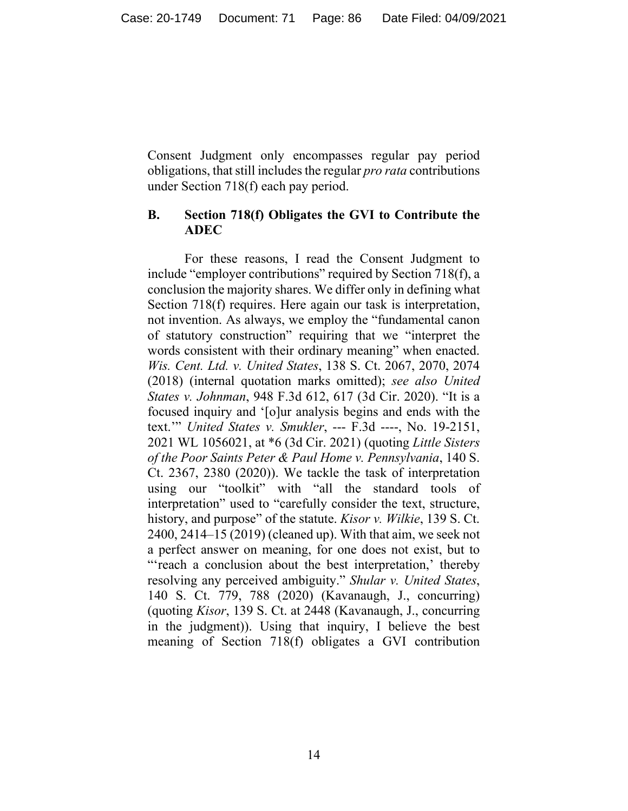Consent Judgment only encompasses regular pay period obligations, that still includes the regular *pro rata* contributions under Section 718(f) each pay period.

# **B. Section 718(f) Obligates the GVI to Contribute the ADEC**

For these reasons, I read the Consent Judgment to include "employer contributions" required by Section 718(f), a conclusion the majority shares. We differ only in defining what Section 718(f) requires. Here again our task is interpretation, not invention. As always, we employ the "fundamental canon of statutory construction" requiring that we "interpret the words consistent with their ordinary meaning" when enacted. *Wis. Cent. Ltd. v. United States*, 138 S. Ct. 2067, 2070, 2074 (2018) (internal quotation marks omitted); *see also United States v. Johnman*, 948 F.3d 612, 617 (3d Cir. 2020). "It is a focused inquiry and '[o]ur analysis begins and ends with the text.'" *United States v. Smukler*, --- F.3d ----, No. 19-2151, 2021 WL 1056021, at \*6 (3d Cir. 2021) (quoting *Little Sisters of the Poor Saints Peter & Paul Home v. Pennsylvania*, 140 S. Ct. 2367, 2380 (2020)). We tackle the task of interpretation using our "toolkit" with "all the standard tools of interpretation" used to "carefully consider the text, structure, history, and purpose" of the statute. *Kisor v. Wilkie*, 139 S. Ct. 2400, 2414–15 (2019) (cleaned up). With that aim, we seek not a perfect answer on meaning, for one does not exist, but to "'reach a conclusion about the best interpretation,' thereby resolving any perceived ambiguity." *Shular v. United States*, 140 S. Ct. 779, 788 (2020) (Kavanaugh, J., concurring) (quoting *Kisor*, 139 S. Ct. at 2448 (Kavanaugh, J., concurring in the judgment)). Using that inquiry, I believe the best meaning of Section 718(f) obligates a GVI contribution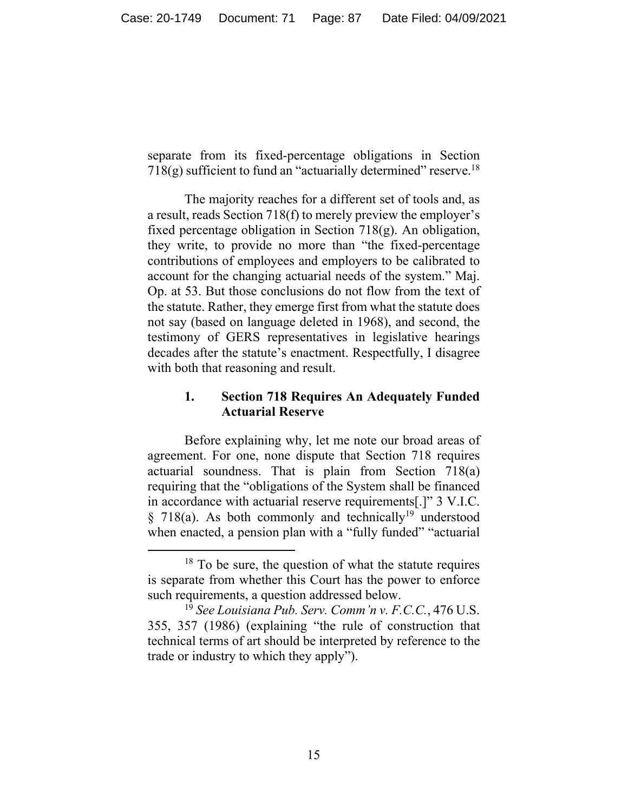separate from its fixed-percentage obligations in Section 718(g) sufficient to fund an "actuarially determined" reserve.<sup>18</sup>

The majority reaches for a different set of tools and, as a result, reads Section 718(f) to merely preview the employer's fixed percentage obligation in Section 718(g). An obligation, they write, to provide no more than "the fixed-percentage contributions of employees and employers to be calibrated to account for the changing actuarial needs of the system." Maj. Op. at 53. But those conclusions do not flow from the text of the statute. Rather, they emerge first from what the statute does not say (based on language deleted in 1968), and second, the testimony of GERS representatives in legislative hearings decades after the statute's enactment. Respectfully, I disagree with both that reasoning and result.

## **1. Section 718 Requires An Adequately Funded Actuarial Reserve**

Before explaining why, let me note our broad areas of agreement. For one, none dispute that Section 718 requires actuarial soundness. That is plain from Section 718(a) requiring that the "obligations of the System shall be financed in accordance with actuarial reserve requirements[.]" 3 V.I.C.  $§$  718(a). As both commonly and technically<sup>19</sup> understood when enacted, a pension plan with a "fully funded" "actuarial

 $18$  To be sure, the question of what the statute requires is separate from whether this Court has the power to enforce such requirements, a question addressed below.

<sup>19</sup> *See Louisiana Pub. Serv. Comm'n v. F.C.C.*, 476 U.S. 355, 357 (1986) (explaining "the rule of construction that technical terms of art should be interpreted by reference to the trade or industry to which they apply").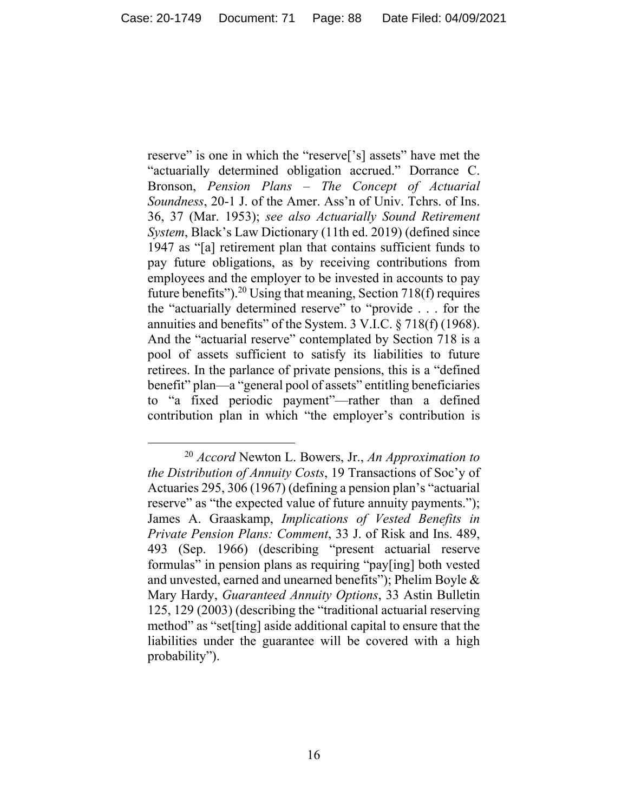reserve" is one in which the "reserve<sup>['s]</sup> assets" have met the "actuarially determined obligation accrued." Dorrance C. Bronson, *Pension Plans – The Concept of Actuarial Soundness*, 20-1 J. of the Amer. Ass'n of Univ. Tchrs. of Ins. 36, 37 (Mar. 1953); *see also Actuarially Sound Retirement System*, Black's Law Dictionary (11th ed. 2019) (defined since 1947 as "[a] retirement plan that contains sufficient funds to pay future obligations, as by receiving contributions from employees and the employer to be invested in accounts to pay future benefits").<sup>20</sup> Using that meaning, Section 718(f) requires the "actuarially determined reserve" to "provide . . . for the annuities and benefits" of the System. 3 V.I.C. § 718(f) (1968). And the "actuarial reserve" contemplated by Section 718 is a pool of assets sufficient to satisfy its liabilities to future retirees. In the parlance of private pensions, this is a "defined benefit" plan—a "general pool of assets" entitling beneficiaries to "a fixed periodic payment"—rather than a defined contribution plan in which "the employer's contribution is

<sup>20</sup> *Accord* Newton L. Bowers, Jr., *An Approximation to the Distribution of Annuity Costs*, 19 Transactions of Soc'y of Actuaries 295, 306 (1967) (defining a pension plan's "actuarial reserve" as "the expected value of future annuity payments."); James A. Graaskamp, *Implications of Vested Benefits in Private Pension Plans: Comment*, 33 J. of Risk and Ins. 489, 493 (Sep. 1966) (describing "present actuarial reserve formulas" in pension plans as requiring "pay[ing] both vested and unvested, earned and unearned benefits"); Phelim Boyle & Mary Hardy, *Guaranteed Annuity Options*, 33 Astin Bulletin 125, 129 (2003) (describing the "traditional actuarial reserving method" as "set[ting] aside additional capital to ensure that the liabilities under the guarantee will be covered with a high probability").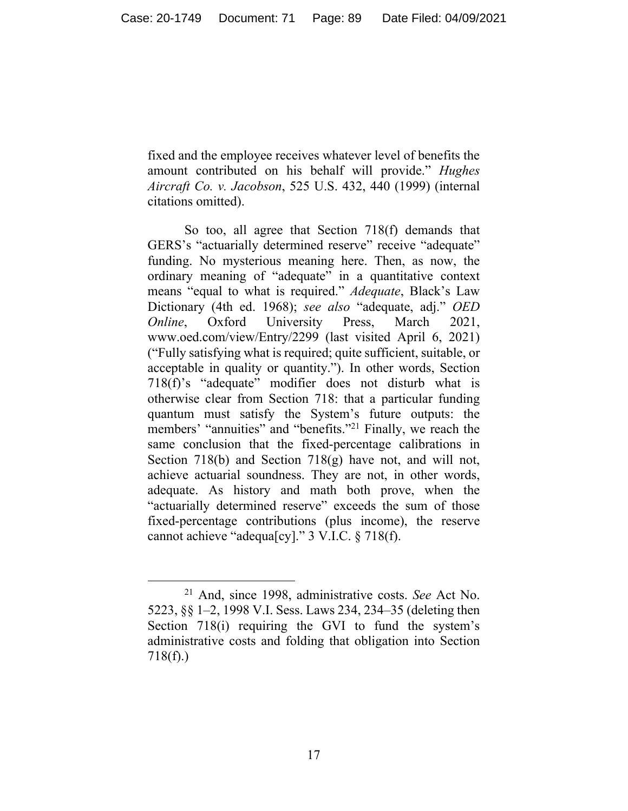fixed and the employee receives whatever level of benefits the amount contributed on his behalf will provide." *Hughes Aircraft Co. v. Jacobson*, 525 U.S. 432, 440 (1999) (internal citations omitted).

So too, all agree that Section 718(f) demands that GERS's "actuarially determined reserve" receive "adequate" funding. No mysterious meaning here. Then, as now, the ordinary meaning of "adequate" in a quantitative context means "equal to what is required." *Adequate*, Black's Law Dictionary (4th ed. 1968); *see also* "adequate, adj." *OED Online*, Oxford University Press, March 2021, www.oed.com/view/Entry/2299 (last visited April 6, 2021) ("Fully satisfying what is required; quite sufficient, suitable, or acceptable in quality or quantity."). In other words, Section 718(f)'s "adequate" modifier does not disturb what is otherwise clear from Section 718: that a particular funding quantum must satisfy the System's future outputs: the members' "annuities" and "benefits."<sup>21</sup> Finally, we reach the same conclusion that the fixed-percentage calibrations in Section 718(b) and Section 718(g) have not, and will not, achieve actuarial soundness. They are not, in other words, adequate. As history and math both prove, when the "actuarially determined reserve" exceeds the sum of those fixed-percentage contributions (plus income), the reserve cannot achieve "adequa[cy]." 3 V.I.C. § 718(f).

<sup>21</sup> And, since 1998, administrative costs. *See* Act No. 5223, §§ 1–2, 1998 V.I. Sess. Laws 234, 234–35 (deleting then Section 718(i) requiring the GVI to fund the system's administrative costs and folding that obligation into Section 718(f).)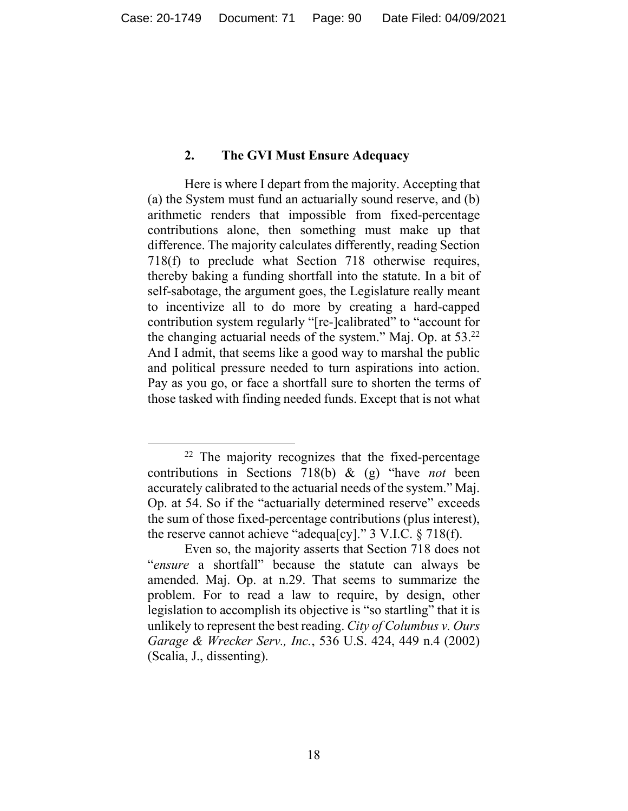#### **2. The GVI Must Ensure Adequacy**

Here is where I depart from the majority. Accepting that (a) the System must fund an actuarially sound reserve, and (b) arithmetic renders that impossible from fixed-percentage contributions alone, then something must make up that difference. The majority calculates differently, reading Section 718(f) to preclude what Section 718 otherwise requires, thereby baking a funding shortfall into the statute. In a bit of self-sabotage, the argument goes, the Legislature really meant to incentivize all to do more by creating a hard-capped contribution system regularly "[re-]calibrated" to "account for the changing actuarial needs of the system." Maj. Op. at 53.22 And I admit, that seems like a good way to marshal the public and political pressure needed to turn aspirations into action. Pay as you go, or face a shortfall sure to shorten the terms of those tasked with finding needed funds. Except that is not what

 $22$  The majority recognizes that the fixed-percentage contributions in Sections 718(b) & (g) "have *not* been accurately calibrated to the actuarial needs of the system." Maj. Op. at 54. So if the "actuarially determined reserve" exceeds the sum of those fixed-percentage contributions (plus interest), the reserve cannot achieve "adequa[cy]." 3 V.I.C. § 718(f).

Even so, the majority asserts that Section 718 does not "*ensure* a shortfall" because the statute can always be amended. Maj. Op. at n.29. That seems to summarize the problem. For to read a law to require, by design, other legislation to accomplish its objective is "so startling" that it is unlikely to represent the best reading. *City of Columbus v. Ours Garage & Wrecker Serv., Inc.*, 536 U.S. 424, 449 n.4 (2002) (Scalia, J., dissenting).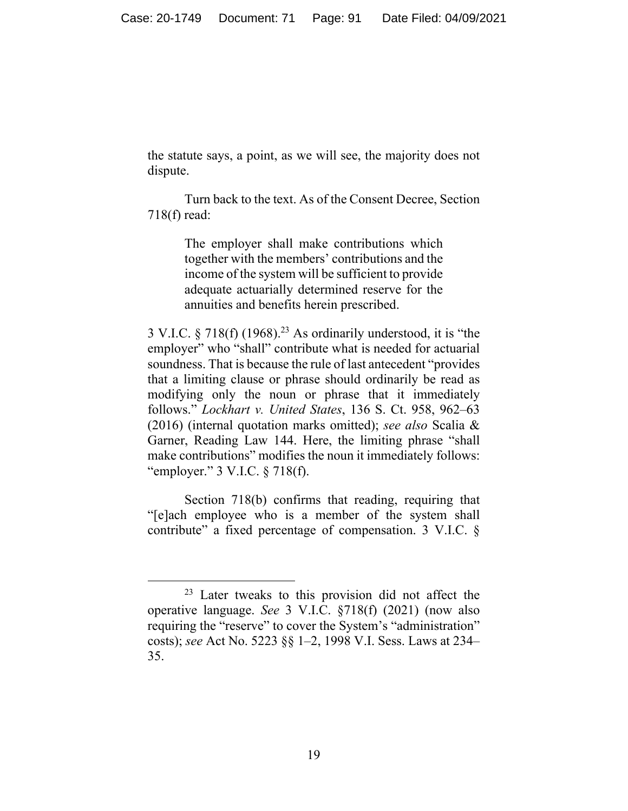the statute says, a point, as we will see, the majority does not dispute.

Turn back to the text. As of the Consent Decree, Section 718(f) read:

> The employer shall make contributions which together with the members' contributions and the income of the system will be sufficient to provide adequate actuarially determined reserve for the annuities and benefits herein prescribed.

 $3$  V.I.C.  $\S$  718(f) (1968).<sup>23</sup> As ordinarily understood, it is "the employer" who "shall" contribute what is needed for actuarial soundness. That is because the rule of last antecedent "provides that a limiting clause or phrase should ordinarily be read as modifying only the noun or phrase that it immediately follows." *Lockhart v. United States*, 136 S. Ct. 958, 962–63 (2016) (internal quotation marks omitted); *see also* Scalia & Garner, Reading Law 144. Here, the limiting phrase "shall make contributions" modifies the noun it immediately follows: "employer." 3 V.I.C. § 718(f).

Section 718(b) confirms that reading, requiring that "[e]ach employee who is a member of the system shall contribute" a fixed percentage of compensation. 3 V.I.C. §

<sup>23</sup> Later tweaks to this provision did not affect the operative language. *See* 3 V.I.C. §718(f) (2021) (now also requiring the "reserve" to cover the System's "administration" costs); *see* Act No. 5223 §§ 1–2, 1998 V.I. Sess. Laws at 234– 35.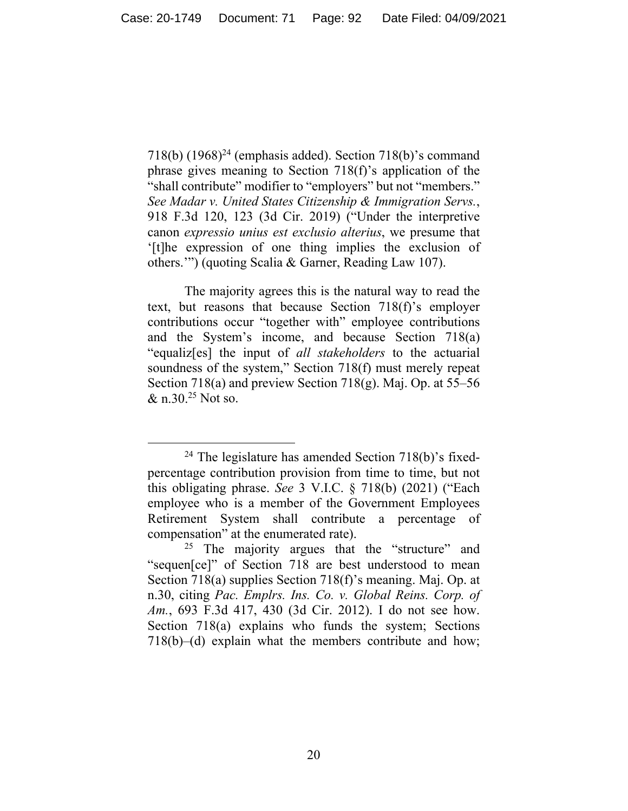$718(b)$  (1968)<sup>24</sup> (emphasis added). Section  $718(b)$ 's command phrase gives meaning to Section 718(f)'s application of the "shall contribute" modifier to "employers" but not "members." *See Madar v. United States Citizenship & Immigration Servs.*, 918 F.3d 120, 123 (3d Cir. 2019) ("Under the interpretive canon *expressio unius est exclusio alterius*, we presume that '[t]he expression of one thing implies the exclusion of others.'") (quoting Scalia & Garner, Reading Law 107).

The majority agrees this is the natural way to read the text, but reasons that because Section 718(f)'s employer contributions occur "together with" employee contributions and the System's income, and because Section 718(a) "equaliz[es] the input of *all stakeholders* to the actuarial soundness of the system," Section 718(f) must merely repeat Section 718(a) and preview Section 718(g). Maj. Op. at 55–56 & n.30.<sup>25</sup> Not so.

<sup>&</sup>lt;sup>24</sup> The legislature has amended Section  $718(b)$ 's fixedpercentage contribution provision from time to time, but not this obligating phrase. *See* 3 V.I.C. § 718(b) (2021) ("Each employee who is a member of the Government Employees Retirement System shall contribute a percentage of compensation" at the enumerated rate).

<sup>&</sup>lt;sup>25</sup> The majority argues that the "structure" and "sequen[ce]" of Section 718 are best understood to mean Section 718(a) supplies Section 718(f)'s meaning. Maj. Op. at n.30, citing *Pac. Emplrs. Ins. Co. v. Global Reins. Corp. of Am.*, 693 F.3d 417, 430 (3d Cir. 2012). I do not see how. Section 718(a) explains who funds the system; Sections 718(b)–(d) explain what the members contribute and how;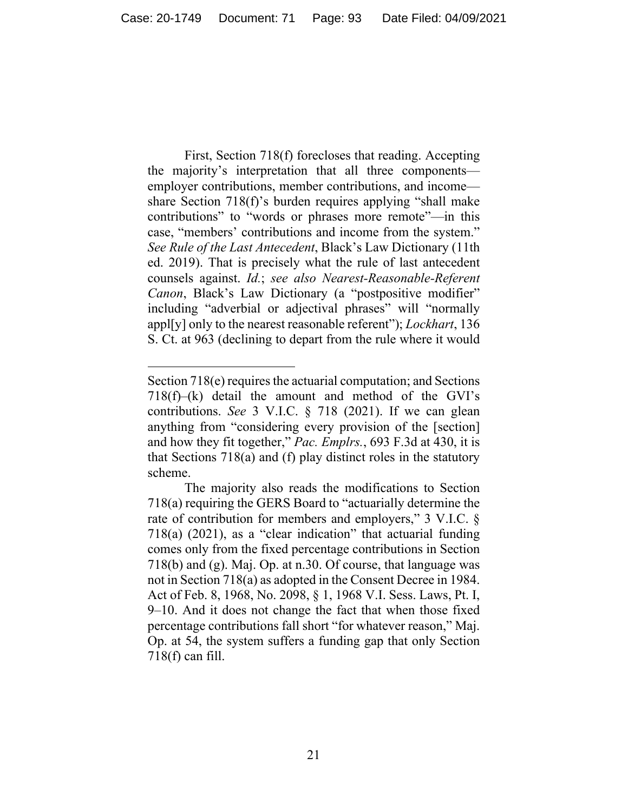First, Section 718(f) forecloses that reading. Accepting the majority's interpretation that all three components employer contributions, member contributions, and income share Section 718(f)'s burden requires applying "shall make contributions" to "words or phrases more remote"—in this case, "members' contributions and income from the system." *See Rule of the Last Antecedent*, Black's Law Dictionary (11th ed. 2019). That is precisely what the rule of last antecedent counsels against. *Id.*; *see also Nearest-Reasonable-Referent Canon*, Black's Law Dictionary (a "postpositive modifier" including "adverbial or adjectival phrases" will "normally appl[y] only to the nearest reasonable referent"); *Lockhart*, 136 S. Ct. at 963 (declining to depart from the rule where it would

Section 718(e) requires the actuarial computation; and Sections  $718(f)$ –(k) detail the amount and method of the GVI's contributions. *See* 3 V.I.C. § 718 (2021). If we can glean anything from "considering every provision of the [section] and how they fit together," *Pac. Emplrs.*, 693 F.3d at 430, it is that Sections 718(a) and (f) play distinct roles in the statutory scheme.

The majority also reads the modifications to Section 718(a) requiring the GERS Board to "actuarially determine the rate of contribution for members and employers," 3 V.I.C. § 718(a) (2021), as a "clear indication" that actuarial funding comes only from the fixed percentage contributions in Section 718(b) and (g). Maj. Op. at n.30. Of course, that language was not in Section 718(a) as adopted in the Consent Decree in 1984. Act of Feb. 8, 1968, No. 2098, § 1, 1968 V.I. Sess. Laws, Pt. I, 9–10. And it does not change the fact that when those fixed percentage contributions fall short "for whatever reason," Maj. Op. at 54, the system suffers a funding gap that only Section 718(f) can fill.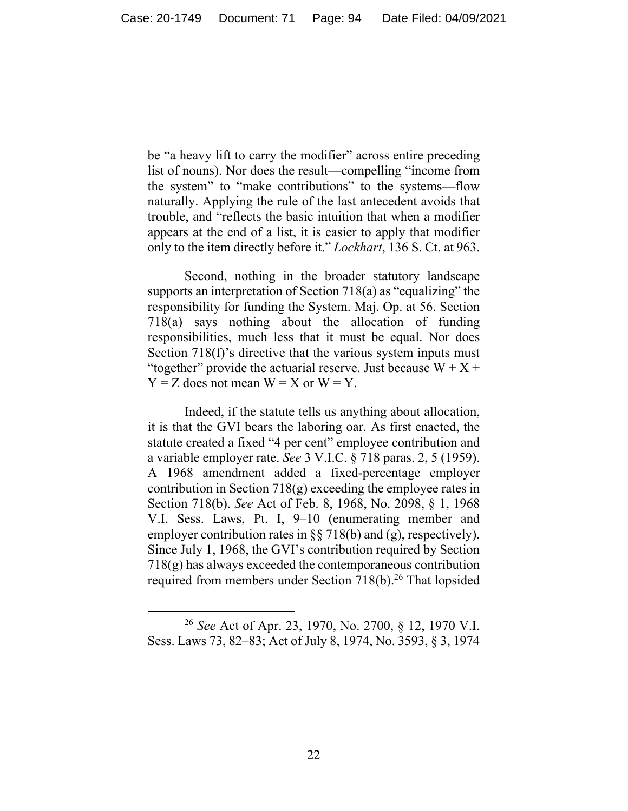be "a heavy lift to carry the modifier" across entire preceding list of nouns). Nor does the result—compelling "income from the system" to "make contributions" to the systems—flow naturally. Applying the rule of the last antecedent avoids that trouble, and "reflects the basic intuition that when a modifier appears at the end of a list, it is easier to apply that modifier only to the item directly before it." *Lockhart*, 136 S. Ct. at 963.

Second, nothing in the broader statutory landscape supports an interpretation of Section 718(a) as "equalizing" the responsibility for funding the System. Maj. Op. at 56. Section 718(a) says nothing about the allocation of funding responsibilities, much less that it must be equal. Nor does Section 718(f)'s directive that the various system inputs must "together" provide the actuarial reserve. Just because  $W + X +$  $Y = Z$  does not mean  $W = X$  or  $W = Y$ .

Indeed, if the statute tells us anything about allocation, it is that the GVI bears the laboring oar. As first enacted, the statute created a fixed "4 per cent" employee contribution and a variable employer rate. *See* 3 V.I.C. § 718 paras. 2, 5 (1959). A 1968 amendment added a fixed-percentage employer contribution in Section 718(g) exceeding the employee rates in Section 718(b). *See* Act of Feb. 8, 1968, No. 2098, § 1, 1968 V.I. Sess. Laws, Pt. I, 9–10 (enumerating member and employer contribution rates in §§ 718(b) and (g), respectively). Since July 1, 1968, the GVI's contribution required by Section 718(g) has always exceeded the contemporaneous contribution required from members under Section 718(b).<sup>26</sup> That lopsided

<sup>26</sup> *See* Act of Apr. 23, 1970, No. 2700, § 12, 1970 V.I. Sess. Laws 73, 82–83; Act of July 8, 1974, No. 3593, § 3, 1974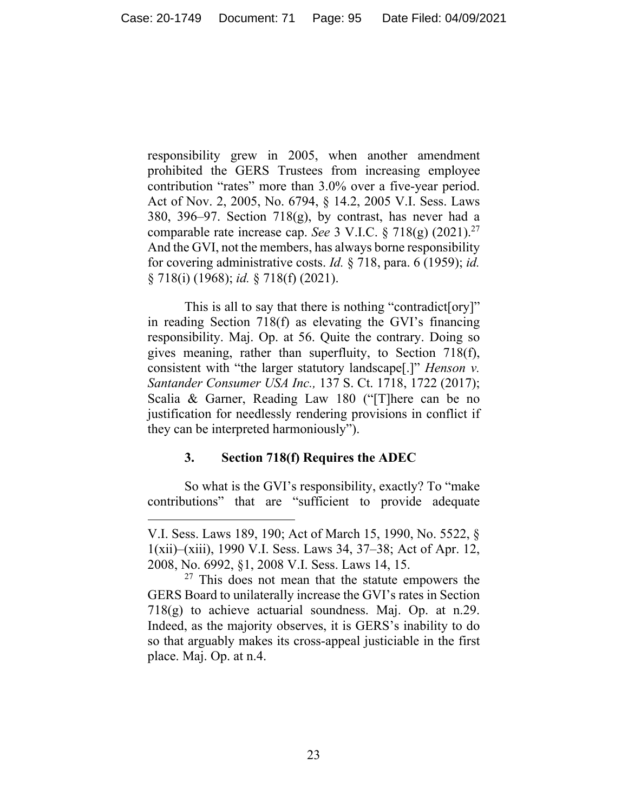responsibility grew in 2005, when another amendment prohibited the GERS Trustees from increasing employee contribution "rates" more than 3.0% over a five-year period. Act of Nov. 2, 2005, No. 6794, § 14.2, 2005 V.I. Sess. Laws 380, 396–97. Section  $718(g)$ , by contrast, has never had a comparable rate increase cap. *See* 3 V.I.C. § 718(g) (2021).27 And the GVI, not the members, has always borne responsibility for covering administrative costs. *Id.* § 718, para. 6 (1959); *id.* § 718(i) (1968); *id.* § 718(f) (2021).

This is all to say that there is nothing "contradict[ory]" in reading Section 718(f) as elevating the GVI's financing responsibility. Maj. Op. at 56. Quite the contrary. Doing so gives meaning, rather than superfluity, to Section 718(f), consistent with "the larger statutory landscape[.]" *Henson v. Santander Consumer USA Inc.,* 137 S. Ct. 1718, 1722 (2017); Scalia & Garner, Reading Law 180 ("[T]here can be no justification for needlessly rendering provisions in conflict if they can be interpreted harmoniously").

## **3. Section 718(f) Requires the ADEC**

So what is the GVI's responsibility, exactly? To "make contributions" that are "sufficient to provide adequate

V.I. Sess. Laws 189, 190; Act of March 15, 1990, No. 5522, § 1(xii)–(xiii), 1990 V.I. Sess. Laws 34, 37–38; Act of Apr. 12, 2008, No. 6992, §1, 2008 V.I. Sess. Laws 14, 15.

 $27$  This does not mean that the statute empowers the GERS Board to unilaterally increase the GVI's rates in Section  $718(g)$  to achieve actuarial soundness. Maj. Op. at n.29. Indeed, as the majority observes, it is GERS's inability to do so that arguably makes its cross-appeal justiciable in the first place. Maj. Op. at n.4.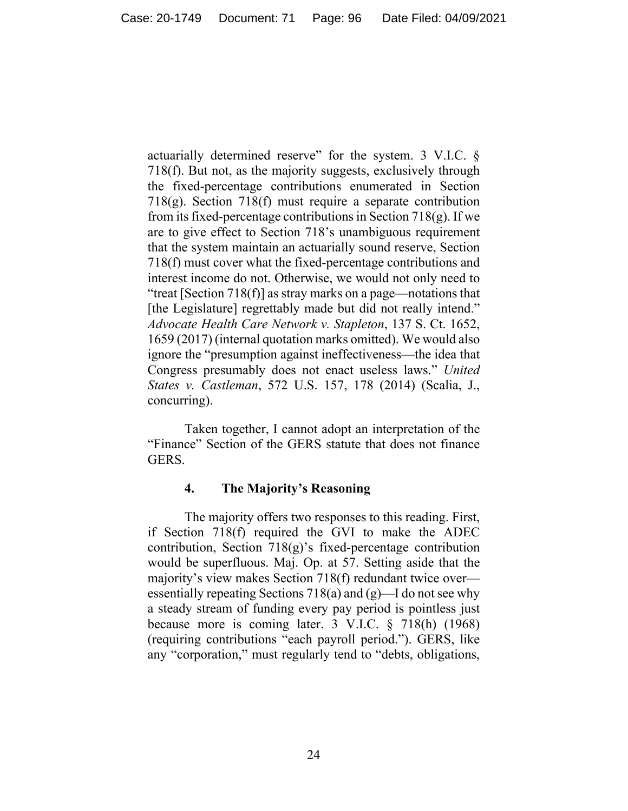actuarially determined reserve" for the system. 3 V.I.C. § 718(f). But not, as the majority suggests, exclusively through the fixed-percentage contributions enumerated in Section 718(g). Section 718(f) must require a separate contribution from its fixed-percentage contributions in Section  $718(g)$ . If we are to give effect to Section 718's unambiguous requirement that the system maintain an actuarially sound reserve, Section 718(f) must cover what the fixed-percentage contributions and interest income do not. Otherwise, we would not only need to "treat [Section 718(f)] as stray marks on a page—notations that [the Legislature] regrettably made but did not really intend." *Advocate Health Care Network v. Stapleton*, 137 S. Ct. 1652, 1659 (2017) (internal quotation marks omitted). We would also ignore the "presumption against ineffectiveness—the idea that Congress presumably does not enact useless laws." *United States v. Castleman*, 572 U.S. 157, 178 (2014) (Scalia, J., concurring).

Taken together, I cannot adopt an interpretation of the "Finance" Section of the GERS statute that does not finance GERS.

## **4. The Majority's Reasoning**

The majority offers two responses to this reading. First, if Section 718(f) required the GVI to make the ADEC contribution, Section 718(g)'s fixed-percentage contribution would be superfluous. Maj. Op. at 57. Setting aside that the majority's view makes Section 718(f) redundant twice over essentially repeating Sections 718(a) and (g)—I do not see why a steady stream of funding every pay period is pointless just because more is coming later. 3 V.I.C. § 718(h) (1968) (requiring contributions "each payroll period."). GERS, like any "corporation," must regularly tend to "debts, obligations,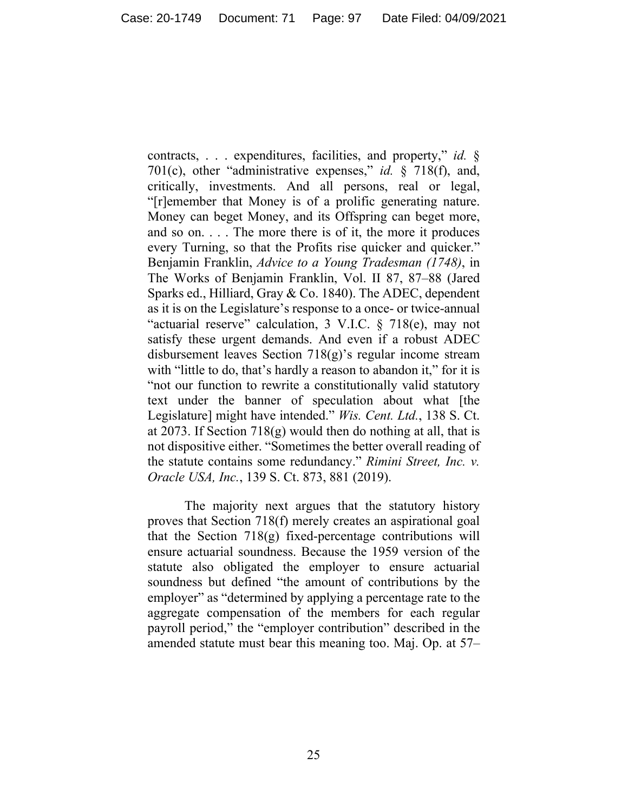contracts, . . . expenditures, facilities, and property," *id.* § 701(c), other "administrative expenses," *id.* § 718(f), and, critically, investments. And all persons, real or legal, "[r]emember that Money is of a prolific generating nature. Money can beget Money, and its Offspring can beget more, and so on. . . . The more there is of it, the more it produces every Turning, so that the Profits rise quicker and quicker." Benjamin Franklin, *Advice to a Young Tradesman (1748)*, in The Works of Benjamin Franklin, Vol. II 87, 87–88 (Jared Sparks ed., Hilliard, Gray & Co. 1840). The ADEC, dependent as it is on the Legislature's response to a once- or twice-annual "actuarial reserve" calculation, 3 V.I.C. § 718(e), may not satisfy these urgent demands. And even if a robust ADEC disbursement leaves Section 718(g)'s regular income stream with "little to do, that's hardly a reason to abandon it," for it is "not our function to rewrite a constitutionally valid statutory text under the banner of speculation about what [the Legislature] might have intended." *Wis. Cent. Ltd.*, 138 S. Ct. at 2073. If Section 718(g) would then do nothing at all, that is not dispositive either. "Sometimes the better overall reading of the statute contains some redundancy." *Rimini Street, Inc. v. Oracle USA, Inc.*, 139 S. Ct. 873, 881 (2019).

The majority next argues that the statutory history proves that Section 718(f) merely creates an aspirational goal that the Section  $718(g)$  fixed-percentage contributions will ensure actuarial soundness. Because the 1959 version of the statute also obligated the employer to ensure actuarial soundness but defined "the amount of contributions by the employer" as "determined by applying a percentage rate to the aggregate compensation of the members for each regular payroll period," the "employer contribution" described in the amended statute must bear this meaning too. Maj. Op. at 57–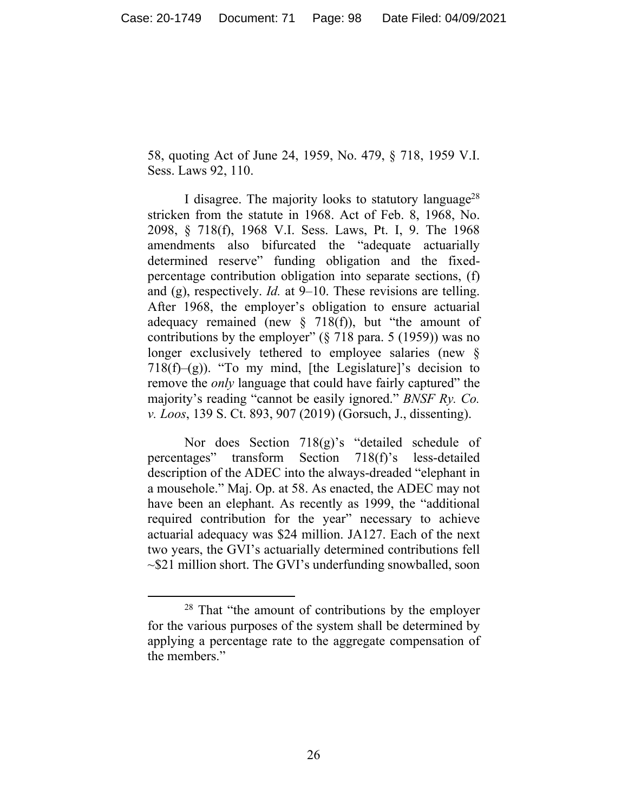58, quoting Act of June 24, 1959, No. 479, § 718, 1959 V.I. Sess. Laws 92, 110.

I disagree. The majority looks to statutory language<sup>28</sup> stricken from the statute in 1968. Act of Feb. 8, 1968, No. 2098, § 718(f), 1968 V.I. Sess. Laws, Pt. I, 9. The 1968 amendments also bifurcated the "adequate actuarially determined reserve" funding obligation and the fixedpercentage contribution obligation into separate sections, (f) and (g), respectively. *Id.* at 9–10. These revisions are telling. After 1968, the employer's obligation to ensure actuarial adequacy remained (new  $\S$  718(f)), but "the amount of contributions by the employer" (§ 718 para. 5 (1959)) was no longer exclusively tethered to employee salaries (new § 718(f)–(g)). "To my mind, [the Legislature]'s decision to remove the *only* language that could have fairly captured" the majority's reading "cannot be easily ignored." *BNSF Ry. Co. v. Loos*, 139 S. Ct. 893, 907 (2019) (Gorsuch, J., dissenting).

Nor does Section 718(g)'s "detailed schedule of percentages" transform Section 718(f)'s less-detailed description of the ADEC into the always-dreaded "elephant in a mousehole." Maj. Op. at 58. As enacted, the ADEC may not have been an elephant. As recently as 1999, the "additional required contribution for the year" necessary to achieve actuarial adequacy was \$24 million. JA127. Each of the next two years, the GVI's actuarially determined contributions fell  $\sim$ \$21 million short. The GVI's underfunding snowballed, soon

<sup>28</sup> That "the amount of contributions by the employer for the various purposes of the system shall be determined by applying a percentage rate to the aggregate compensation of the members."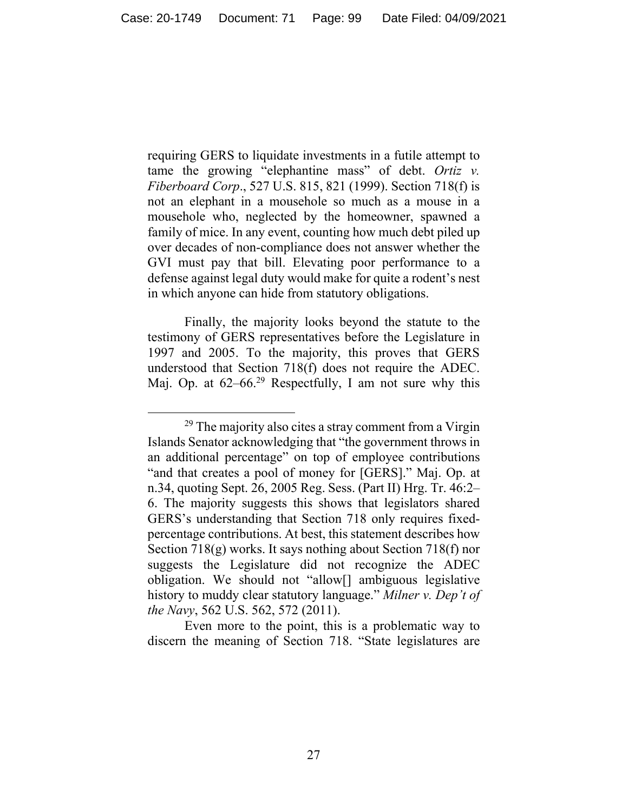requiring GERS to liquidate investments in a futile attempt to tame the growing "elephantine mass" of debt. *Ortiz v. Fiberboard Corp*., 527 U.S. 815, 821 (1999). Section 718(f) is not an elephant in a mousehole so much as a mouse in a mousehole who, neglected by the homeowner, spawned a family of mice. In any event, counting how much debt piled up over decades of non-compliance does not answer whether the GVI must pay that bill. Elevating poor performance to a defense against legal duty would make for quite a rodent's nest in which anyone can hide from statutory obligations.

Finally, the majority looks beyond the statute to the testimony of GERS representatives before the Legislature in 1997 and 2005. To the majority, this proves that GERS understood that Section 718(f) does not require the ADEC. Maj. Op. at  $62-66.^{29}$  Respectfully, I am not sure why this

Even more to the point, this is a problematic way to discern the meaning of Section 718. "State legislatures are

 $29$  The majority also cites a stray comment from a Virgin Islands Senator acknowledging that "the government throws in an additional percentage" on top of employee contributions "and that creates a pool of money for [GERS]." Maj. Op. at n.34, quoting Sept. 26, 2005 Reg. Sess. (Part II) Hrg. Tr. 46:2– 6. The majority suggests this shows that legislators shared GERS's understanding that Section 718 only requires fixedpercentage contributions. At best, this statement describes how Section 718(g) works. It says nothing about Section 718(f) nor suggests the Legislature did not recognize the ADEC obligation. We should not "allow[] ambiguous legislative history to muddy clear statutory language." *Milner v. Dep't of the Navy*, 562 U.S. 562, 572 (2011).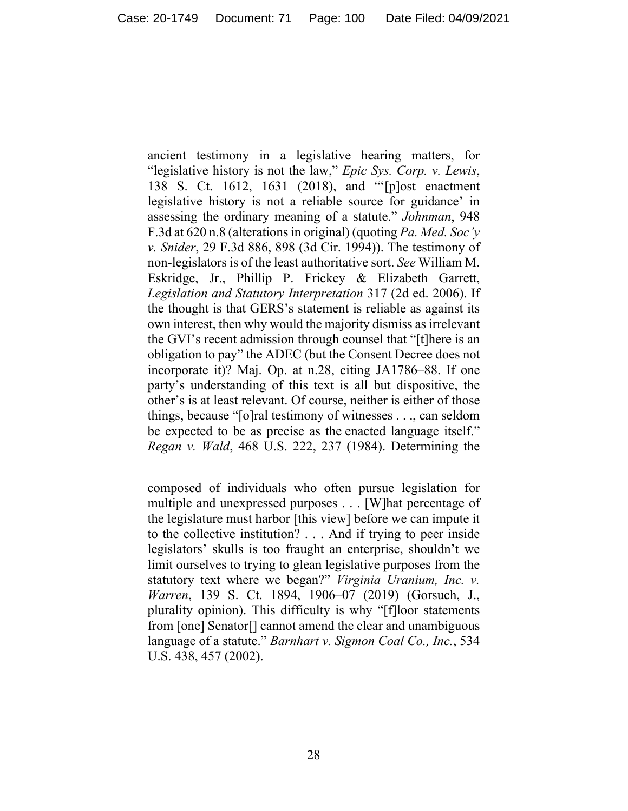ancient testimony in a legislative hearing matters, for "legislative history is not the law," *Epic Sys. Corp. v. Lewis*, 138 S. Ct. 1612, 1631 (2018), and "'[p]ost enactment legislative history is not a reliable source for guidance' in assessing the ordinary meaning of a statute." *Johnman*, 948 F.3d at 620 n.8 (alterations in original) (quoting *Pa. Med. Soc'y v. Snider*, 29 F.3d 886, 898 (3d Cir. 1994)). The testimony of non-legislators is of the least authoritative sort. *See* William M. Eskridge, Jr., Phillip P. Frickey & Elizabeth Garrett, *Legislation and Statutory Interpretation* 317 (2d ed. 2006). If the thought is that GERS's statement is reliable as against its own interest, then why would the majority dismiss as irrelevant the GVI's recent admission through counsel that "[t]here is an obligation to pay" the ADEC (but the Consent Decree does not incorporate it)? Maj. Op. at n.28, citing JA1786–88. If one party's understanding of this text is all but dispositive, the other's is at least relevant. Of course, neither is either of those things, because "[o]ral testimony of witnesses . . ., can seldom be expected to be as precise as the enacted language itself." *Regan v. Wald*, 468 U.S. 222, 237 (1984). Determining the

composed of individuals who often pursue legislation for multiple and unexpressed purposes . . . [W]hat percentage of the legislature must harbor [this view] before we can impute it to the collective institution? . . . And if trying to peer inside legislators' skulls is too fraught an enterprise, shouldn't we limit ourselves to trying to glean legislative purposes from the statutory text where we began?" *Virginia Uranium, Inc. v. Warren*, 139 S. Ct. 1894, 1906–07 (2019) (Gorsuch, J., plurality opinion). This difficulty is why "[f]loor statements from [one] Senator[] cannot amend the clear and unambiguous language of a statute." *Barnhart v. Sigmon Coal Co., Inc.*, 534 U.S. 438, 457 (2002).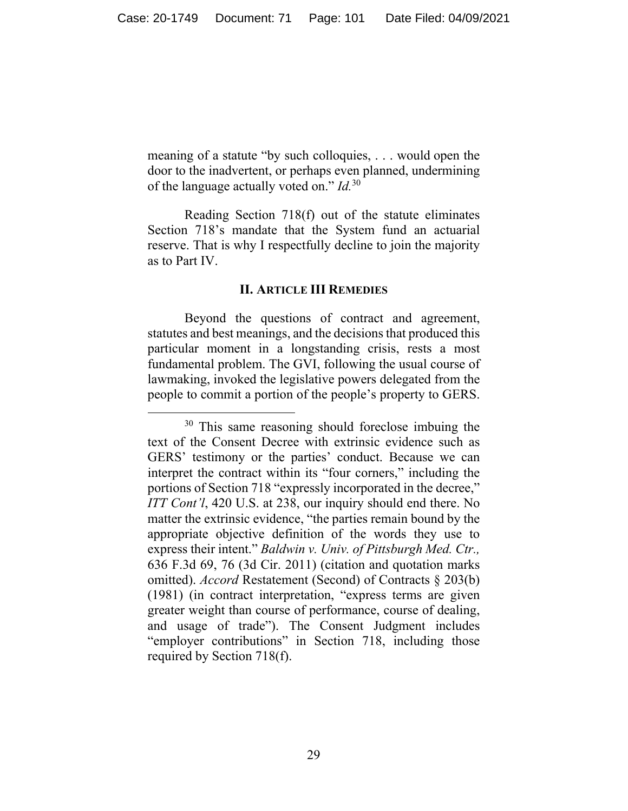meaning of a statute "by such colloquies, . . . would open the door to the inadvertent, or perhaps even planned, undermining of the language actually voted on." *Id.*30

Reading Section 718(f) out of the statute eliminates Section 718's mandate that the System fund an actuarial reserve. That is why I respectfully decline to join the majority as to Part IV.

#### **II. ARTICLE III REMEDIES**

Beyond the questions of contract and agreement, statutes and best meanings, and the decisions that produced this particular moment in a longstanding crisis, rests a most fundamental problem. The GVI, following the usual course of lawmaking, invoked the legislative powers delegated from the people to commit a portion of the people's property to GERS.

<sup>&</sup>lt;sup>30</sup> This same reasoning should foreclose imbuing the text of the Consent Decree with extrinsic evidence such as GERS' testimony or the parties' conduct. Because we can interpret the contract within its "four corners," including the portions of Section 718 "expressly incorporated in the decree," *ITT Cont'l*, 420 U.S. at 238, our inquiry should end there. No matter the extrinsic evidence, "the parties remain bound by the appropriate objective definition of the words they use to express their intent." *Baldwin v. Univ. of Pittsburgh Med. Ctr.,* 636 F.3d 69, 76 (3d Cir. 2011) (citation and quotation marks omitted). *Accord* Restatement (Second) of Contracts § 203(b) (1981) (in contract interpretation, "express terms are given greater weight than course of performance, course of dealing, and usage of trade"). The Consent Judgment includes "employer contributions" in Section 718, including those required by Section 718(f).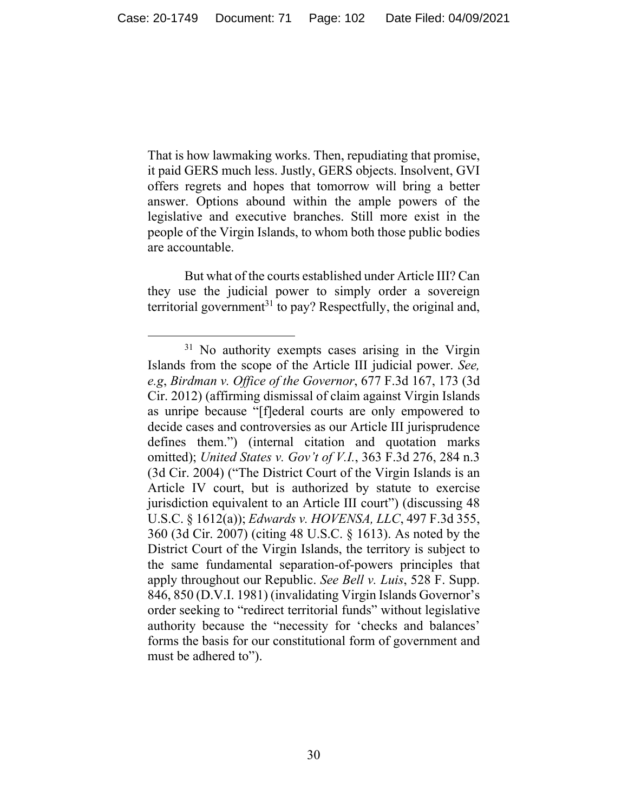That is how lawmaking works. Then, repudiating that promise, it paid GERS much less. Justly, GERS objects. Insolvent, GVI offers regrets and hopes that tomorrow will bring a better answer. Options abound within the ample powers of the legislative and executive branches. Still more exist in the people of the Virgin Islands, to whom both those public bodies are accountable.

But what of the courts established under Article III? Can they use the judicial power to simply order a sovereign territorial government<sup>31</sup> to pay? Respectfully, the original and,

<sup>&</sup>lt;sup>31</sup> No authority exempts cases arising in the Virgin Islands from the scope of the Article III judicial power. *See, e.g*, *Birdman v. Office of the Governor*, 677 F.3d 167, 173 (3d Cir. 2012) (affirming dismissal of claim against Virgin Islands as unripe because "[f]ederal courts are only empowered to decide cases and controversies as our Article III jurisprudence defines them.") (internal citation and quotation marks omitted); *United States v. Gov't of V.I.*, 363 F.3d 276, 284 n.3 (3d Cir. 2004) ("The District Court of the Virgin Islands is an Article IV court, but is authorized by statute to exercise jurisdiction equivalent to an Article III court") (discussing 48 U.S.C. § 1612(a)); *Edwards v. HOVENSA, LLC*, 497 F.3d 355, 360 (3d Cir. 2007) (citing 48 U.S.C. § 1613). As noted by the District Court of the Virgin Islands, the territory is subject to the same fundamental separation-of-powers principles that apply throughout our Republic. *See Bell v. Luis*, 528 F. Supp. 846, 850 (D.V.I. 1981) (invalidating Virgin Islands Governor's order seeking to "redirect territorial funds" without legislative authority because the "necessity for 'checks and balances' forms the basis for our constitutional form of government and must be adhered to").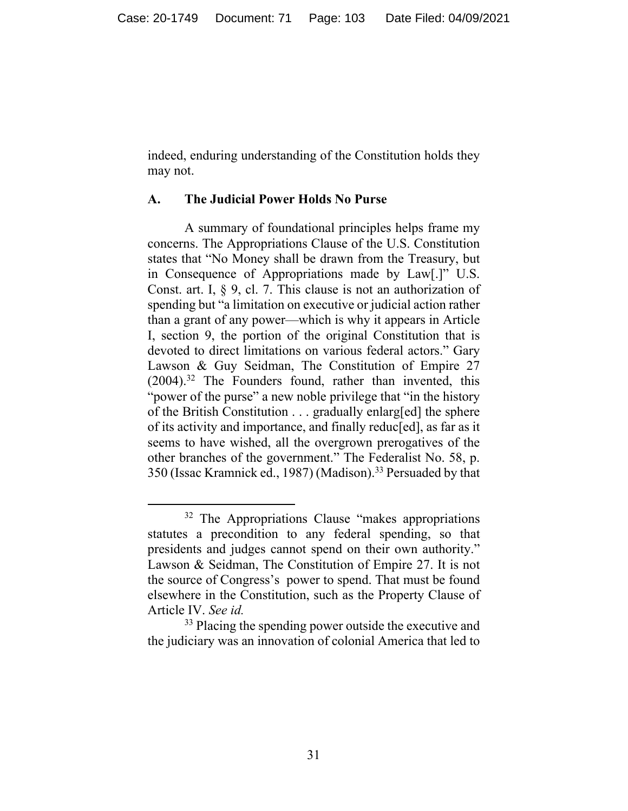indeed, enduring understanding of the Constitution holds they may not.

### **A. The Judicial Power Holds No Purse**

A summary of foundational principles helps frame my concerns. The Appropriations Clause of the U.S. Constitution states that "No Money shall be drawn from the Treasury, but in Consequence of Appropriations made by Law[.]" U.S. Const. art. I, § 9, cl. 7. This clause is not an authorization of spending but "a limitation on executive or judicial action rather than a grant of any power—which is why it appears in Article I, section 9, the portion of the original Constitution that is devoted to direct limitations on various federal actors." Gary Lawson & Guy Seidman, The Constitution of Empire 27  $(2004).$ <sup>32</sup> The Founders found, rather than invented, this "power of the purse" a new noble privilege that "in the history" of the British Constitution . . . gradually enlarg[ed] the sphere of its activity and importance, and finally reduc[ed], as far as it seems to have wished, all the overgrown prerogatives of the other branches of the government." The Federalist No. 58, p. 350 (Issac Kramnick ed., 1987) (Madison).33 Persuaded by that

<sup>&</sup>lt;sup>32</sup> The Appropriations Clause "makes appropriations statutes a precondition to any federal spending, so that presidents and judges cannot spend on their own authority." Lawson & Seidman, The Constitution of Empire 27. It is not the source of Congress's power to spend. That must be found elsewhere in the Constitution, such as the Property Clause of Article IV. *See id.*

<sup>&</sup>lt;sup>33</sup> Placing the spending power outside the executive and the judiciary was an innovation of colonial America that led to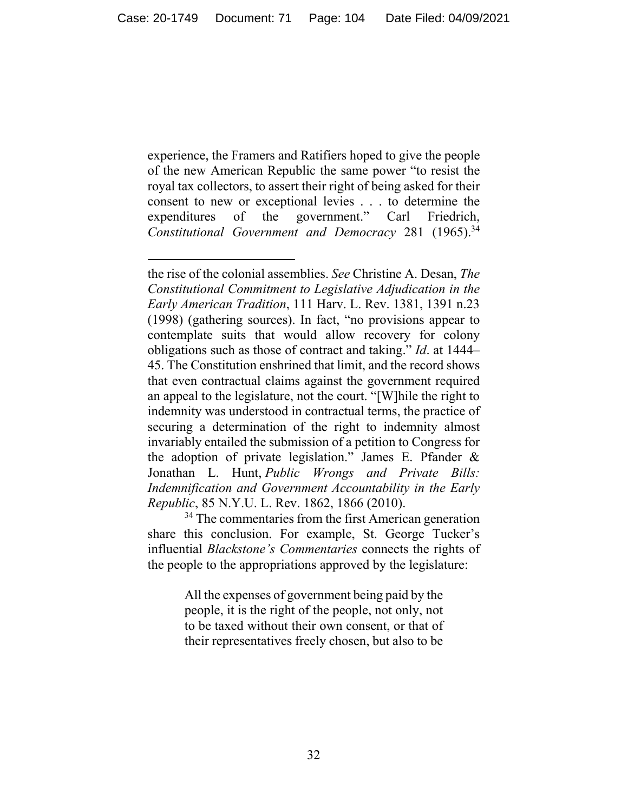experience, the Framers and Ratifiers hoped to give the people of the new American Republic the same power "to resist the royal tax collectors, to assert their right of being asked for their consent to new or exceptional levies . . . to determine the expenditures of the government." Carl Friedrich, *Constitutional Government and Democracy* 281 (1965).<sup>34</sup>

All the expenses of government being paid by the people, it is the right of the people, not only, not to be taxed without their own consent, or that of their representatives freely chosen, but also to be

the rise of the colonial assemblies. *See* Christine A. Desan, *The Constitutional Commitment to Legislative Adjudication in the Early American Tradition*, 111 Harv. L. Rev. 1381, 1391 n.23 (1998) (gathering sources). In fact, "no provisions appear to contemplate suits that would allow recovery for colony obligations such as those of contract and taking." *Id*. at 1444– 45. The Constitution enshrined that limit, and the record shows that even contractual claims against the government required an appeal to the legislature, not the court. "[W]hile the right to indemnity was understood in contractual terms, the practice of securing a determination of the right to indemnity almost invariably entailed the submission of a petition to Congress for the adoption of private legislation." James E. Pfander & Jonathan L. Hunt, *Public Wrongs and Private Bills: Indemnification and Government Accountability in the Early Republic*, 85 N.Y.U. L. Rev. 1862, 1866 (2010).

<sup>&</sup>lt;sup>34</sup> The commentaries from the first American generation share this conclusion. For example, St. George Tucker's influential *Blackstone's Commentaries* connects the rights of the people to the appropriations approved by the legislature: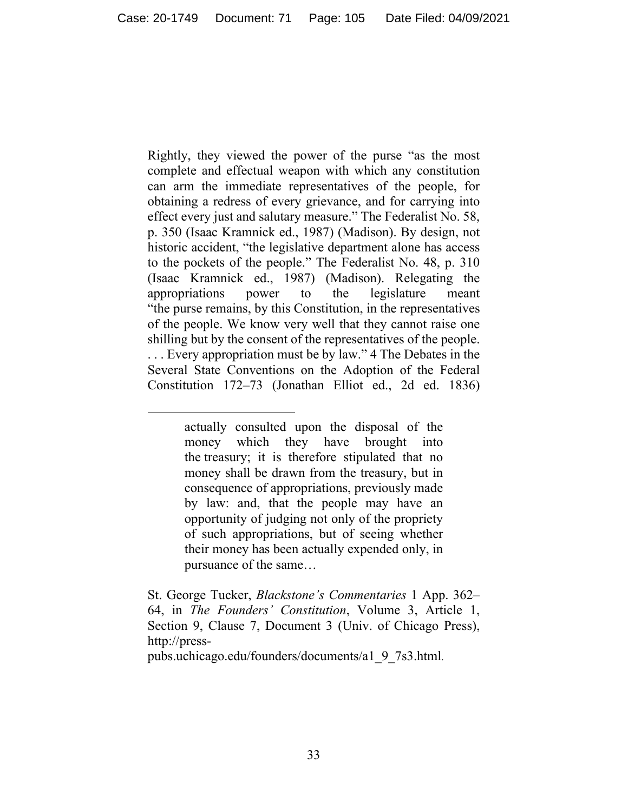Rightly, they viewed the power of the purse "as the most complete and effectual weapon with which any constitution can arm the immediate representatives of the people, for obtaining a redress of every grievance, and for carrying into effect every just and salutary measure." The Federalist No. 58, p. 350 (Isaac Kramnick ed., 1987) (Madison). By design, not historic accident, "the legislative department alone has access to the pockets of the people." The Federalist No. 48, p. 310 (Isaac Kramnick ed., 1987) (Madison). Relegating the appropriations power to the legislature meant "the purse remains, by this Constitution, in the representatives of the people. We know very well that they cannot raise one shilling but by the consent of the representatives of the people. . . . Every appropriation must be by law." 4 The Debates in the Several State Conventions on the Adoption of the Federal Constitution 172–73 (Jonathan Elliot ed., 2d ed. 1836)

pubs.uchicago.edu/founders/documents/a1\_9\_7s3.html.

actually consulted upon the disposal of the money which they have brought into the treasury; it is therefore stipulated that no money shall be drawn from the treasury, but in consequence of appropriations, previously made by law: and, that the people may have an opportunity of judging not only of the propriety of such appropriations, but of seeing whether their money has been actually expended only, in pursuance of the same…

St. George Tucker, *Blackstone's Commentaries* 1 App. 362– 64, in *The Founders' Constitution*, Volume 3, Article 1, Section 9, Clause 7, Document 3 (Univ. of Chicago Press), http://press-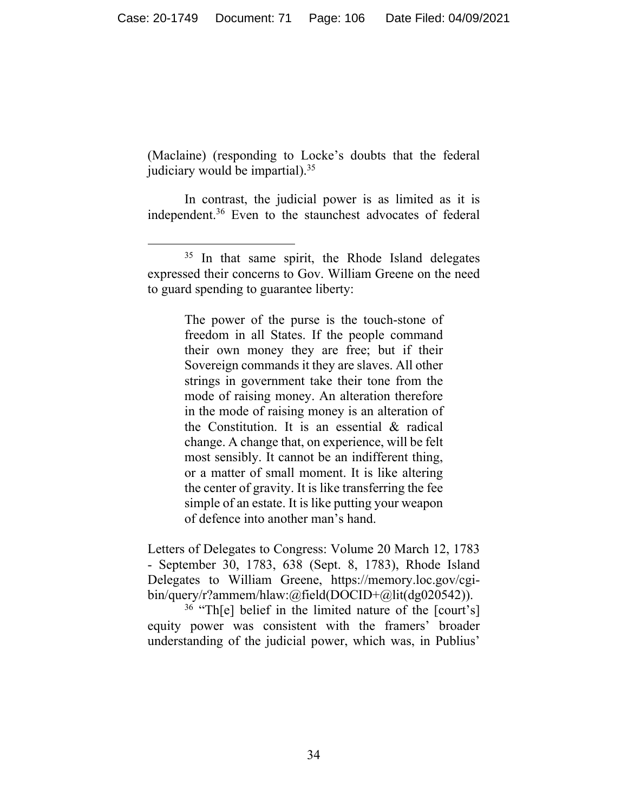(Maclaine) (responding to Locke's doubts that the federal judiciary would be impartial).  $35$ 

In contrast, the judicial power is as limited as it is independent.36 Even to the staunchest advocates of federal

The power of the purse is the touch-stone of freedom in all States. If the people command their own money they are free; but if their Sovereign commands it they are slaves. All other strings in government take their tone from the mode of raising money. An alteration therefore in the mode of raising money is an alteration of the Constitution. It is an essential & radical change. A change that, on experience, will be felt most sensibly. It cannot be an indifferent thing, or a matter of small moment. It is like altering the center of gravity. It is like transferring the fee simple of an estate. It is like putting your weapon of defence into another man's hand.

Letters of Delegates to Congress: Volume 20 March 12, 1783 - September 30, 1783, 638 (Sept. 8, 1783), Rhode Island Delegates to William Greene, https://memory.loc.gov/cgibin/query/r?ammem/hlaw:@field(DOCID+@lit(dg020542)).

36 "Th[e] belief in the limited nature of the [court's] equity power was consistent with the framers' broader understanding of the judicial power, which was, in Publius'

 $35$  In that same spirit, the Rhode Island delegates expressed their concerns to Gov. William Greene on the need to guard spending to guarantee liberty: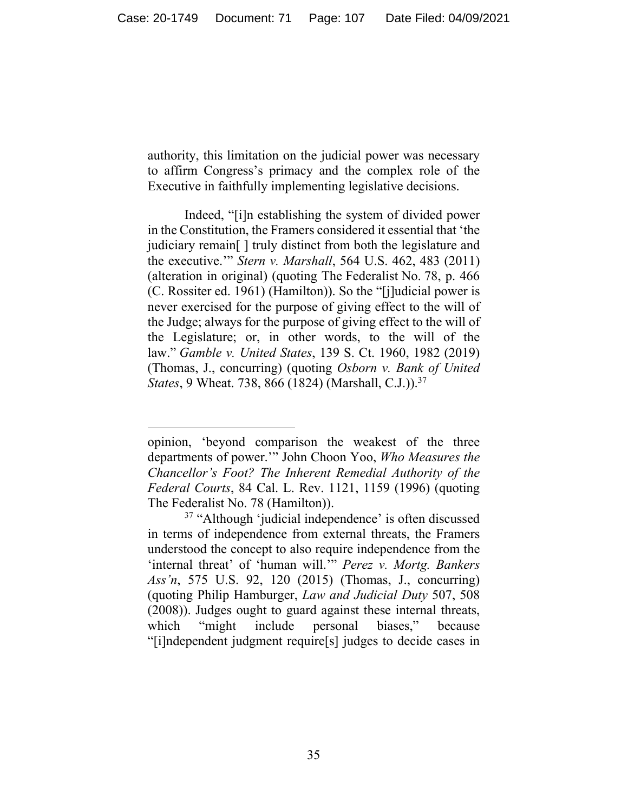authority, this limitation on the judicial power was necessary to affirm Congress's primacy and the complex role of the Executive in faithfully implementing legislative decisions.

Indeed, "[i]n establishing the system of divided power in the Constitution, the Framers considered it essential that 'the judiciary remain[ ] truly distinct from both the legislature and the executive.'" *Stern v. Marshall*, 564 U.S. 462, 483 (2011) (alteration in original) (quoting The Federalist No. 78, p. 466 (C. Rossiter ed. 1961) (Hamilton)). So the "[j]udicial power is never exercised for the purpose of giving effect to the will of the Judge; always for the purpose of giving effect to the will of the Legislature; or, in other words, to the will of the law." *Gamble v. United States*, 139 S. Ct. 1960, 1982 (2019) (Thomas, J., concurring) (quoting *Osborn v. Bank of United States*, 9 Wheat. 738, 866 (1824) (Marshall, C.J.)).<sup>37</sup>

opinion, 'beyond comparison the weakest of the three departments of power.'" John Choon Yoo, *Who Measures the Chancellor's Foot? The Inherent Remedial Authority of the Federal Courts*, 84 Cal. L. Rev. 1121, 1159 (1996) (quoting The Federalist No. 78 (Hamilton)).

<sup>37 &</sup>quot;Although 'judicial independence' is often discussed in terms of independence from external threats, the Framers understood the concept to also require independence from the 'internal threat' of 'human will.'" *Perez v. Mortg. Bankers Ass'n*, 575 U.S. 92, 120 (2015) (Thomas, J., concurring) (quoting Philip Hamburger, *Law and Judicial Duty* 507, 508 (2008)). Judges ought to guard against these internal threats, which "might include personal biases," because "[i]ndependent judgment require[s] judges to decide cases in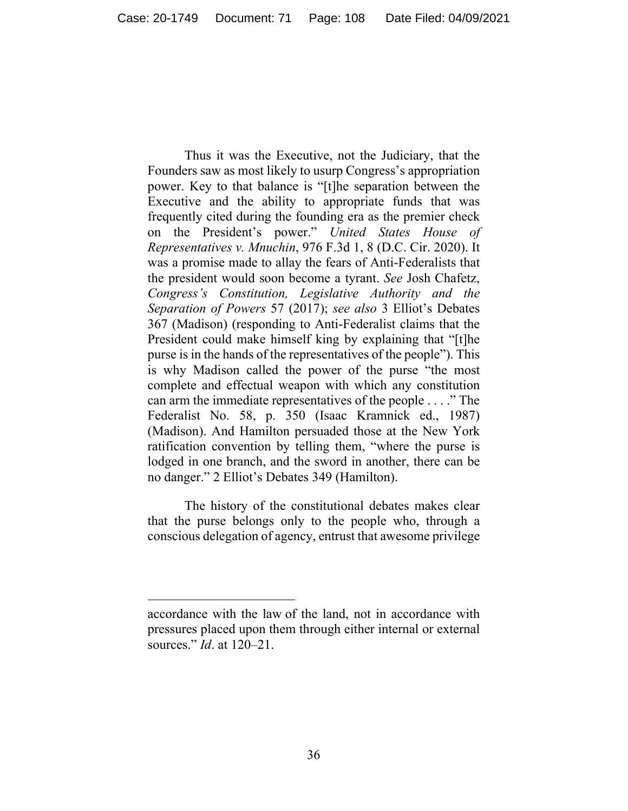Thus it was the Executive, not the Judiciary, that the Founders saw as most likely to usurp Congress's appropriation power. Key to that balance is "[t]he separation between the Executive and the ability to appropriate funds that was frequently cited during the founding era as the premier check on the President's power." *United States House of Representatives v. Mnuchin*, 976 F.3d 1, 8 (D.C. Cir. 2020). It was a promise made to allay the fears of Anti-Federalists that the president would soon become a tyrant. *See* Josh Chafetz, *Congress's Constitution, Legislative Authority and the Separation of Powers* 57 (2017); *see also* 3 Elliot's Debates 367 (Madison) (responding to Anti-Federalist claims that the President could make himself king by explaining that "[t]he purse is in the hands of the representatives of the people"). This is why Madison called the power of the purse "the most complete and effectual weapon with which any constitution can arm the immediate representatives of the people . . . ." The Federalist No. 58, p. 350 (Isaac Kramnick ed., 1987) (Madison). And Hamilton persuaded those at the New York ratification convention by telling them, "where the purse is lodged in one branch, and the sword in another, there can be no danger." 2 Elliot's Debates 349 (Hamilton).

The history of the constitutional debates makes clear that the purse belongs only to the people who, through a conscious delegation of agency, entrust that awesome privilege

accordance with the law of the land, not in accordance with pressures placed upon them through either internal or external sources." *Id*. at 120–21.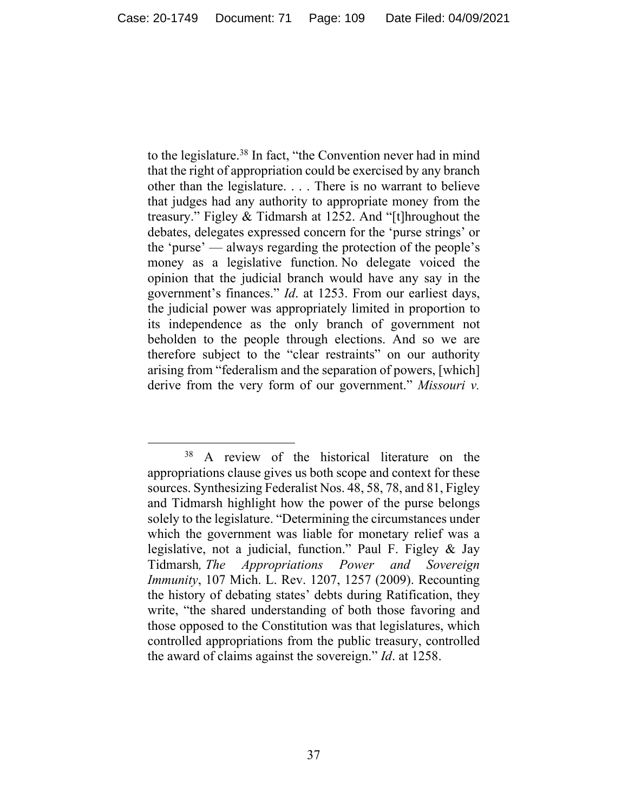to the legislature.<sup>38</sup> In fact, "the Convention never had in mind that the right of appropriation could be exercised by any branch other than the legislature. . . . There is no warrant to believe that judges had any authority to appropriate money from the treasury." Figley & Tidmarsh at 1252. And "[t]hroughout the debates, delegates expressed concern for the 'purse strings' or the 'purse' — always regarding the protection of the people's money as a legislative function. No delegate voiced the opinion that the judicial branch would have any say in the government's finances." *Id*. at 1253. From our earliest days, the judicial power was appropriately limited in proportion to its independence as the only branch of government not beholden to the people through elections. And so we are therefore subject to the "clear restraints" on our authority arising from "federalism and the separation of powers, [which] derive from the very form of our government." *Missouri v.* 

<sup>&</sup>lt;sup>38</sup> A review of the historical literature on the appropriations clause gives us both scope and context for these sources. Synthesizing Federalist Nos. 48, 58, 78, and 81, Figley and Tidmarsh highlight how the power of the purse belongs solely to the legislature. "Determining the circumstances under which the government was liable for monetary relief was a legislative, not a judicial, function." Paul F. Figley & Jay Tidmarsh*, The Appropriations Power and Sovereign Immunity*, 107 Mich. L. Rev. 1207, 1257 (2009). Recounting the history of debating states' debts during Ratification, they write, "the shared understanding of both those favoring and those opposed to the Constitution was that legislatures, which controlled appropriations from the public treasury, controlled the award of claims against the sovereign." *Id*. at 1258.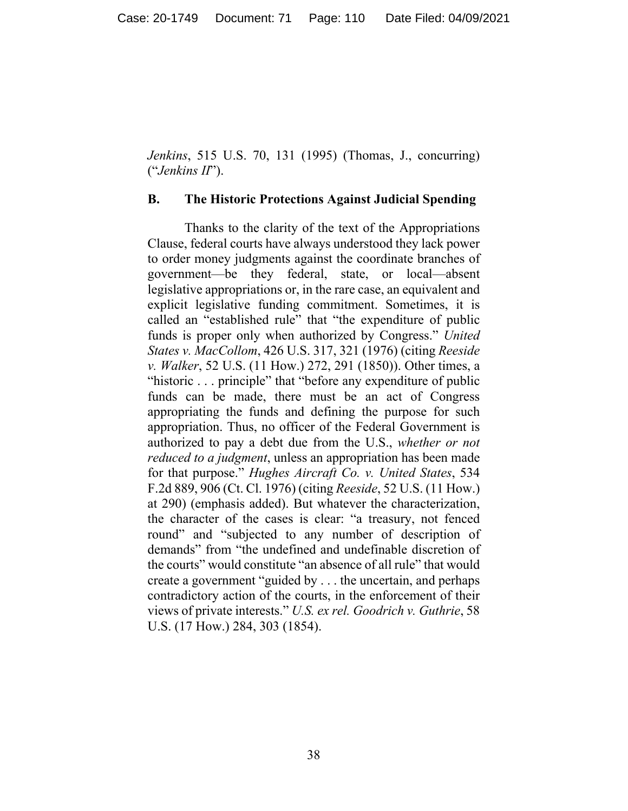*Jenkins*, 515 U.S. 70, 131 (1995) (Thomas, J., concurring) ("*Jenkins II*").

## **B. The Historic Protections Against Judicial Spending**

Thanks to the clarity of the text of the Appropriations Clause, federal courts have always understood they lack power to order money judgments against the coordinate branches of government—be they federal, state, or local—absent legislative appropriations or, in the rare case, an equivalent and explicit legislative funding commitment. Sometimes, it is called an "established rule" that "the expenditure of public funds is proper only when authorized by Congress." *United States v. MacCollom*, 426 U.S. 317, 321 (1976) (citing *Reeside v. Walker*, 52 U.S. (11 How.) 272, 291 (1850)). Other times, a "historic . . . principle" that "before any expenditure of public funds can be made, there must be an act of Congress appropriating the funds and defining the purpose for such appropriation. Thus, no officer of the Federal Government is authorized to pay a debt due from the U.S., *whether or not reduced to a judgment*, unless an appropriation has been made for that purpose." *Hughes Aircraft Co. v. United States*, 534 F.2d 889, 906 (Ct. Cl. 1976) (citing *Reeside*, 52 U.S. (11 How.) at 290) (emphasis added). But whatever the characterization, the character of the cases is clear: "a treasury, not fenced round" and "subjected to any number of description of demands" from "the undefined and undefinable discretion of the courts" would constitute "an absence of all rule" that would create a government "guided by . . . the uncertain, and perhaps contradictory action of the courts, in the enforcement of their views of private interests." *U.S. ex rel. Goodrich v. Guthrie*, 58 U.S. (17 How.) 284, 303 (1854).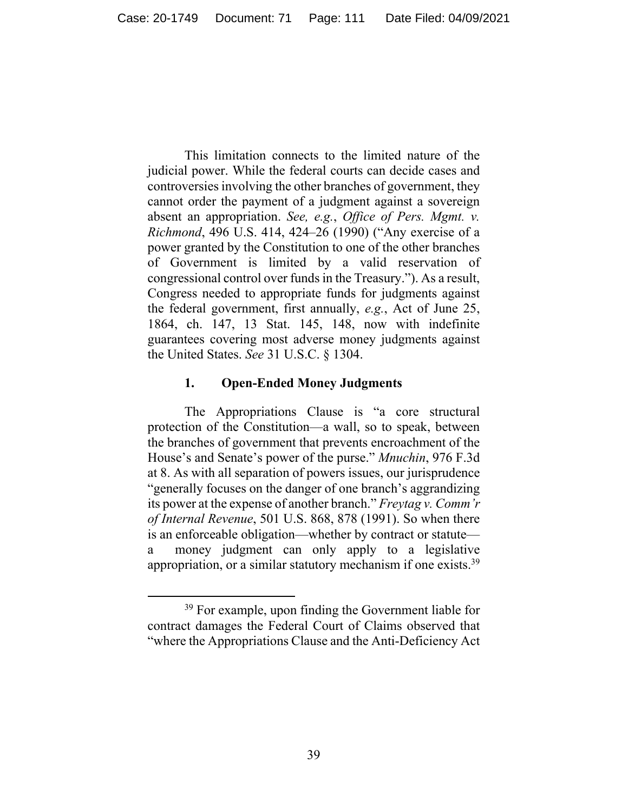This limitation connects to the limited nature of the judicial power. While the federal courts can decide cases and controversies involving the other branches of government, they cannot order the payment of a judgment against a sovereign absent an appropriation. *See, e.g.*, *Office of Pers. Mgmt. v. Richmond*, 496 U.S. 414, 424–26 (1990) ("Any exercise of a power granted by the Constitution to one of the other branches of Government is limited by a valid reservation of congressional control over funds in the Treasury."). As a result, Congress needed to appropriate funds for judgments against the federal government, first annually, *e.g.*, Act of June 25, 1864, ch. 147, 13 Stat. 145, 148, now with indefinite guarantees covering most adverse money judgments against the United States. *See* 31 U.S.C. § 1304.

## **1. Open-Ended Money Judgments**

The Appropriations Clause is "a core structural protection of the Constitution—a wall, so to speak, between the branches of government that prevents encroachment of the House's and Senate's power of the purse." *Mnuchin*, 976 F.3d at 8. As with all separation of powers issues, our jurisprudence "generally focuses on the danger of one branch's aggrandizing its power at the expense of another branch." *Freytag v. Comm'r of Internal Revenue*, 501 U.S. 868, 878 (1991). So when there is an enforceable obligation—whether by contract or statute a money judgment can only apply to a legislative appropriation, or a similar statutory mechanism if one exists.<sup>39</sup>

<sup>&</sup>lt;sup>39</sup> For example, upon finding the Government liable for contract damages the Federal Court of Claims observed that "where the Appropriations Clause and the Anti-Deficiency Act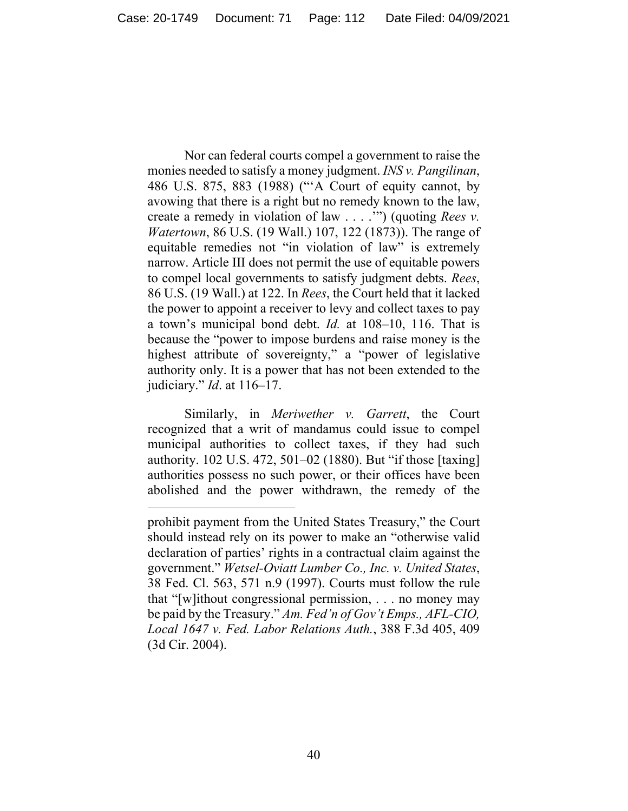Nor can federal courts compel a government to raise the monies needed to satisfy a money judgment. *INS v. Pangilinan*, 486 U.S. 875, 883 (1988) ("'A Court of equity cannot, by avowing that there is a right but no remedy known to the law, create a remedy in violation of law . . . .'") (quoting *Rees v. Watertown*, 86 U.S. (19 Wall.) 107, 122 (1873)). The range of equitable remedies not "in violation of law" is extremely narrow. Article III does not permit the use of equitable powers to compel local governments to satisfy judgment debts. *Rees*, 86 U.S. (19 Wall.) at 122. In *Rees*, the Court held that it lacked the power to appoint a receiver to levy and collect taxes to pay a town's municipal bond debt. *Id.* at 108–10, 116. That is because the "power to impose burdens and raise money is the highest attribute of sovereignty," a "power of legislative authority only. It is a power that has not been extended to the judiciary." *Id*. at 116–17.

Similarly, in *Meriwether v. Garrett*, the Court recognized that a writ of mandamus could issue to compel municipal authorities to collect taxes, if they had such authority. 102 U.S. 472, 501–02 (1880). But "if those [taxing] authorities possess no such power, or their offices have been abolished and the power withdrawn, the remedy of the

prohibit payment from the United States Treasury," the Court should instead rely on its power to make an "otherwise valid declaration of parties' rights in a contractual claim against the government." *Wetsel-Oviatt Lumber Co., Inc. v. United States*, 38 Fed. Cl. 563, 571 n.9 (1997). Courts must follow the rule that "[w]ithout congressional permission, . . . no money may be paid by the Treasury." *Am. Fed'n of Gov't Emps., AFL-CIO, Local 1647 v. Fed. Labor Relations Auth.*, 388 F.3d 405, 409 (3d Cir. 2004).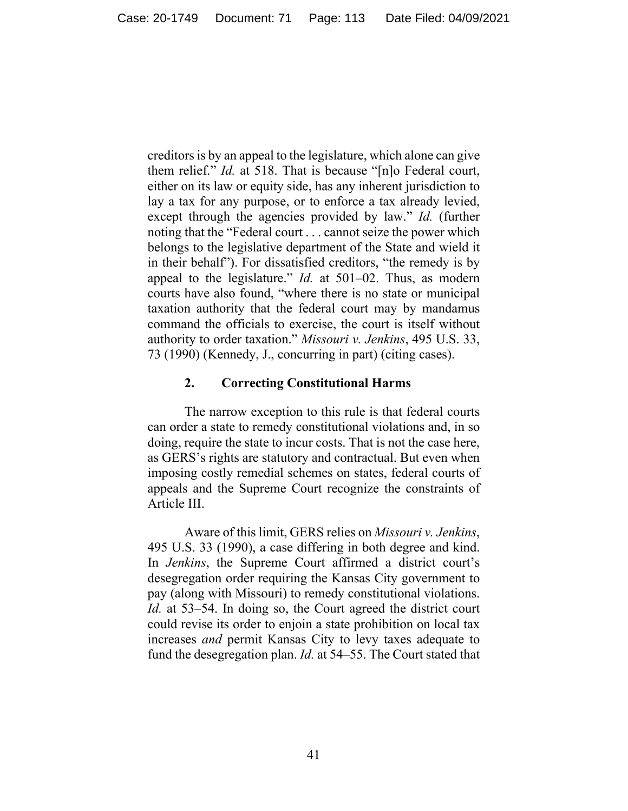creditors is by an appeal to the legislature, which alone can give them relief." *Id.* at 518. That is because "[n]o Federal court, either on its law or equity side, has any inherent jurisdiction to lay a tax for any purpose, or to enforce a tax already levied, except through the agencies provided by law." *Id.* (further noting that the "Federal court . . . cannot seize the power which belongs to the legislative department of the State and wield it in their behalf"). For dissatisfied creditors, "the remedy is by appeal to the legislature." *Id.* at 501–02. Thus, as modern courts have also found, "where there is no state or municipal taxation authority that the federal court may by mandamus command the officials to exercise, the court is itself without authority to order taxation." *Missouri v. Jenkins*, 495 U.S. 33, 73 (1990) (Kennedy, J., concurring in part) (citing cases).

## **2. Correcting Constitutional Harms**

The narrow exception to this rule is that federal courts can order a state to remedy constitutional violations and, in so doing, require the state to incur costs. That is not the case here, as GERS's rights are statutory and contractual. But even when imposing costly remedial schemes on states, federal courts of appeals and the Supreme Court recognize the constraints of Article III.

Aware of this limit, GERS relies on *Missouri v. Jenkins*, 495 U.S. 33 (1990), a case differing in both degree and kind. In *Jenkins*, the Supreme Court affirmed a district court's desegregation order requiring the Kansas City government to pay (along with Missouri) to remedy constitutional violations. *Id.* at 53–54. In doing so, the Court agreed the district court could revise its order to enjoin a state prohibition on local tax increases *and* permit Kansas City to levy taxes adequate to fund the desegregation plan. *Id.* at 54–55. The Court stated that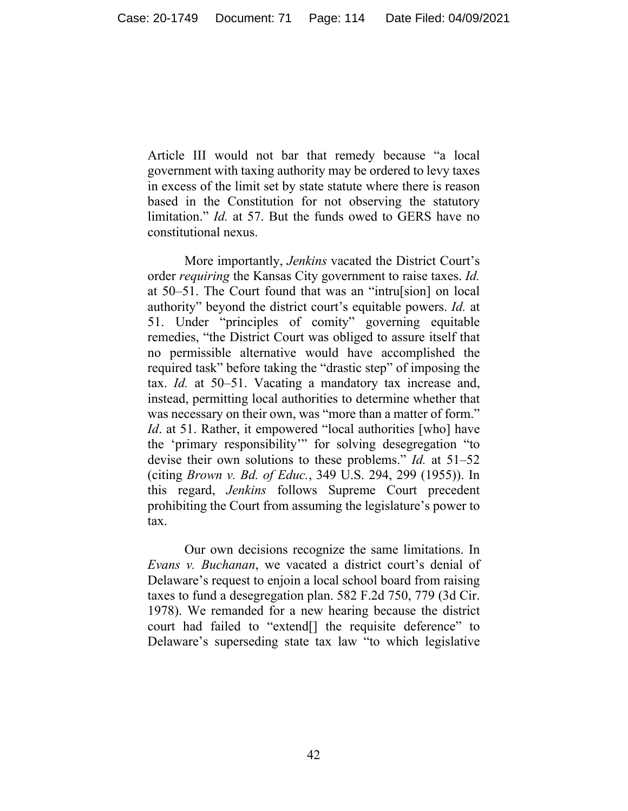Article III would not bar that remedy because "a local government with taxing authority may be ordered to levy taxes in excess of the limit set by state statute where there is reason based in the Constitution for not observing the statutory limitation." *Id.* at 57. But the funds owed to GERS have no constitutional nexus.

More importantly, *Jenkins* vacated the District Court's order *requiring* the Kansas City government to raise taxes. *Id.* at 50–51. The Court found that was an "intru[sion] on local authority" beyond the district court's equitable powers. *Id.* at 51. Under "principles of comity" governing equitable remedies, "the District Court was obliged to assure itself that no permissible alternative would have accomplished the required task" before taking the "drastic step" of imposing the tax. *Id.* at 50–51. Vacating a mandatory tax increase and, instead, permitting local authorities to determine whether that was necessary on their own, was "more than a matter of form." *Id.* at 51. Rather, it empowered "local authorities [who] have the 'primary responsibility'" for solving desegregation "to devise their own solutions to these problems." *Id.* at 51–52 (citing *Brown v. Bd. of Educ.*, 349 U.S. 294, 299 (1955)). In this regard, *Jenkins* follows Supreme Court precedent prohibiting the Court from assuming the legislature's power to tax.

Our own decisions recognize the same limitations. In *Evans v. Buchanan*, we vacated a district court's denial of Delaware's request to enjoin a local school board from raising taxes to fund a desegregation plan. 582 F.2d 750, 779 (3d Cir. 1978). We remanded for a new hearing because the district court had failed to "extend[] the requisite deference" to Delaware's superseding state tax law "to which legislative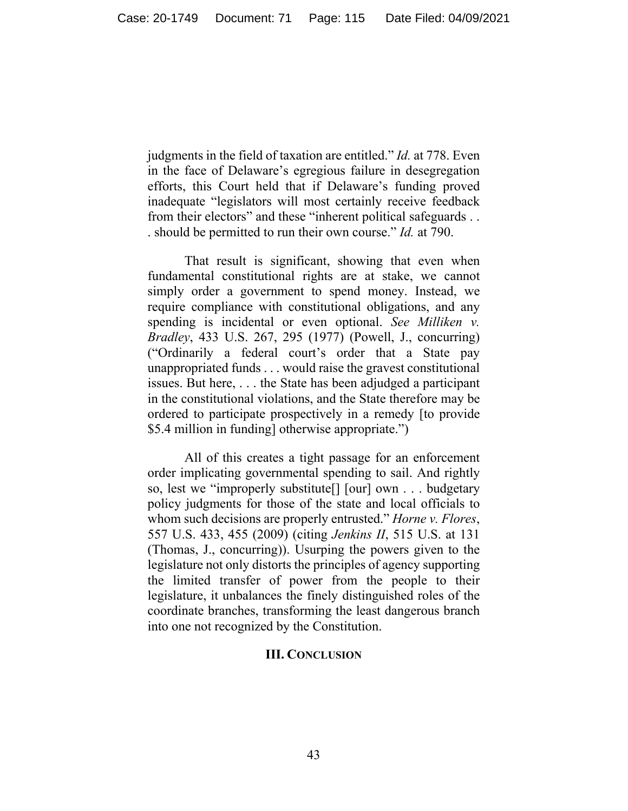judgments in the field of taxation are entitled." *Id.* at 778. Even in the face of Delaware's egregious failure in desegregation efforts, this Court held that if Delaware's funding proved inadequate "legislators will most certainly receive feedback from their electors" and these "inherent political safeguards . . . should be permitted to run their own course." *Id.* at 790.

That result is significant, showing that even when fundamental constitutional rights are at stake, we cannot simply order a government to spend money. Instead, we require compliance with constitutional obligations, and any spending is incidental or even optional. *See Milliken v. Bradley*, 433 U.S. 267, 295 (1977) (Powell, J., concurring) ("Ordinarily a federal court's order that a State pay unappropriated funds . . . would raise the gravest constitutional issues. But here, . . . the State has been adjudged a participant in the constitutional violations, and the State therefore may be ordered to participate prospectively in a remedy [to provide \$5.4 million in funding] otherwise appropriate.")

All of this creates a tight passage for an enforcement order implicating governmental spending to sail. And rightly so, lest we "improperly substitute[] [our] own . . . budgetary policy judgments for those of the state and local officials to whom such decisions are properly entrusted." *Horne v. Flores*, 557 U.S. 433, 455 (2009) (citing *Jenkins II*, 515 U.S. at 131 (Thomas, J., concurring)). Usurping the powers given to the legislature not only distorts the principles of agency supporting the limited transfer of power from the people to their legislature, it unbalances the finely distinguished roles of the coordinate branches, transforming the least dangerous branch into one not recognized by the Constitution.

## **III. CONCLUSION**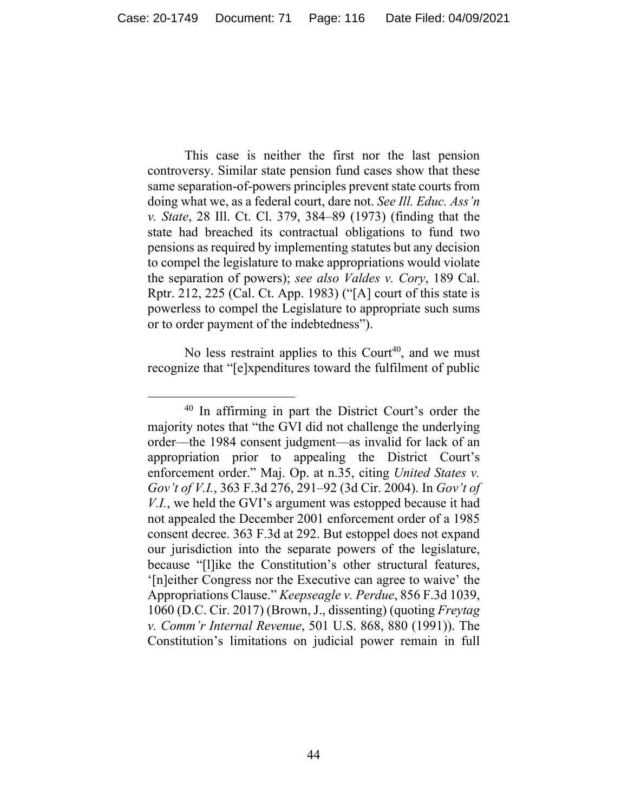This case is neither the first nor the last pension controversy. Similar state pension fund cases show that these same separation-of-powers principles prevent state courts from doing what we, as a federal court, dare not. *See Ill. Educ. Ass'n v. State*, 28 Ill. Ct. Cl. 379, 384–89 (1973) (finding that the state had breached its contractual obligations to fund two pensions as required by implementing statutes but any decision to compel the legislature to make appropriations would violate the separation of powers); *see also Valdes v. Cory*, 189 Cal. Rptr. 212, 225 (Cal. Ct. App. 1983) ("[A] court of this state is powerless to compel the Legislature to appropriate such sums or to order payment of the indebtedness").

No less restraint applies to this Court<sup>40</sup>, and we must recognize that "[e]xpenditures toward the fulfilment of public

<sup>40</sup> In affirming in part the District Court's order the majority notes that "the GVI did not challenge the underlying order––the 1984 consent judgment––as invalid for lack of an appropriation prior to appealing the District Court's enforcement order." Maj. Op. at n.35, citing *United States v. Gov't of V.I.*, 363 F.3d 276, 291–92 (3d Cir. 2004). In *Gov't of V.I.*, we held the GVI's argument was estopped because it had not appealed the December 2001 enforcement order of a 1985 consent decree. 363 F.3d at 292. But estoppel does not expand our jurisdiction into the separate powers of the legislature, because "[l]ike the Constitution's other structural features, '[n]either Congress nor the Executive can agree to waive' the Appropriations Clause." *Keepseagle v. Perdue*, 856 F.3d 1039, 1060 (D.C. Cir. 2017) (Brown, J., dissenting) (quoting *Freytag v. Comm'r Internal Revenue*, 501 U.S. 868, 880 (1991)). The Constitution's limitations on judicial power remain in full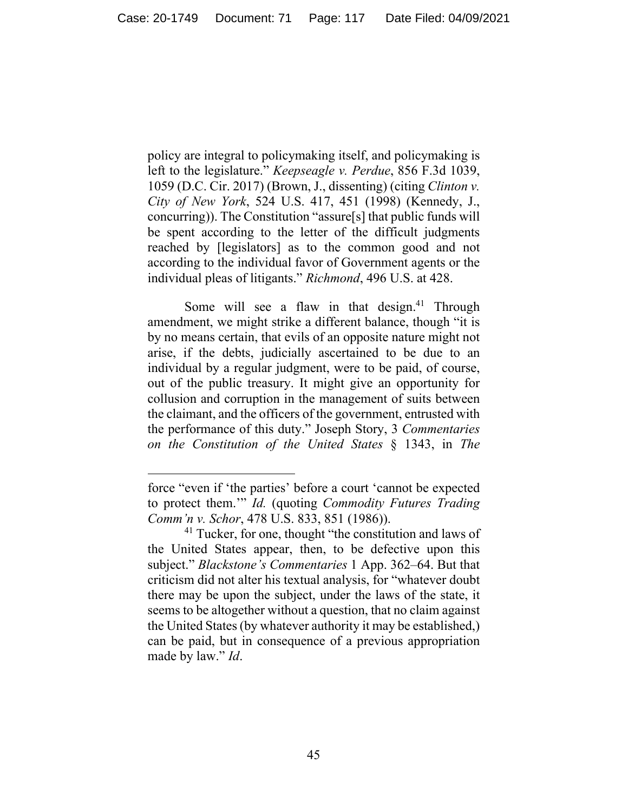policy are integral to policymaking itself, and policymaking is left to the legislature." *Keepseagle v. Perdue*, 856 F.3d 1039, 1059 (D.C. Cir. 2017) (Brown, J., dissenting) (citing *Clinton v. City of New York*, 524 U.S. 417, 451 (1998) (Kennedy, J., concurring)). The Constitution "assure[s] that public funds will be spent according to the letter of the difficult judgments reached by [legislators] as to the common good and not according to the individual favor of Government agents or the individual pleas of litigants." *Richmond*, 496 U.S. at 428.

Some will see a flaw in that design.<sup>41</sup> Through amendment, we might strike a different balance, though "it is by no means certain, that evils of an opposite nature might not arise, if the debts, judicially ascertained to be due to an individual by a regular judgment, were to be paid, of course, out of the public treasury. It might give an opportunity for collusion and corruption in the management of suits between the claimant, and the officers of the government, entrusted with the performance of this duty." Joseph Story, 3 *Commentaries on the Constitution of the United States* § 1343, in *The* 

force "even if 'the parties' before a court 'cannot be expected to protect them.'" *Id.* (quoting *Commodity Futures Trading Comm'n v. Schor*, 478 U.S. 833, 851 (1986)).

 $41$  Tucker, for one, thought "the constitution and laws of the United States appear, then, to be defective upon this subject." *Blackstone's Commentaries* 1 App. 362–64. But that criticism did not alter his textual analysis, for "whatever doubt there may be upon the subject, under the laws of the state, it seems to be altogether without a question, that no claim against the United States (by whatever authority it may be established,) can be paid, but in consequence of a previous appropriation made by law." *Id*.